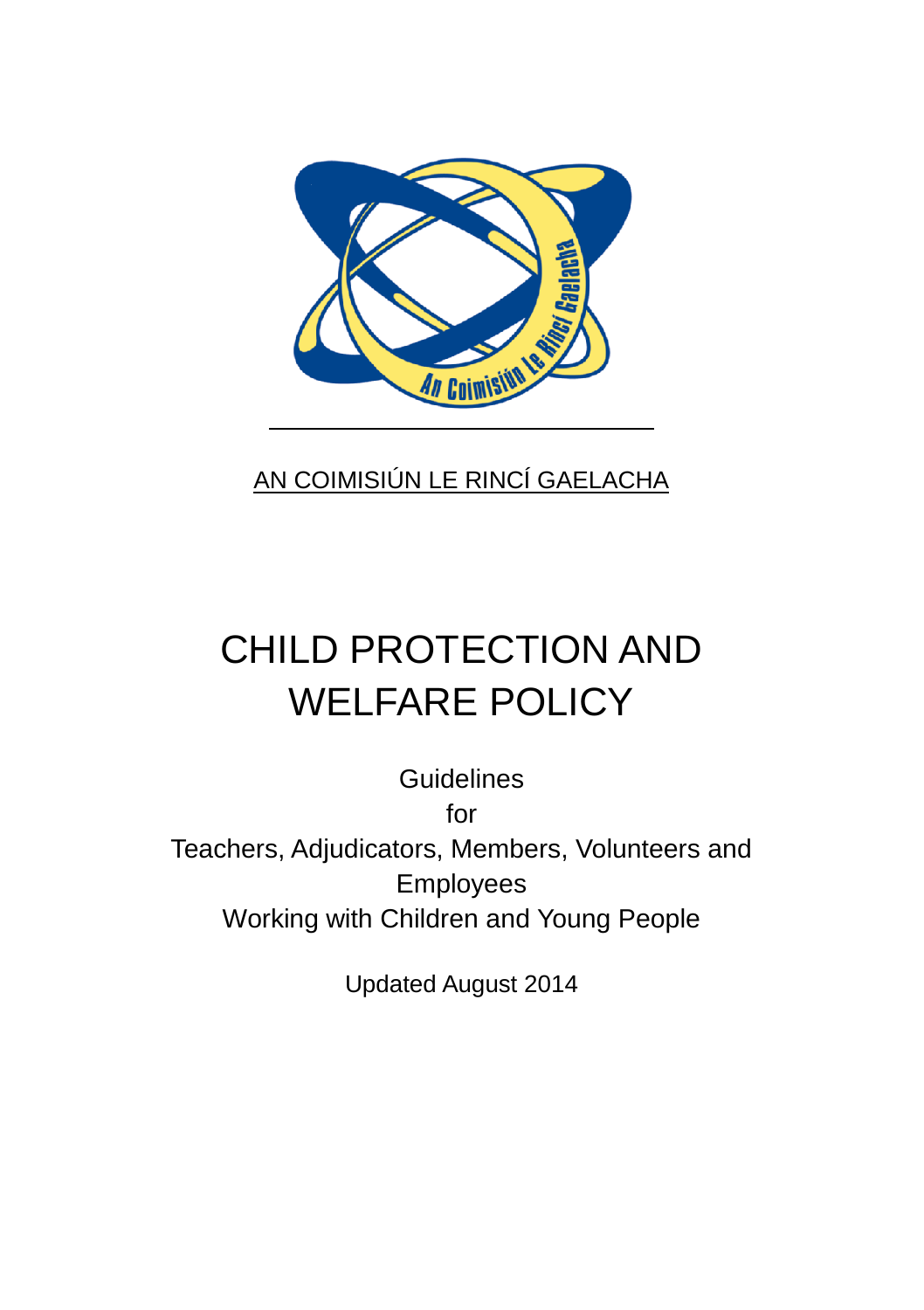

### AN COIMISIÚN LE RINCÍ GAELACHA

# CHILD PROTECTION AND WELFARE POLICY

**Guidelines** for Teachers, Adjudicators, Members, Volunteers and Employees Working with Children and Young People

Updated August 2014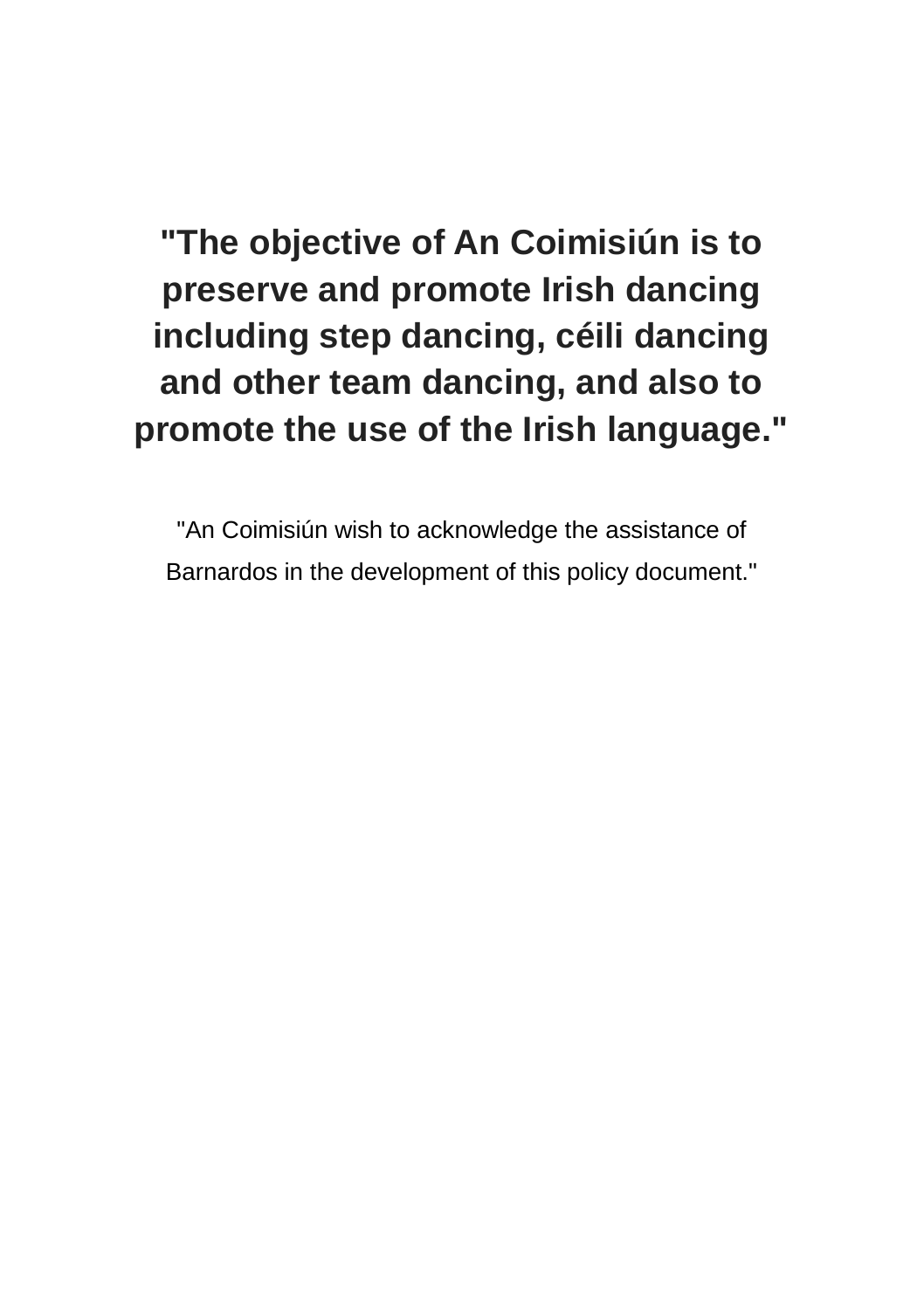**"The objective of An Coimisiún is to preserve and promote Irish dancing including step dancing, céili dancing and other team dancing, and also to promote the use of the Irish language."**

"An Coimisiún wish to acknowledge the assistance of Barnardos in the development of this policy document."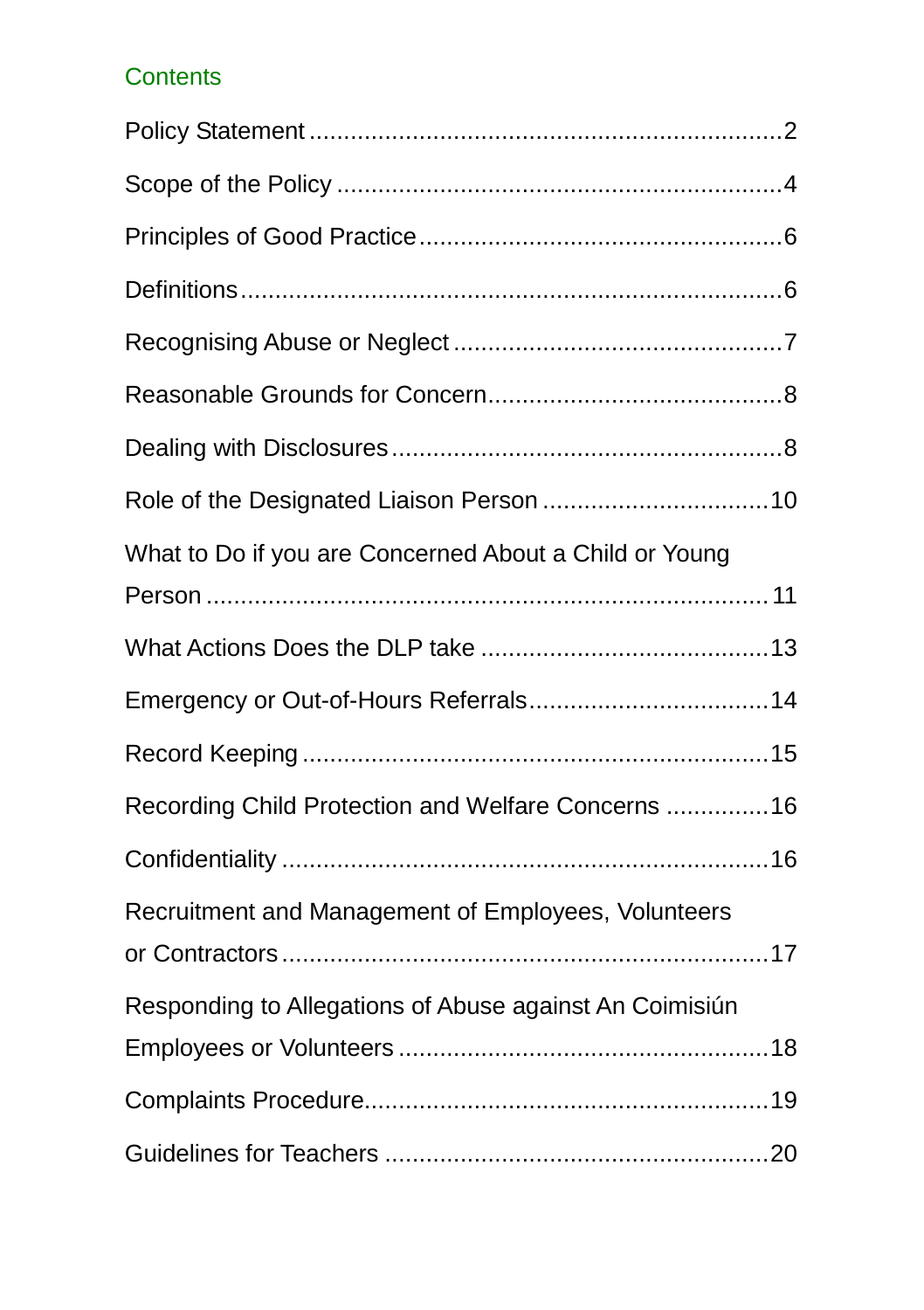### **Contents**

| What to Do if you are Concerned About a Child or Young  |  |
|---------------------------------------------------------|--|
|                                                         |  |
|                                                         |  |
|                                                         |  |
|                                                         |  |
| Recording Child Protection and Welfare Concerns  16     |  |
|                                                         |  |
| Recruitment and Management of Employees, Volunteers     |  |
|                                                         |  |
| Responding to Allegations of Abuse against An Coimisiún |  |
|                                                         |  |
|                                                         |  |
|                                                         |  |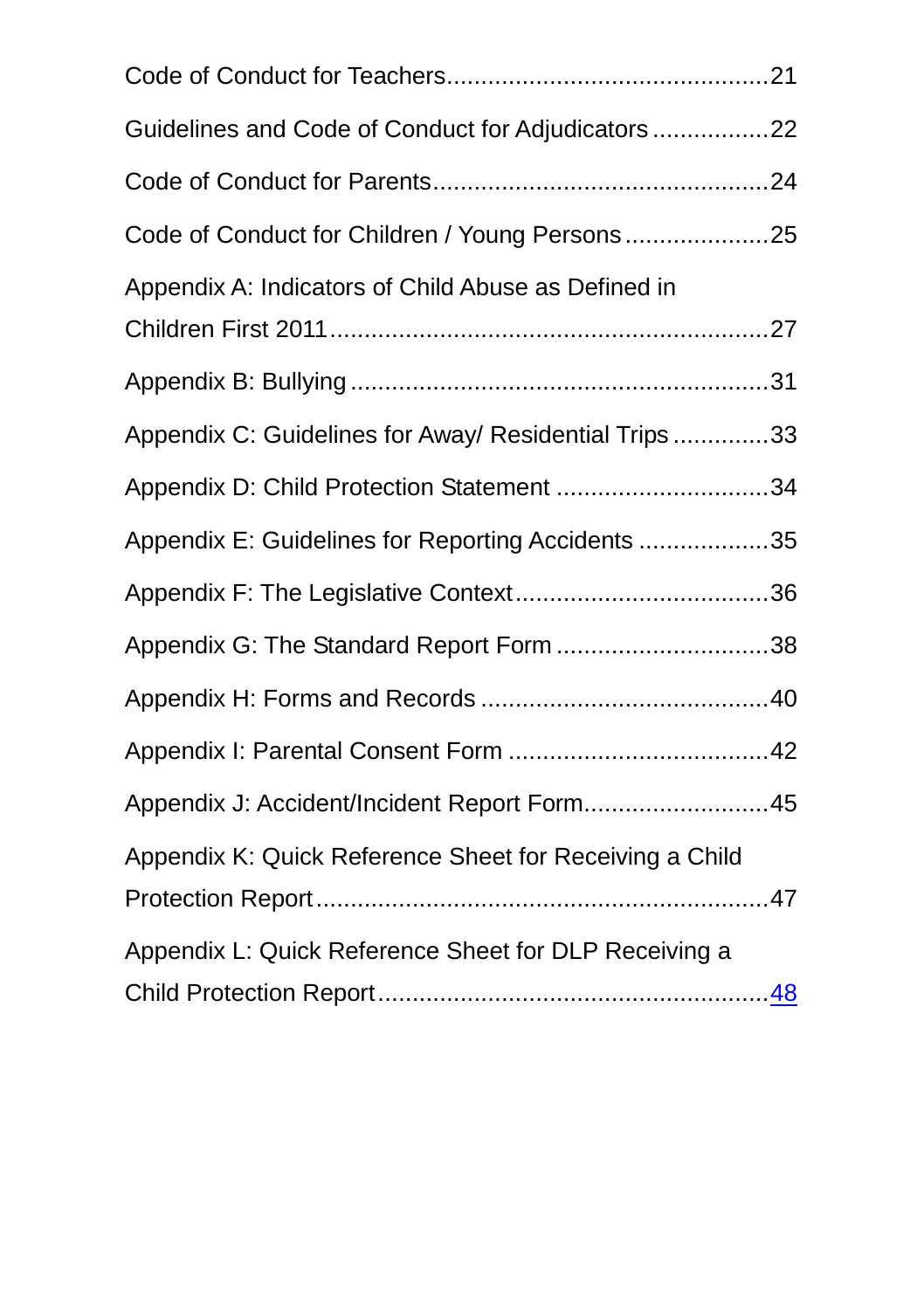| Guidelines and Code of Conduct for Adjudicators 22      |  |
|---------------------------------------------------------|--|
|                                                         |  |
|                                                         |  |
| Appendix A: Indicators of Child Abuse as Defined in     |  |
|                                                         |  |
| Appendix C: Guidelines for Away/ Residential Trips 33   |  |
| Appendix D: Child Protection Statement 34               |  |
| Appendix E: Guidelines for Reporting Accidents 35       |  |
|                                                         |  |
|                                                         |  |
|                                                         |  |
|                                                         |  |
| Appendix J: Accident/Incident Report Form45             |  |
| Appendix K: Quick Reference Sheet for Receiving a Child |  |
| Appendix L: Quick Reference Sheet for DLP Receiving a   |  |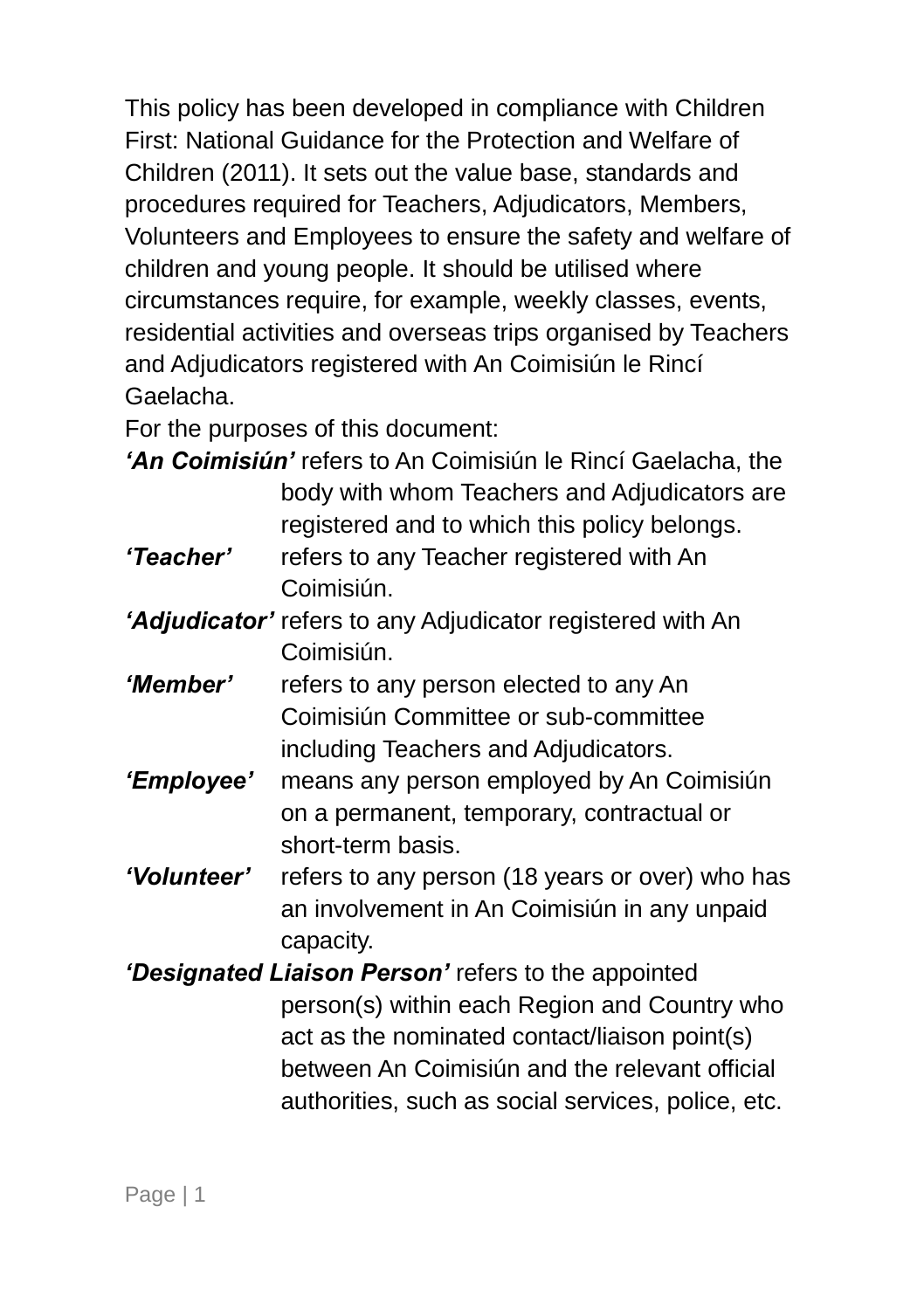This policy has been developed in compliance with Children First: National Guidance for the Protection and Welfare of Children (2011). It sets out the value base, standards and procedures required for Teachers, Adjudicators, Members, Volunteers and Employees to ensure the safety and welfare of children and young people. It should be utilised where circumstances require, for example, weekly classes, events, residential activities and overseas trips organised by Teachers and Adjudicators registered with An Coimisiún le Rincí Gaelacha.

For the purposes of this document:

*"An Coimisiún"* refers to An Coimisiún le Rincí Gaelacha, the body with whom Teachers and Adjudicators are registered and to which this policy belongs.

- *"Teacher"* refers to any Teacher registered with An Coimisiún.
- *"Adjudicator"* refers to any Adjudicator registered with An Coimisiún.
- *"Member"* refers to any person elected to any An Coimisiún Committee or sub-committee including Teachers and Adjudicators.
- *"Employee"* means any person employed by An Coimisiún on a permanent, temporary, contractual or short-term basis.
- *"Volunteer"* refers to any person (18 years or over) who has an involvement in An Coimisiún in any unpaid capacity.
- *"Designated Liaison Person"* refers to the appointed person(s) within each Region and Country who act as the nominated contact/liaison point(s) between An Coimisiún and the relevant official authorities, such as social services, police, etc.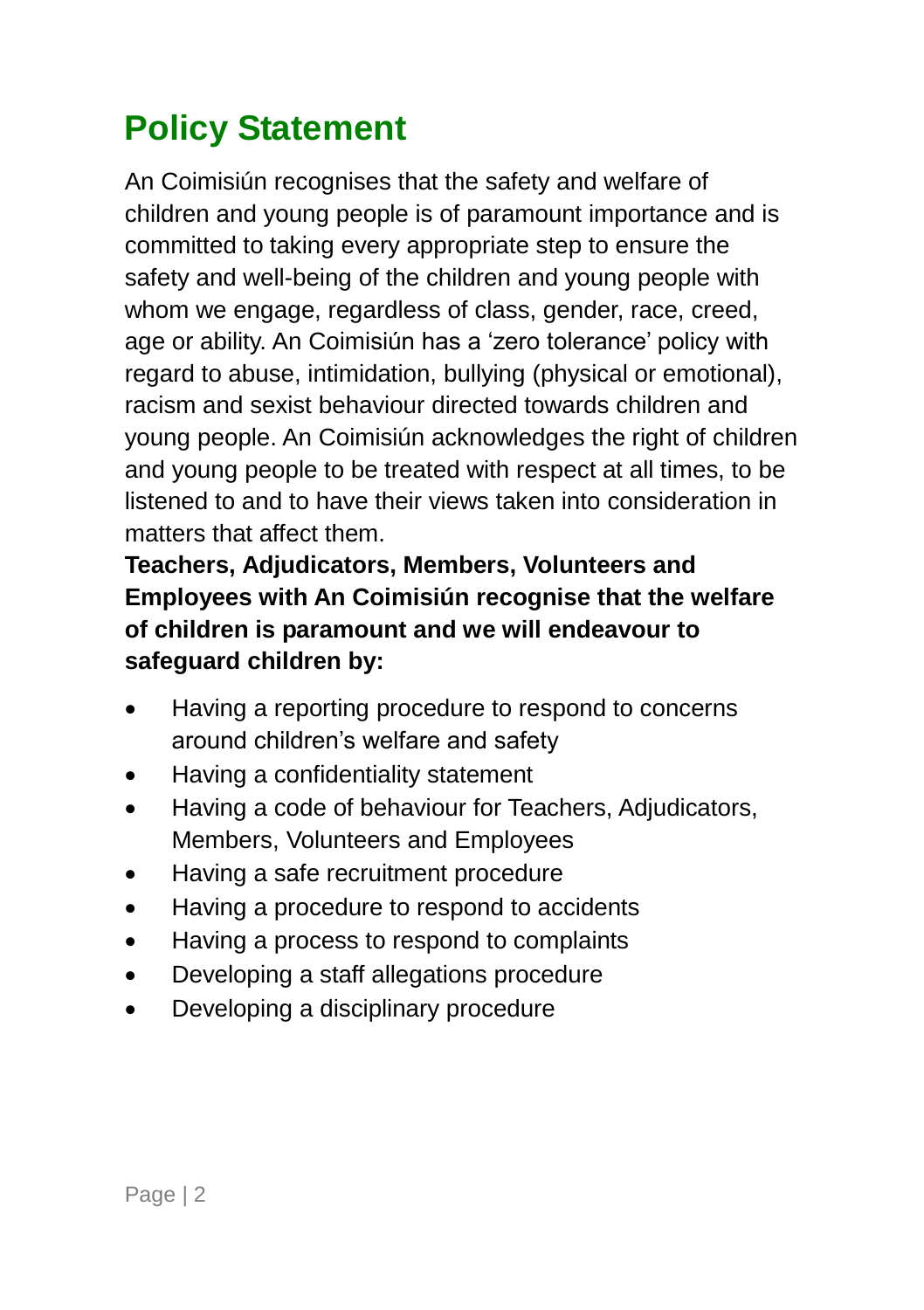### <span id="page-5-0"></span>**Policy Statement**

An Coimisiún recognises that the safety and welfare of children and young people is of paramount importance and is committed to taking every appropriate step to ensure the safety and well-being of the children and young people with whom we engage, regardless of class, gender, race, creed, age or ability. An Coimisiún has a 'zero tolerance' policy with regard to abuse, intimidation, bullying (physical or emotional), racism and sexist behaviour directed towards children and young people. An Coimisiún acknowledges the right of children and young people to be treated with respect at all times, to be listened to and to have their views taken into consideration in matters that affect them.

#### **Teachers, Adjudicators, Members, Volunteers and Employees with An Coimisiún recognise that the welfare of children is paramount and we will endeavour to safeguard children by:**

- Having a reporting procedure to respond to concerns around children's welfare and safety
- Having a confidentiality statement
- Having a code of behaviour for Teachers, Adjudicators, Members, Volunteers and Employees
- Having a safe recruitment procedure
- Having a procedure to respond to accidents
- Having a process to respond to complaints
- Developing a staff allegations procedure
- Developing a disciplinary procedure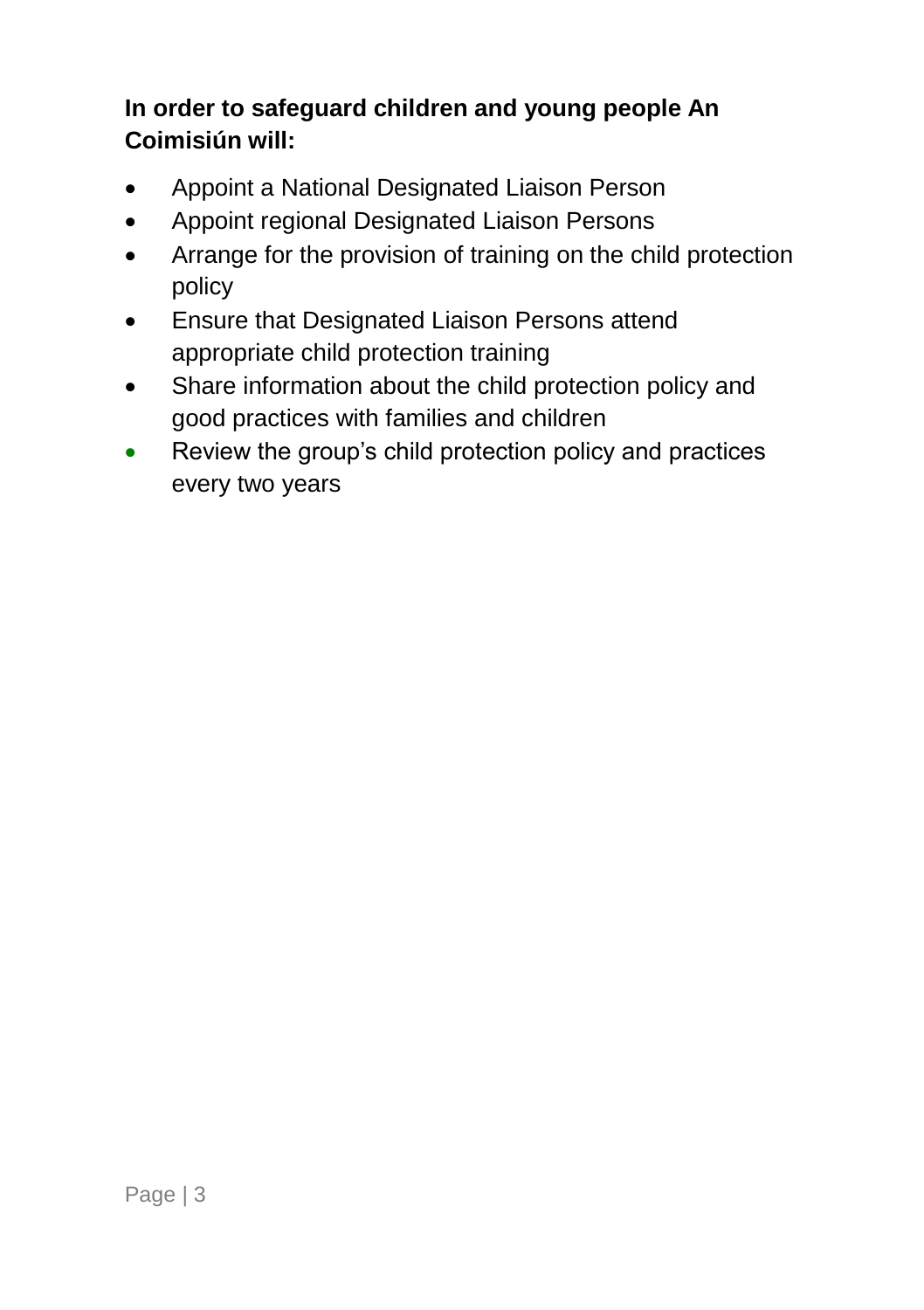### **In order to safeguard children and young people An Coimisiún will:**

- Appoint a National Designated Liaison Person
- Appoint regional Designated Liaison Persons
- Arrange for the provision of training on the child protection policy
- **•** Ensure that Designated Liaison Persons attend appropriate child protection training
- Share information about the child protection policy and good practices with families and children
- Review the group's child protection policy and practices every two years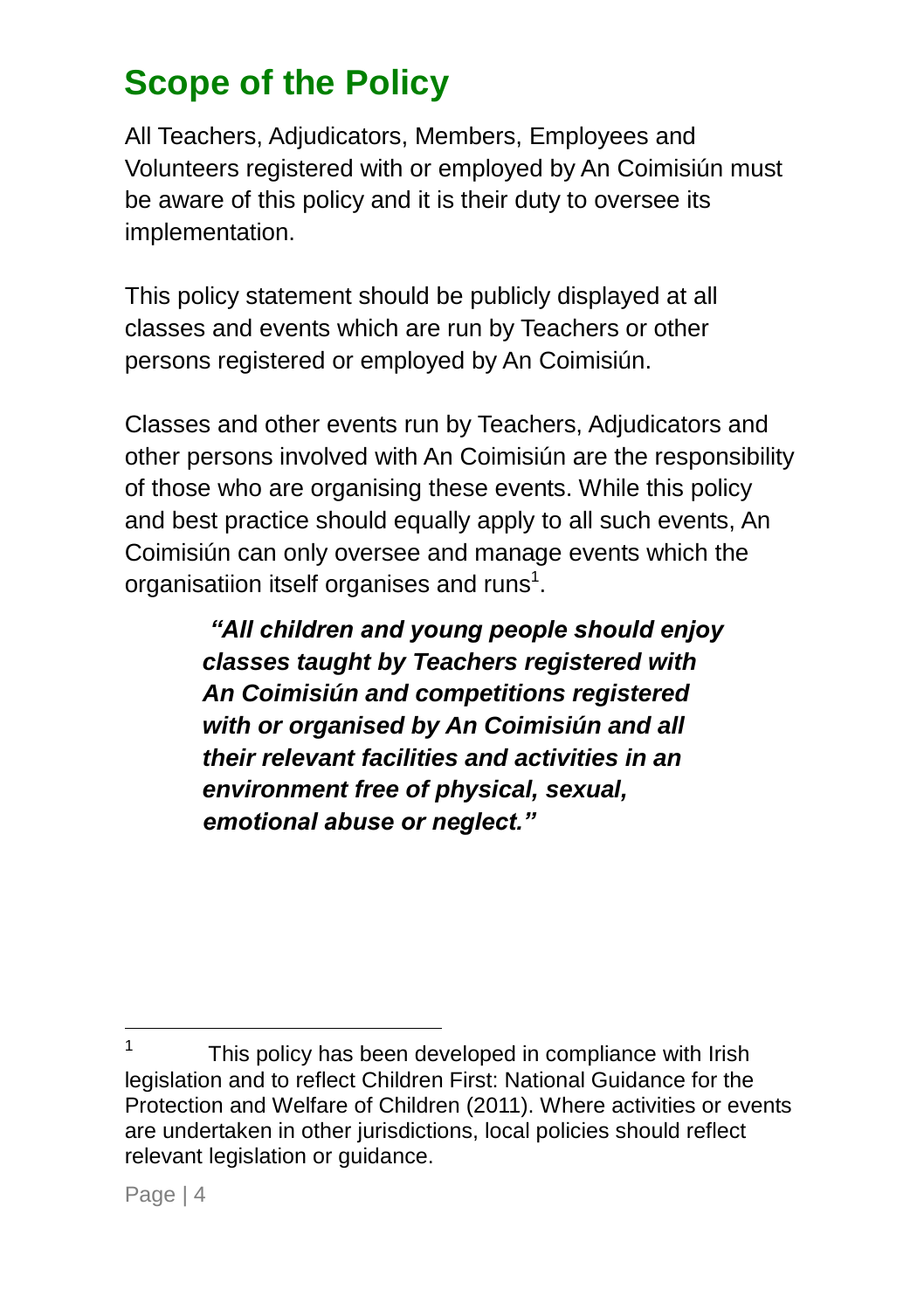### <span id="page-7-0"></span>**Scope of the Policy**

All Teachers, Adjudicators, Members, Employees and Volunteers registered with or employed by An Coimisiún must be aware of this policy and it is their duty to oversee its implementation.

This policy statement should be publicly displayed at all classes and events which are run by Teachers or other persons registered or employed by An Coimisiún.

Classes and other events run by Teachers, Adjudicators and other persons involved with An Coimisiún are the responsibility of those who are organising these events. While this policy and best practice should equally apply to all such events, An Coimisiún can only oversee and manage events which the organisatiion itself organises and runs<sup>1</sup>.

> *"All children and young people should enjoy classes taught by Teachers registered with An Coimisiún and competitions registered with or organised by An Coimisiún and all their relevant facilities and activities in an environment free of physical, sexual, emotional abuse or neglect."*

-

<sup>1</sup> This policy has been developed in compliance with Irish legislation and to reflect Children First: National Guidance for the Protection and Welfare of Children (2011). Where activities or events are undertaken in other jurisdictions, local policies should reflect relevant legislation or guidance.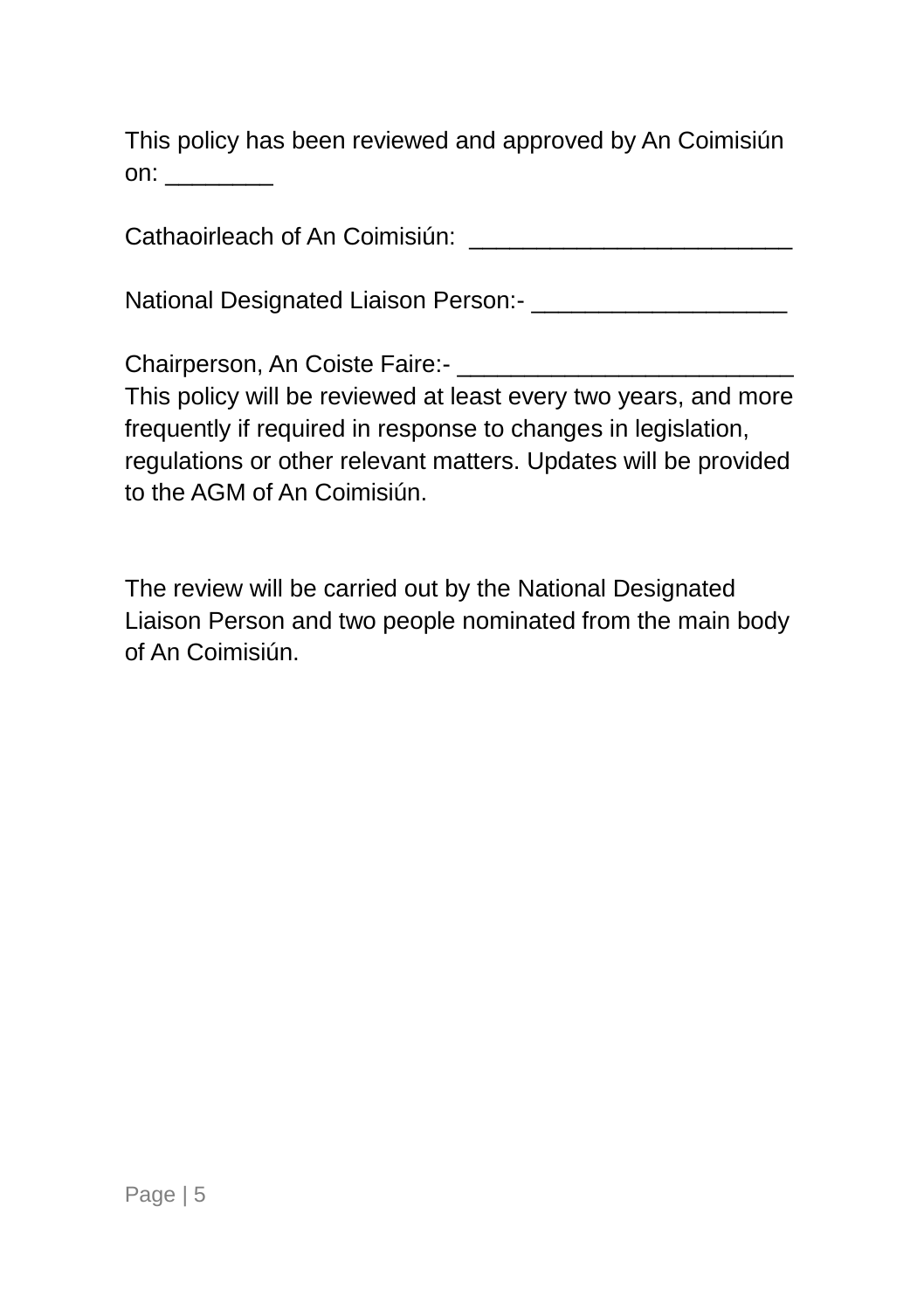This policy has been reviewed and approved by An Coimisiún on: \_\_\_\_\_\_\_\_\_

Cathaoirleach of An Coimisiún:

National Designated Liaison Person:- \_\_\_\_\_\_\_\_\_\_\_\_\_\_\_\_\_\_\_

Chairperson, An Coiste Faire:-This policy will be reviewed at least every two years, and more frequently if required in response to changes in legislation, regulations or other relevant matters. Updates will be provided

to the AGM of An Coimisiún.

The review will be carried out by the National Designated Liaison Person and two people nominated from the main body of An Coimisiún.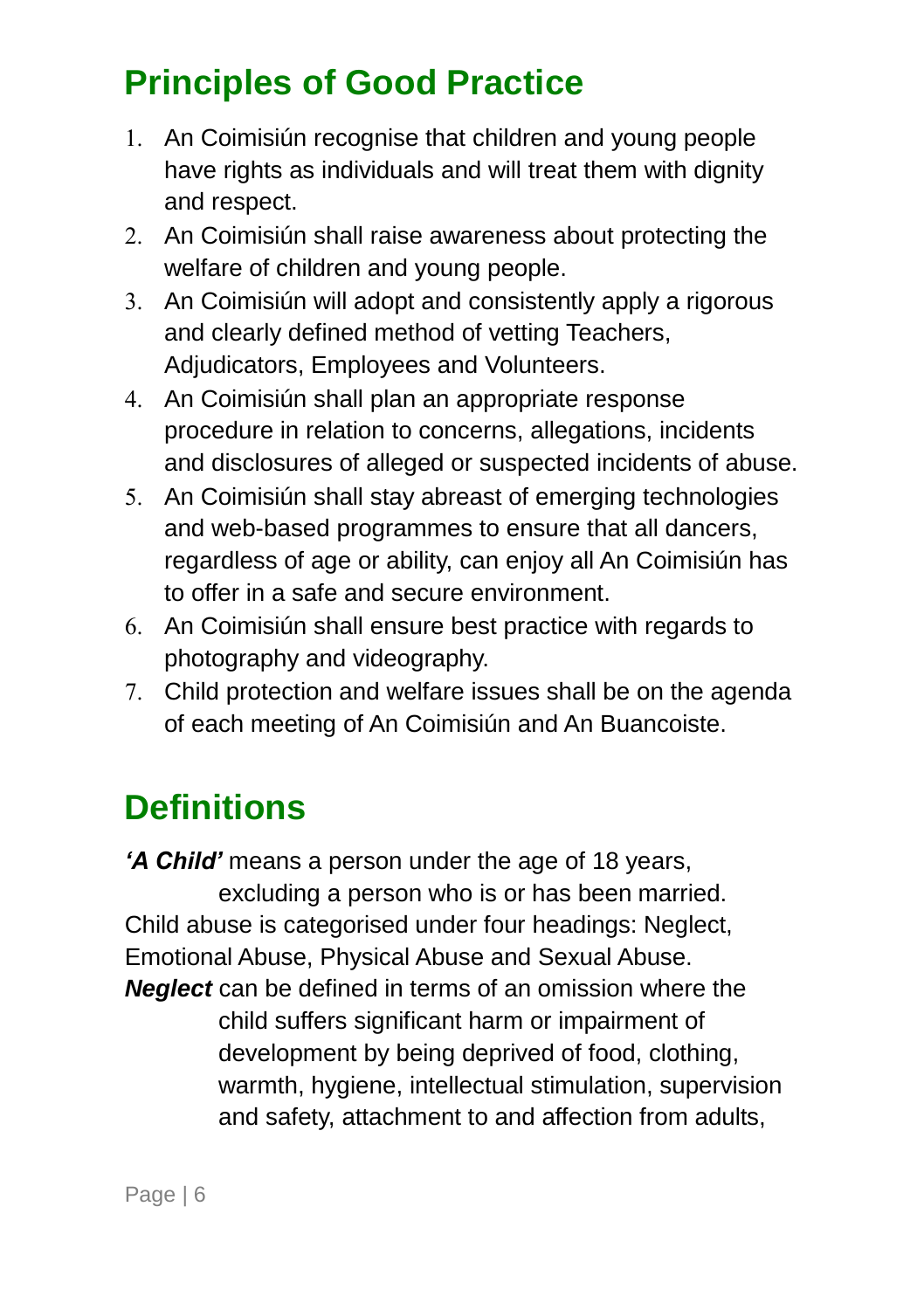### <span id="page-9-0"></span>**Principles of Good Practice**

- 1. An Coimisiún recognise that children and young people have rights as individuals and will treat them with dignity and respect.
- 2. An Coimisiún shall raise awareness about protecting the welfare of children and young people.
- 3. An Coimisiún will adopt and consistently apply a rigorous and clearly defined method of vetting Teachers, Adjudicators, Employees and Volunteers.
- An Coimisiún shall plan an appropriate response procedure in relation to concerns, allegations, incidents and disclosures of alleged or suspected incidents of abuse.
- 5. An Coimisiún shall stay abreast of emerging technologies and web-based programmes to ensure that all dancers, regardless of age or ability, can enjoy all An Coimisiún has to offer in a safe and secure environment.
- An Coimisiún shall ensure best practice with regards to photography and videography.
- Child protection and welfare issues shall be on the agenda of each meeting of An Coimisiún and An Buancoiste.

### <span id="page-9-1"></span>**Definitions**

*"A Child"* means a person under the age of 18 years, excluding a person who is or has been married. Child abuse is categorised under four headings: Neglect, Emotional Abuse, Physical Abuse and Sexual Abuse. *Neglect* can be defined in terms of an omission where the child suffers significant harm or impairment of development by being deprived of food, clothing, warmth, hygiene, intellectual stimulation, supervision and safety, attachment to and affection from adults,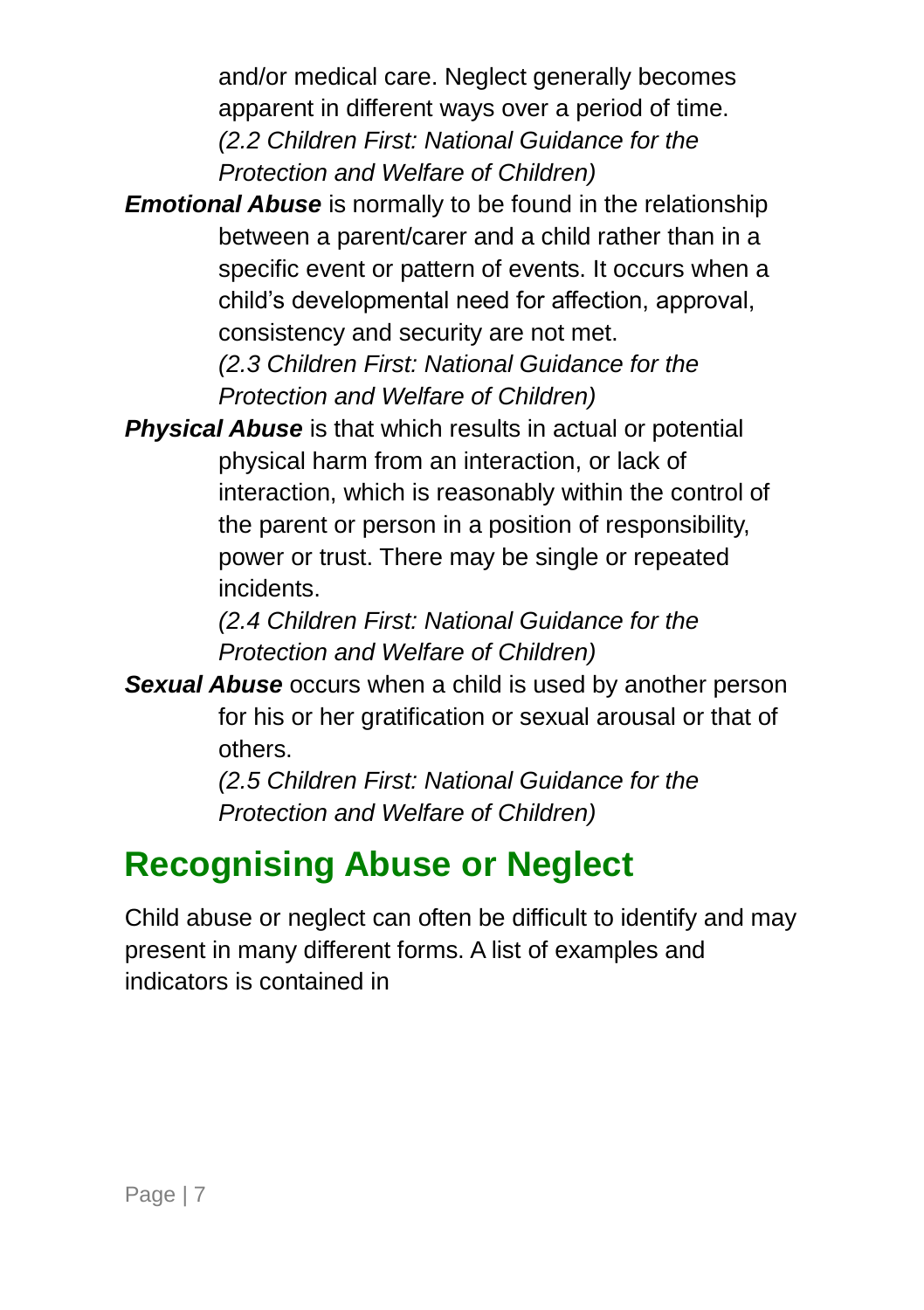and/or medical care. Neglect generally becomes apparent in different ways over a period of time. *(2.2 Children First: National Guidance for the Protection and Welfare of Children)*

- *Emotional Abuse* is normally to be found in the relationship between a parent/carer and a child rather than in a specific event or pattern of events. It occurs when a child's developmental need for affection, approval, consistency and security are not met. *(2.3 Children First: National Guidance for the Protection and Welfare of Children)*
- *Physical Abuse* is that which results in actual or potential physical harm from an interaction, or lack of interaction, which is reasonably within the control of the parent or person in a position of responsibility, power or trust. There may be single or repeated incidents.

*(2.4 Children First: National Guidance for the Protection and Welfare of Children)*

*Sexual Abuse* occurs when a child is used by another person for his or her gratification or sexual arousal or that of others.

*(2.5 Children First: National Guidance for the Protection and Welfare of Children)*

### <span id="page-10-0"></span>**Recognising Abuse or Neglect**

Child abuse or neglect can often be difficult to identify and may present in many different forms. A list of examples and indicators is contained in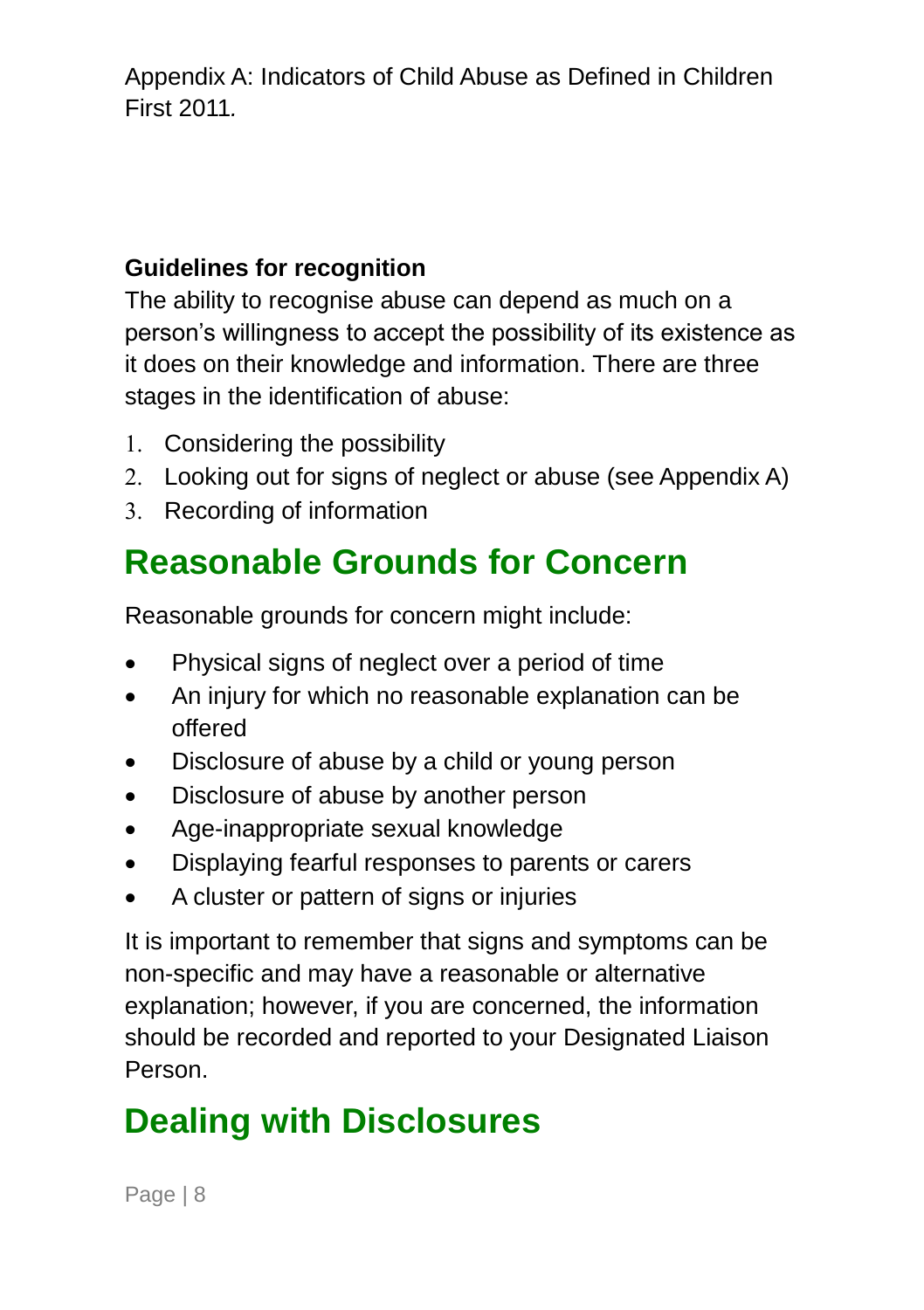[Appendix A: Indicators of Child Abuse as Defined in Children](#page-30-0)  [First 2011](#page-30-0)*.*

#### **Guidelines for recognition**

The ability to recognise abuse can depend as much on a person's willingness to accept the possibility of its existence as it does on their knowledge and information. There are three stages in the identification of abuse:

- Considering the possibility
- Looking out for signs of neglect or abuse (see Appendix A)
- 3. Recording of information

### <span id="page-11-0"></span>**Reasonable Grounds for Concern**

Reasonable grounds for concern might include:

- Physical signs of neglect over a period of time
- An injury for which no reasonable explanation can be offered
- Disclosure of abuse by a child or young person
- Disclosure of abuse by another person
- Age-inappropriate sexual knowledge
- Displaying fearful responses to parents or carers
- A cluster or pattern of signs or injuries

It is important to remember that signs and symptoms can be non-specific and may have a reasonable or alternative explanation; however, if you are concerned, the information should be recorded and reported to your Designated Liaison Person.

### <span id="page-11-1"></span>**Dealing with Disclosures**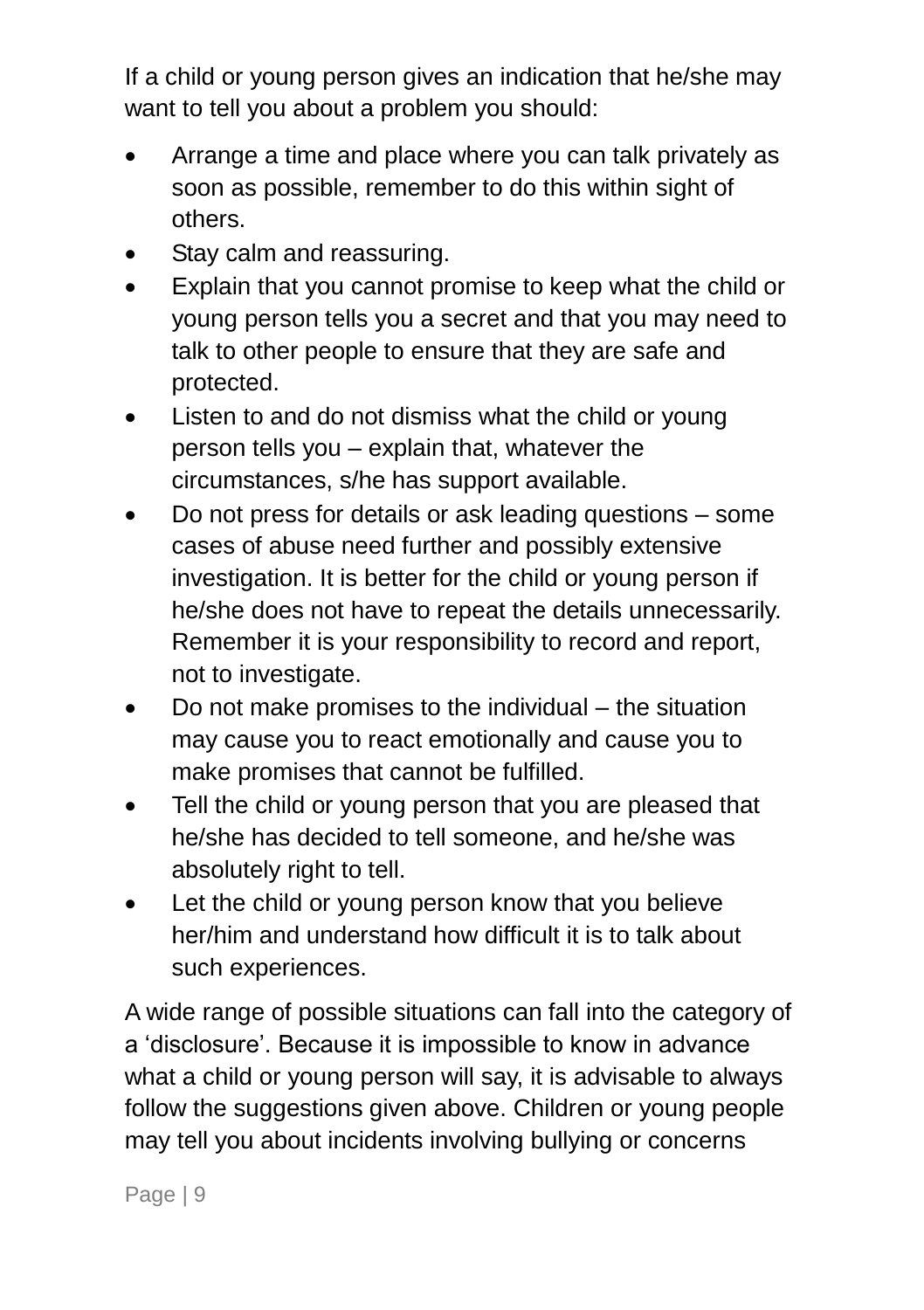If a child or young person gives an indication that he/she may want to tell you about a problem you should:

- Arrange a time and place where you can talk privately as soon as possible, remember to do this within sight of others.
- Stay calm and reassuring.
- Explain that you cannot promise to keep what the child or young person tells you a secret and that you may need to talk to other people to ensure that they are safe and protected.
- Listen to and do not dismiss what the child or young person tells you – explain that, whatever the circumstances, s/he has support available.
- Do not press for details or ask leading questions some cases of abuse need further and possibly extensive investigation. It is better for the child or young person if he/she does not have to repeat the details unnecessarily. Remember it is your responsibility to record and report, not to investigate.
- Do not make promises to the individual the situation may cause you to react emotionally and cause you to make promises that cannot be fulfilled.
- Tell the child or young person that you are pleased that he/she has decided to tell someone, and he/she was absolutely right to tell.
- Let the child or young person know that you believe her/him and understand how difficult it is to talk about such experiences.

A wide range of possible situations can fall into the category of a 'disclosure'. Because it is impossible to know in advance what a child or young person will say, it is advisable to always follow the suggestions given above. Children or young people may tell you about incidents involving bullying or concerns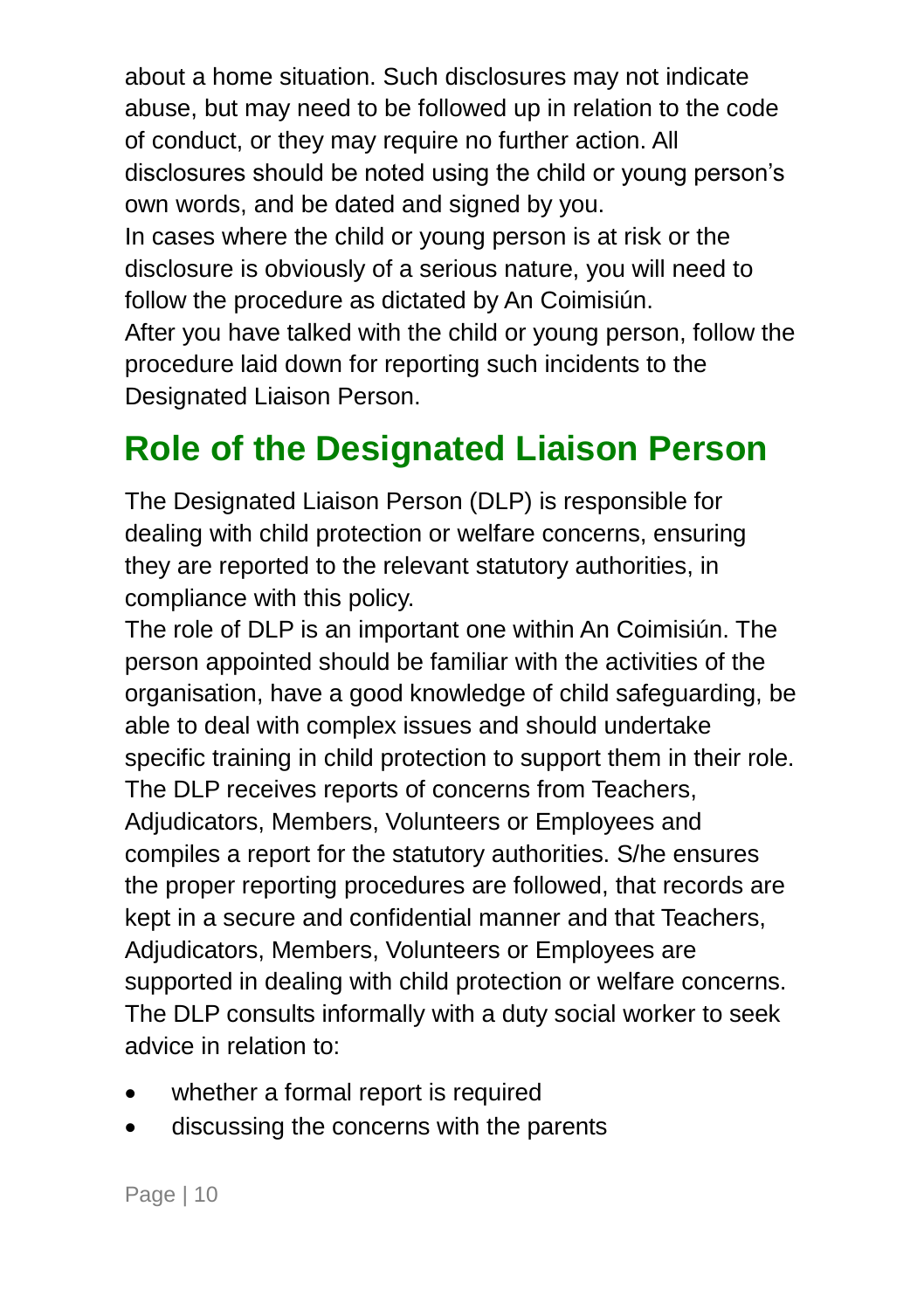about a home situation. Such disclosures may not indicate abuse, but may need to be followed up in relation to the code of conduct, or they may require no further action. All disclosures should be noted using the child or young person's own words, and be dated and signed by you. In cases where the child or young person is at risk or the disclosure is obviously of a serious nature, you will need to follow the procedure as dictated by An Coimisiún. After you have talked with the child or young person, follow the procedure laid down for reporting such incidents to the Designated Liaison Person.

### <span id="page-13-0"></span>**Role of the Designated Liaison Person**

The Designated Liaison Person (DLP) is responsible for dealing with child protection or welfare concerns, ensuring they are reported to the relevant statutory authorities, in compliance with this policy.

The role of DLP is an important one within An Coimisiún. The person appointed should be familiar with the activities of the organisation, have a good knowledge of child safeguarding, be able to deal with complex issues and should undertake specific training in child protection to support them in their role. The DLP receives reports of concerns from Teachers, Adjudicators, Members, Volunteers or Employees and compiles a report for the statutory authorities. S/he ensures the proper reporting procedures are followed, that records are kept in a secure and confidential manner and that Teachers, Adjudicators, Members, Volunteers or Employees are supported in dealing with child protection or welfare concerns. The DLP consults informally with a duty social worker to seek advice in relation to:

- whether a formal report is required
- discussing the concerns with the parents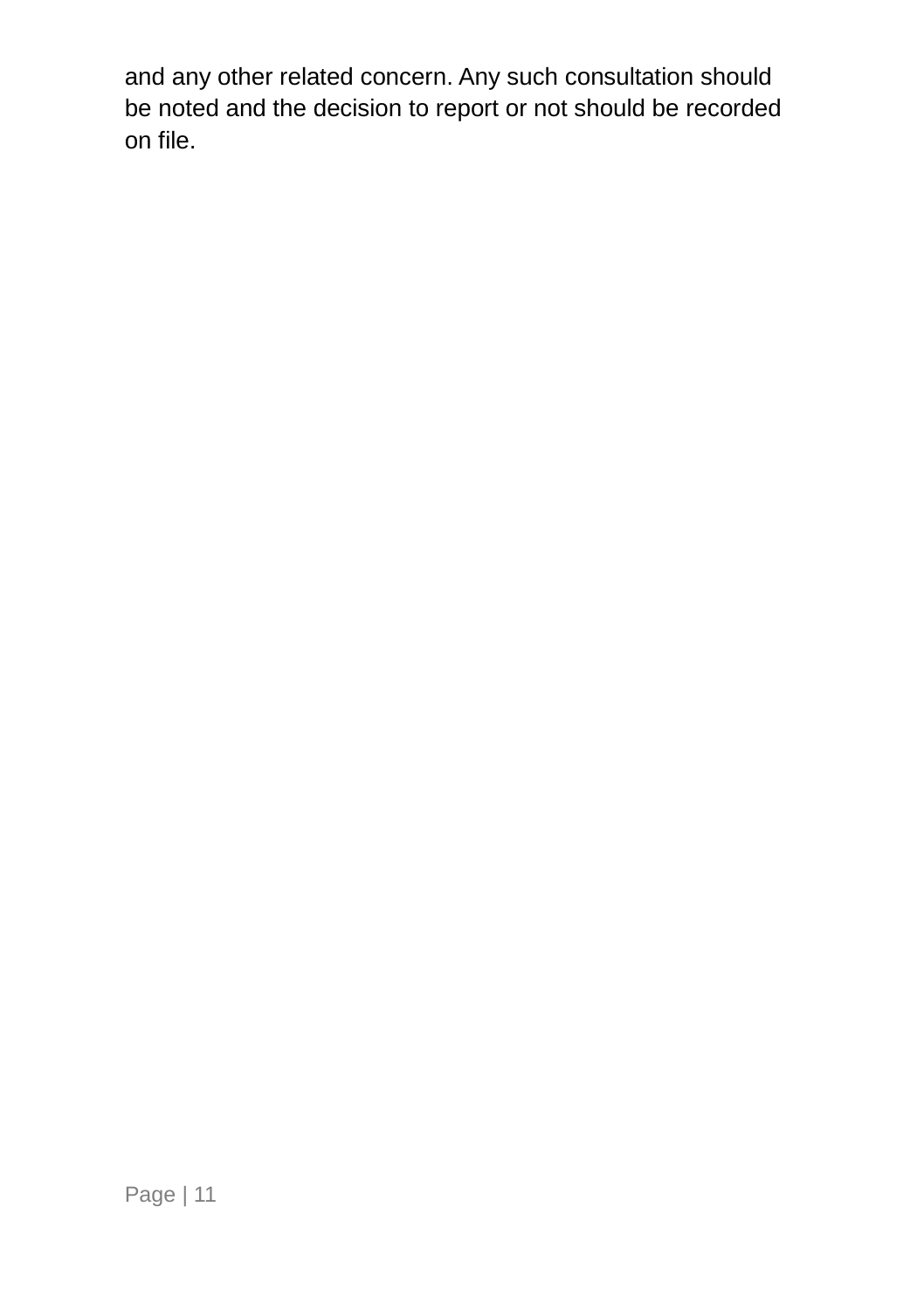<span id="page-14-0"></span>and any other related concern. Any such consultation should be noted and the decision to report or not should be recorded on file.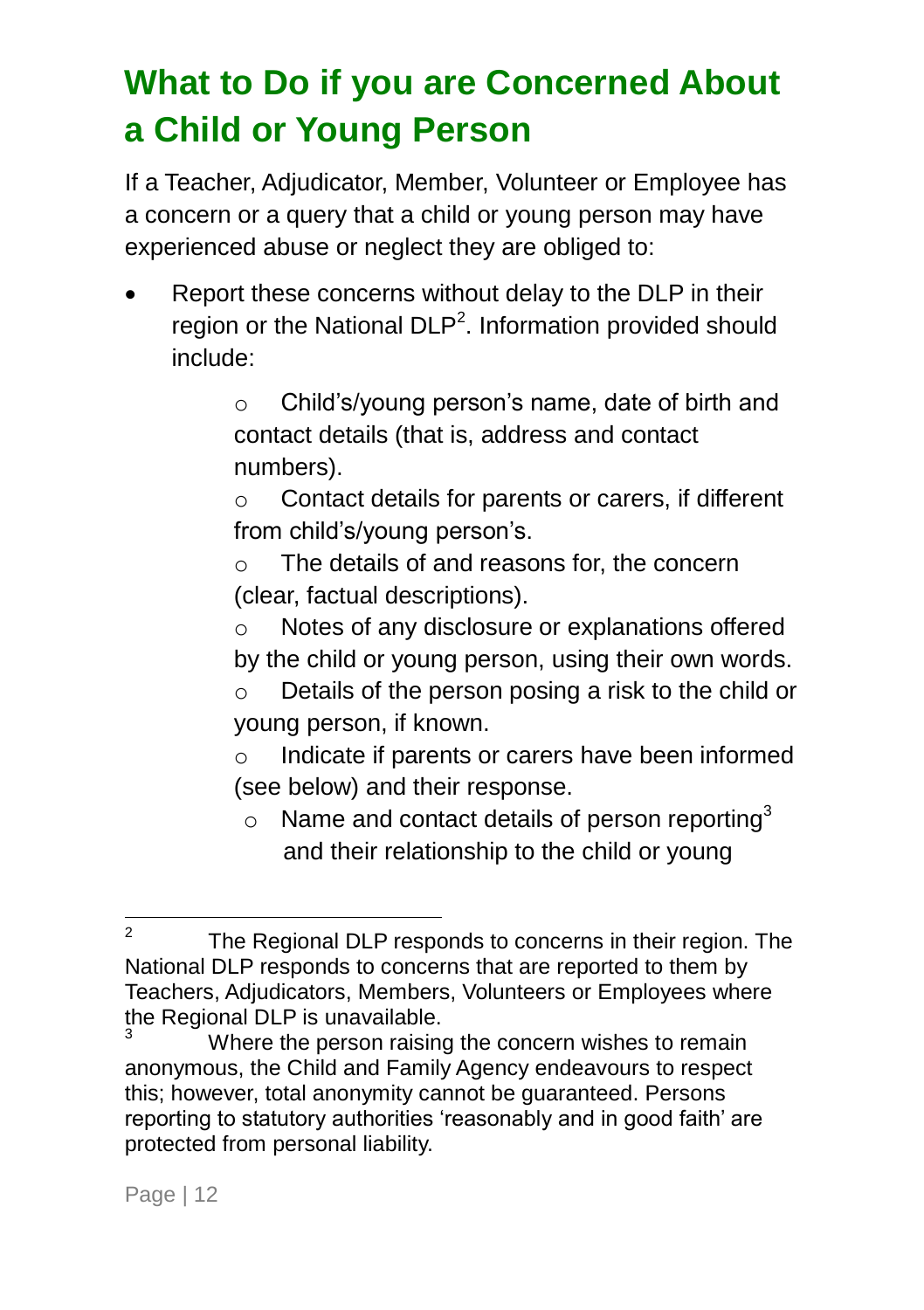### <span id="page-15-0"></span>**What to Do if you are Concerned About a Child or Young Person**

If a Teacher, Adjudicator, Member, Volunteer or Employee has a concern or a query that a child or young person may have experienced abuse or neglect they are obliged to:

• Report these concerns without delay to the DLP in their region or the National DLP<sup>2</sup>. Information provided should include:

> o Child's/young person's name, date of birth and contact details (that is, address and contact numbers).

> o Contact details for parents or carers, if different from child's/young person's.

o The details of and reasons for, the concern (clear, factual descriptions).

o Notes of any disclosure or explanations offered by the child or young person, using their own words.

o Details of the person posing a risk to the child or young person, if known.

o Indicate if parents or carers have been informed (see below) and their response.

 $\circ$  Name and contact details of person reporting<sup>3</sup> and their relationship to the child or young

 $\frac{1}{2}$ The Regional DLP responds to concerns in their region. The National DLP responds to concerns that are reported to them by Teachers, Adjudicators, Members, Volunteers or Employees where the Regional DLP is unavailable.

Where the person raising the concern wishes to remain anonymous, the Child and Family Agency endeavours to respect this; however, total anonymity cannot be guaranteed. Persons reporting to statutory authorities 'reasonably and in good faith' are protected from personal liability.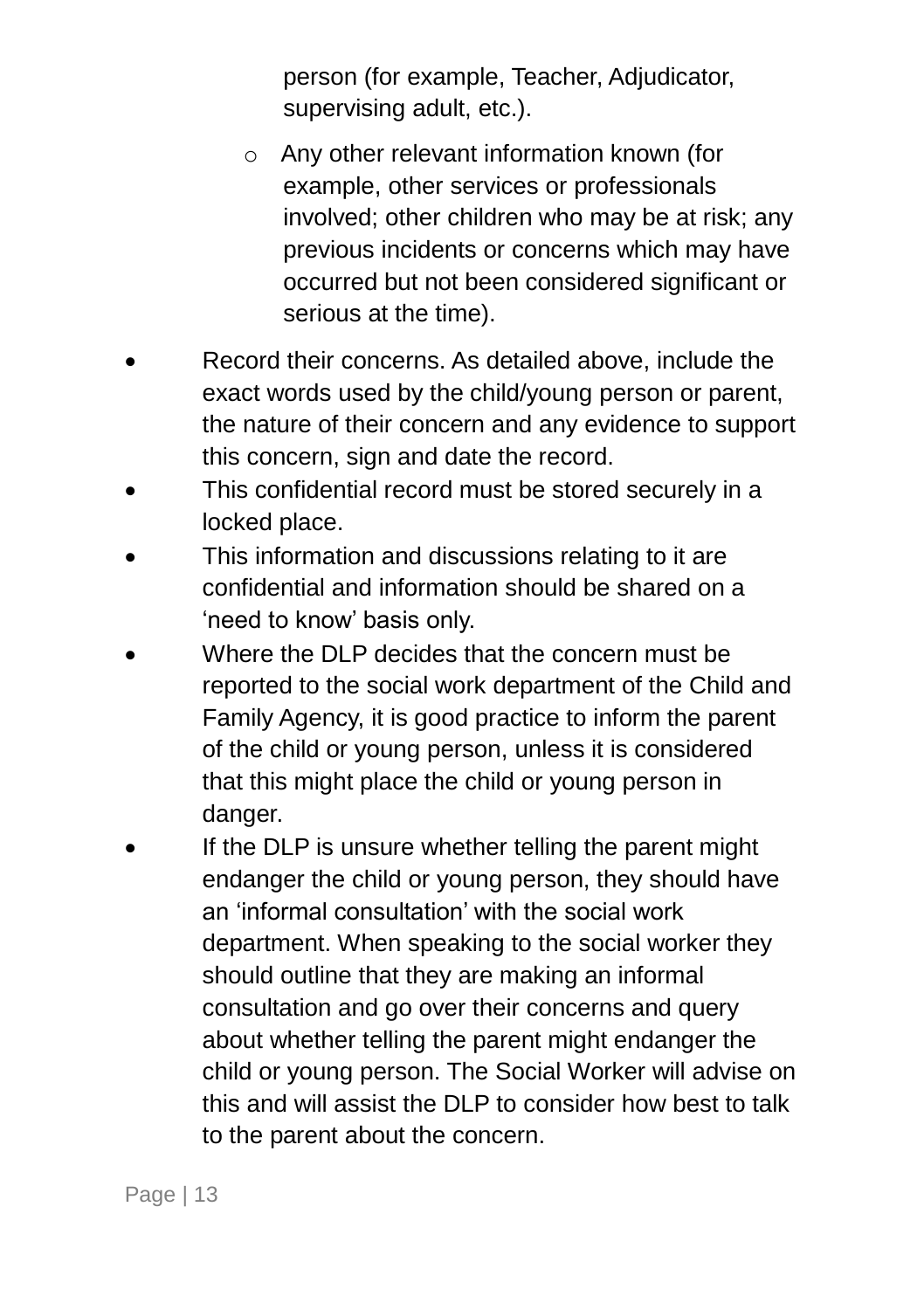person (for example, Teacher, Adjudicator, supervising adult, etc.).

- o Any other relevant information known (for example, other services or professionals involved; other children who may be at risk; any previous incidents or concerns which may have occurred but not been considered significant or serious at the time).
- Record their concerns. As detailed above, include the exact words used by the child/young person or parent, the nature of their concern and any evidence to support this concern, sign and date the record.
- This confidential record must be stored securely in a locked place.
- This information and discussions relating to it are confidential and information should be shared on a 'need to know' basis only.
- Where the DLP decides that the concern must be reported to the social work department of the Child and Family Agency, it is good practice to inform the parent of the child or young person, unless it is considered that this might place the child or young person in danger.
- If the DLP is unsure whether telling the parent might endanger the child or young person, they should have an 'informal consultation' with the social work department. When speaking to the social worker they should outline that they are making an informal consultation and go over their concerns and query about whether telling the parent might endanger the child or young person. The Social Worker will advise on this and will assist the DLP to consider how best to talk to the parent about the concern.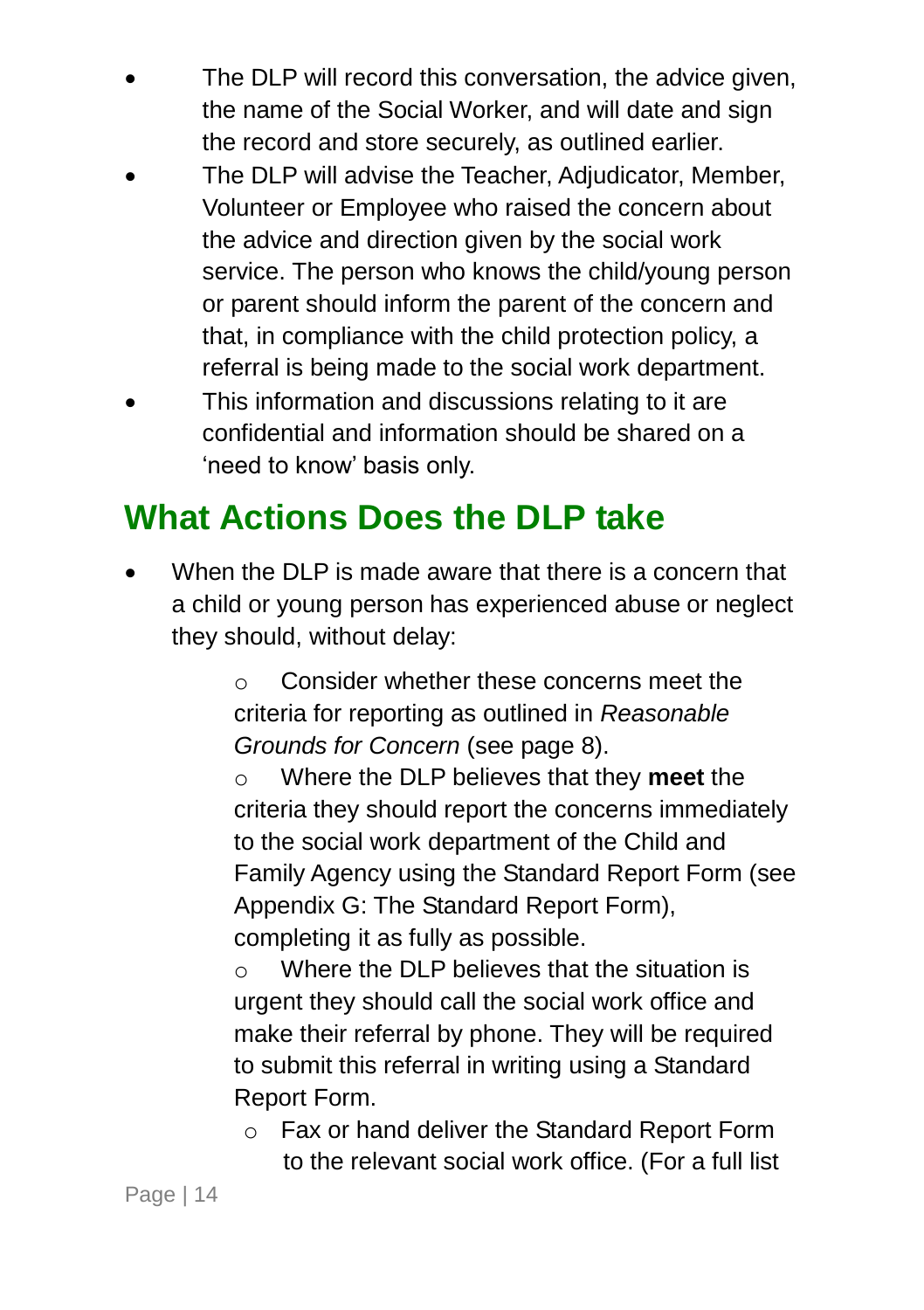- The DLP will record this conversation, the advice given, the name of the Social Worker, and will date and sign the record and store securely, as outlined earlier.
- The DLP will advise the Teacher, Adjudicator, Member, Volunteer or Employee who raised the concern about the advice and direction given by the social work service. The person who knows the child/young person or parent should inform the parent of the concern and that, in compliance with the child protection policy, a referral is being made to the social work department.
- This information and discussions relating to it are confidential and information should be shared on a 'need to know' basis only.

### <span id="page-17-0"></span>**What Actions Does the DLP take**

 When the DLP is made aware that there is a concern that a child or young person has experienced abuse or neglect they should, without delay:

> o Consider whether these concerns meet the criteria for reporting as outlined in *Reasonable Grounds for Concern* (see page [8\)](#page-11-0).

o Where the DLP believes that they **meet** the criteria they should report the concerns immediately to the social work department of the Child and Family Agency using the Standard Report Form (see Appendix G: The Standard Report Form), completing it as fully as possible.

 $\circ$  Where the DLP believes that the situation is urgent they should call the social work office and make their referral by phone. They will be required to submit this referral in writing using a Standard Report Form.

o Fax or hand deliver the Standard Report Form to the relevant social work office. (For a full list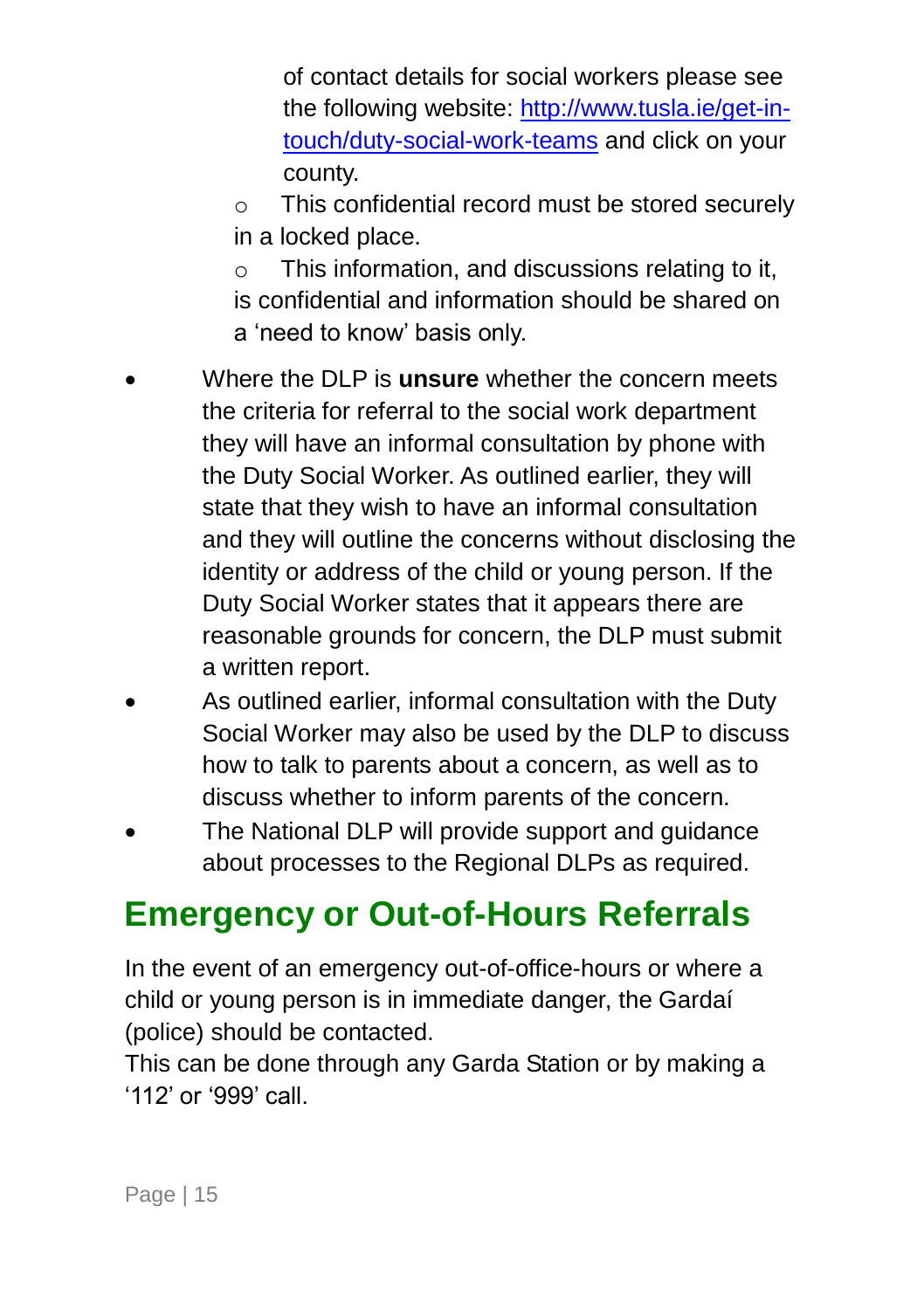of contact details for social workers please see the following website: [http://www.tusla.ie/get-in](http://www.tusla.ie/get-in-touch/duty-social-work-teams)[touch/duty-social-work-teams](http://www.tusla.ie/get-in-touch/duty-social-work-teams) and click on your county.

- o This confidential record must be stored securely in a locked place.
- o This information, and discussions relating to it, is confidential and information should be shared on a 'need to know' basis only.
- Where the DLP is **unsure** whether the concern meets the criteria for referral to the social work department they will have an informal consultation by phone with the Duty Social Worker. As outlined earlier, they will state that they wish to have an informal consultation and they will outline the concerns without disclosing the identity or address of the child or young person. If the Duty Social Worker states that it appears there are reasonable grounds for concern, the DLP must submit a written report.
- As outlined earlier, informal consultation with the Duty Social Worker may also be used by the DLP to discuss how to talk to parents about a concern, as well as to discuss whether to inform parents of the concern.
- The National DLP will provide support and guidance about processes to the Regional DLPs as required.

### <span id="page-18-0"></span>**Emergency or Out-of-Hours Referrals**

In the event of an emergency out-of-office-hours or where a child or young person is in immediate danger, the Gardaí (police) should be contacted.

This can be done through any Garda Station or by making a '112' or '999' call.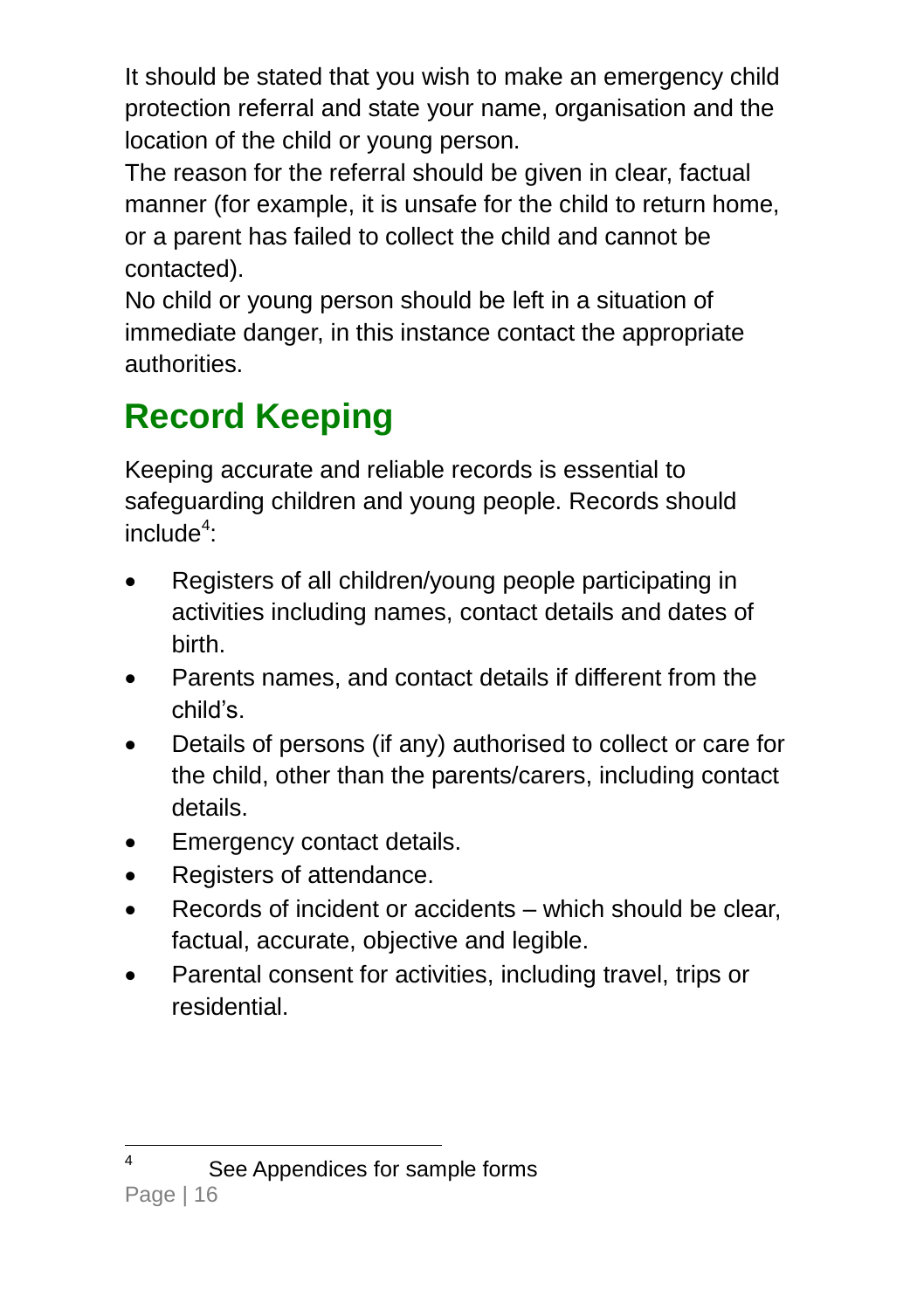It should be stated that you wish to make an emergency child protection referral and state your name, organisation and the location of the child or young person.

The reason for the referral should be given in clear, factual manner (for example, it is unsafe for the child to return home, or a parent has failed to collect the child and cannot be contacted).

No child or young person should be left in a situation of immediate danger, in this instance contact the appropriate authorities.

### <span id="page-19-0"></span>**Record Keeping**

Keeping accurate and reliable records is essential to safeguarding children and young people. Records should  $include<sup>4</sup>$ :

- Registers of all children/young people participating in activities including names, contact details and dates of birth.
- Parents names, and contact details if different from the child's.
- Details of persons (if any) authorised to collect or care for the child, other than the parents/carers, including contact details.
- Emergency contact details.
- Registers of attendance.
- Records of incident or accidents which should be clear, factual, accurate, objective and legible.
- <span id="page-19-1"></span> Parental consent for activities, including travel, trips or residential.

See Appendices for sample forms

 $\frac{1}{4}$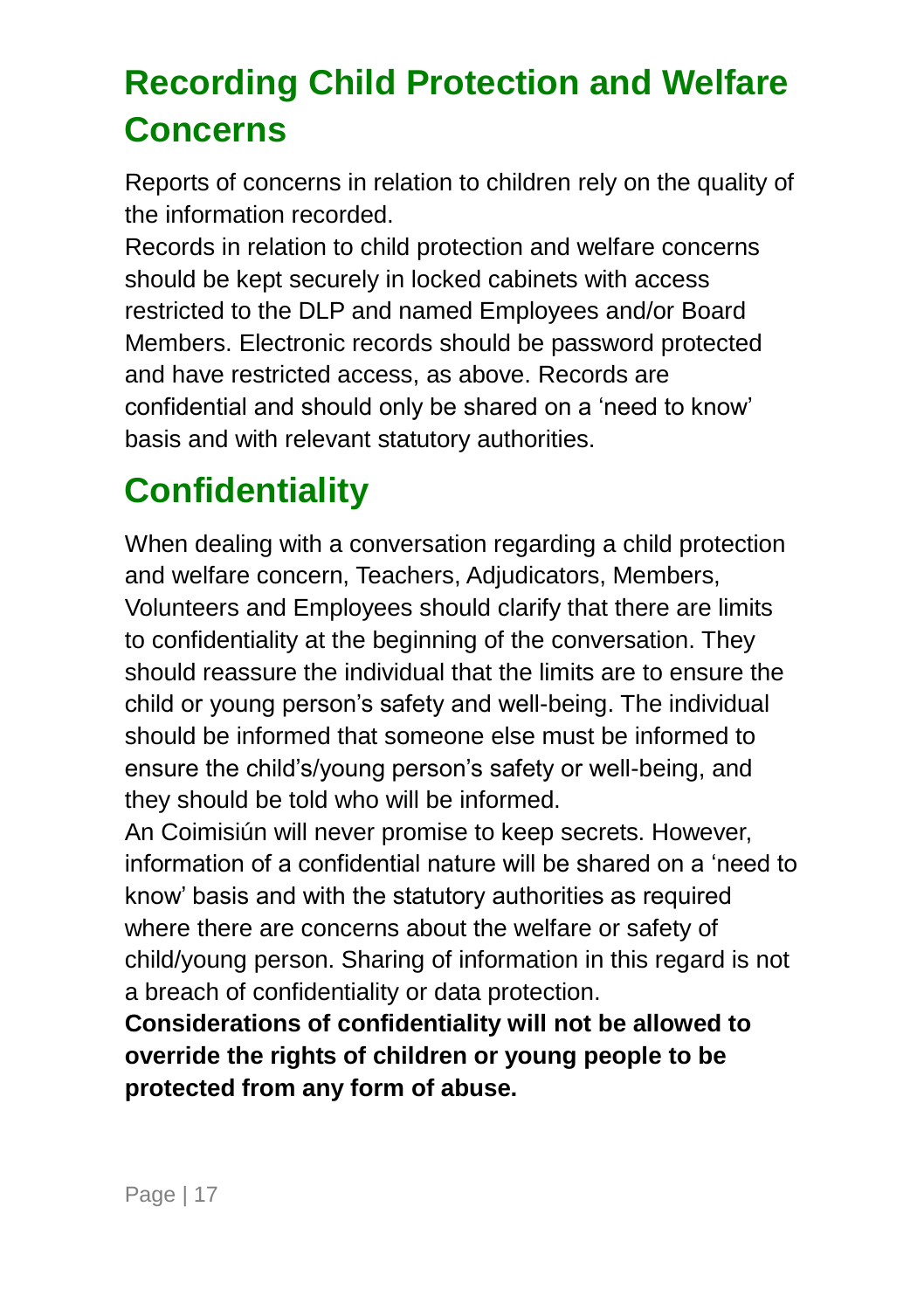### **Recording Child Protection and Welfare Concerns**

Reports of concerns in relation to children rely on the quality of the information recorded.

Records in relation to child protection and welfare concerns should be kept securely in locked cabinets with access restricted to the DLP and named Employees and/or Board Members. Electronic records should be password protected and have restricted access, as above. Records are confidential and should only be shared on a 'need to know' basis and with relevant statutory authorities.

## <span id="page-20-0"></span>**Confidentiality**

When dealing with a conversation regarding a child protection and welfare concern, Teachers, Adjudicators, Members, Volunteers and Employees should clarify that there are limits to confidentiality at the beginning of the conversation. They should reassure the individual that the limits are to ensure the child or young person's safety and well-being. The individual should be informed that someone else must be informed to ensure the child's/young person's safety or well-being, and they should be told who will be informed.

An Coimisiún will never promise to keep secrets. However, information of a confidential nature will be shared on a 'need to know' basis and with the statutory authorities as required where there are concerns about the welfare or safety of child/young person. Sharing of information in this regard is not a breach of confidentiality or data protection.

**Considerations of confidentiality will not be allowed to override the rights of children or young people to be protected from any form of abuse.**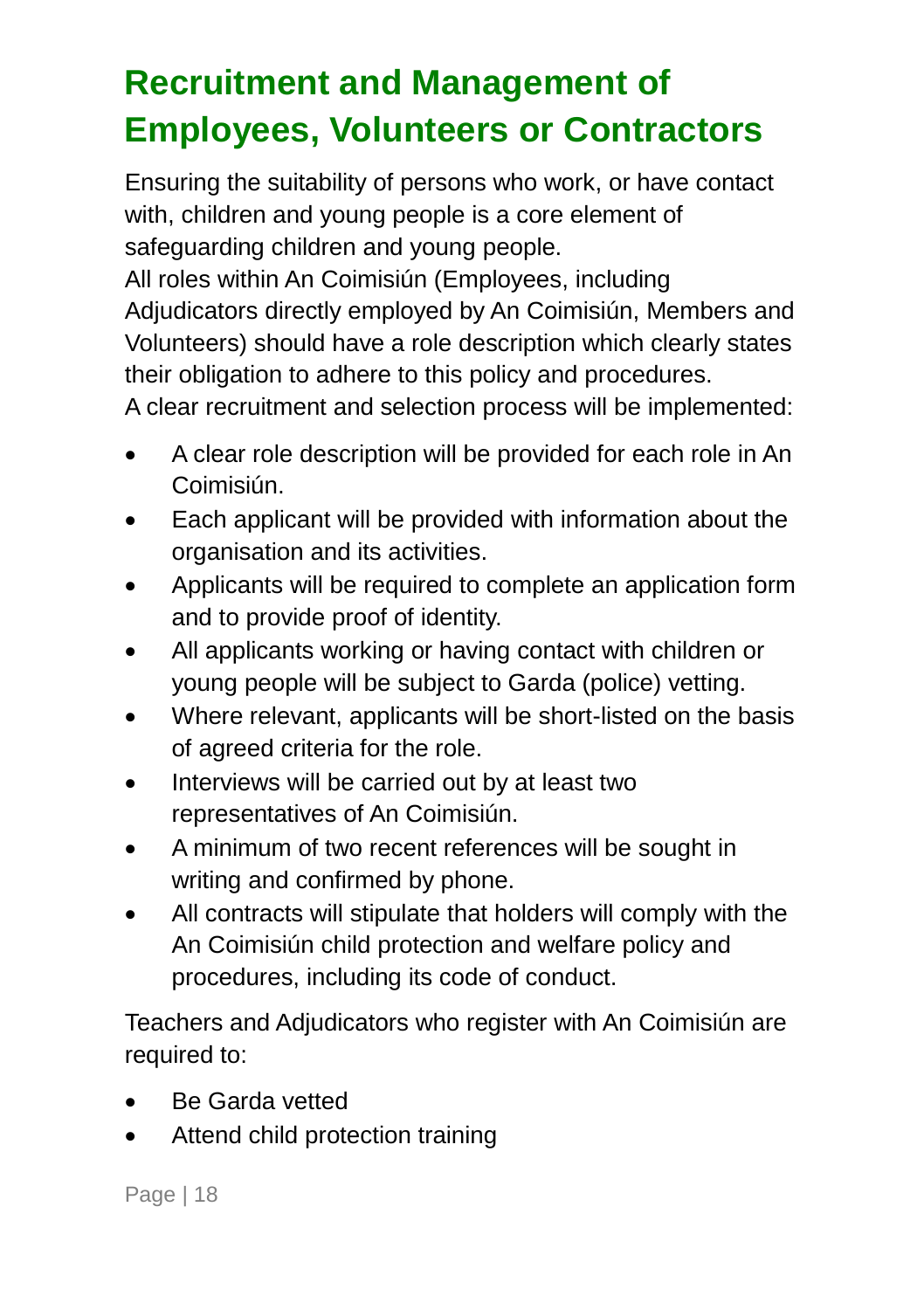## <span id="page-21-0"></span>**Recruitment and Management of Employees, Volunteers or Contractors**

Ensuring the suitability of persons who work, or have contact with, children and young people is a core element of safeguarding children and young people.

All roles within An Coimisiún (Employees, including Adjudicators directly employed by An Coimisiún, Members and Volunteers) should have a role description which clearly states their obligation to adhere to this policy and procedures.

A clear recruitment and selection process will be implemented:

- A clear role description will be provided for each role in An Coimisiún.
- Each applicant will be provided with information about the organisation and its activities.
- Applicants will be required to complete an application form and to provide proof of identity.
- All applicants working or having contact with children or young people will be subject to Garda (police) vetting.
- Where relevant, applicants will be short-listed on the basis of agreed criteria for the role.
- Interviews will be carried out by at least two representatives of An Coimisiún.
- A minimum of two recent references will be sought in writing and confirmed by phone.
- All contracts will stipulate that holders will comply with the An Coimisiún child protection and welfare policy and procedures, including its code of conduct.

Teachers and Adjudicators who register with An Coimisiún are required to:

- Be Garda vetted
- Attend child protection training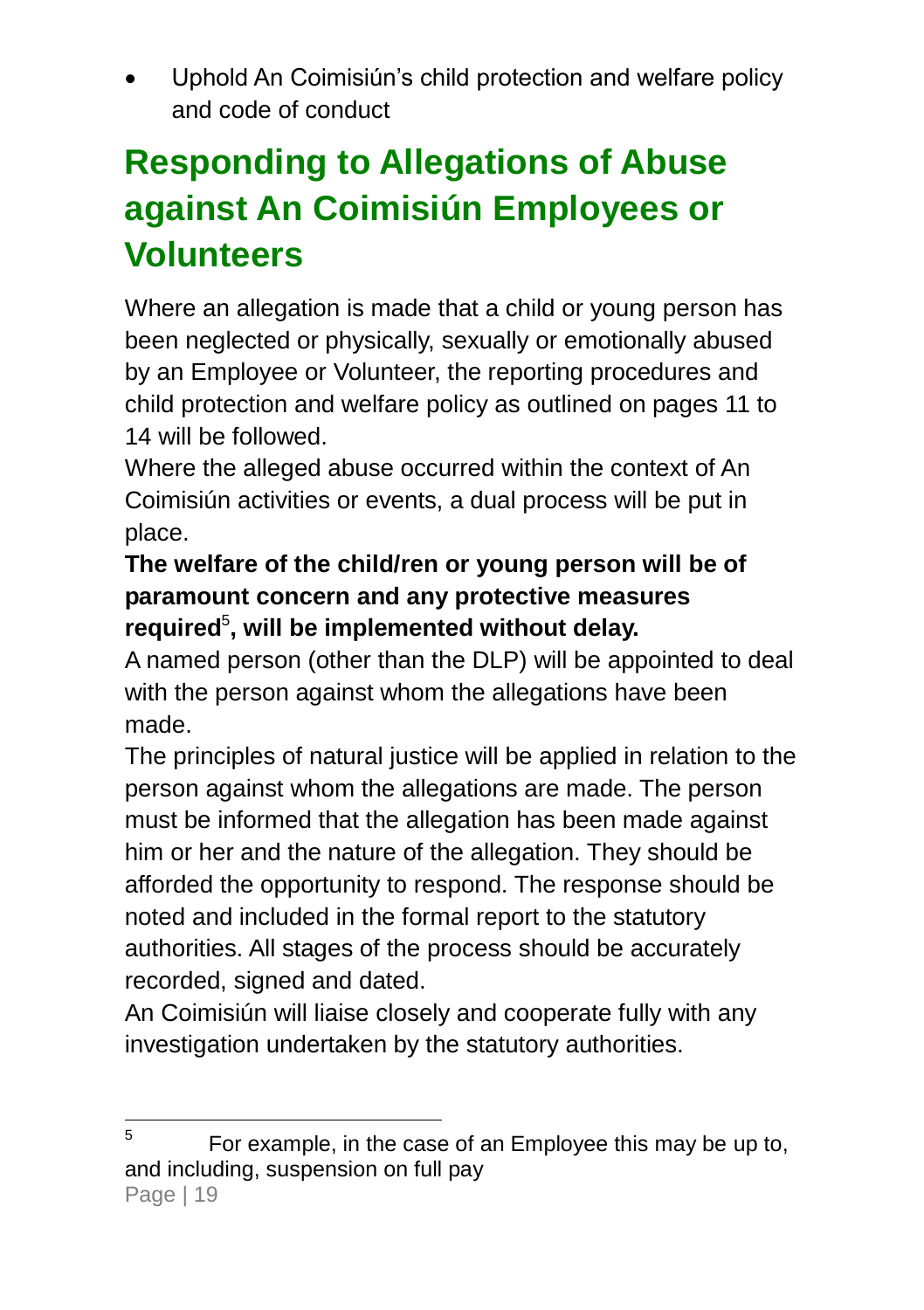Uphold An Coimisiún's child protection and welfare policy and code of conduct

## <span id="page-22-0"></span>**Responding to Allegations of Abuse against An Coimisiún Employees or Volunteers**

Where an allegation is made that a child or young person has been neglected or physically, sexually or emotionally abused by an Employee or Volunteer, the reporting procedures and child protection and welfare policy as outlined on pages [11](#page-14-0) to [14](#page-18-0) will be followed.

Where the alleged abuse occurred within the context of An Coimisiún activities or events, a dual process will be put in place.

#### **The welfare of the child/ren or young person will be of paramount concern and any protective measures required**<sup>5</sup> **, will be implemented without delay.**

A named person (other than the DLP) will be appointed to deal with the person against whom the allegations have been made.

The principles of natural justice will be applied in relation to the person against whom the allegations are made. The person must be informed that the allegation has been made against him or her and the nature of the allegation. They should be afforded the opportunity to respond. The response should be noted and included in the formal report to the statutory authorities. All stages of the process should be accurately recorded, signed and dated.

An Coimisiún will liaise closely and cooperate fully with any investigation undertaken by the statutory authorities.

<sup>—&</sup>lt;br>5 For example, in the case of an Employee this may be up to, and including, suspension on full pay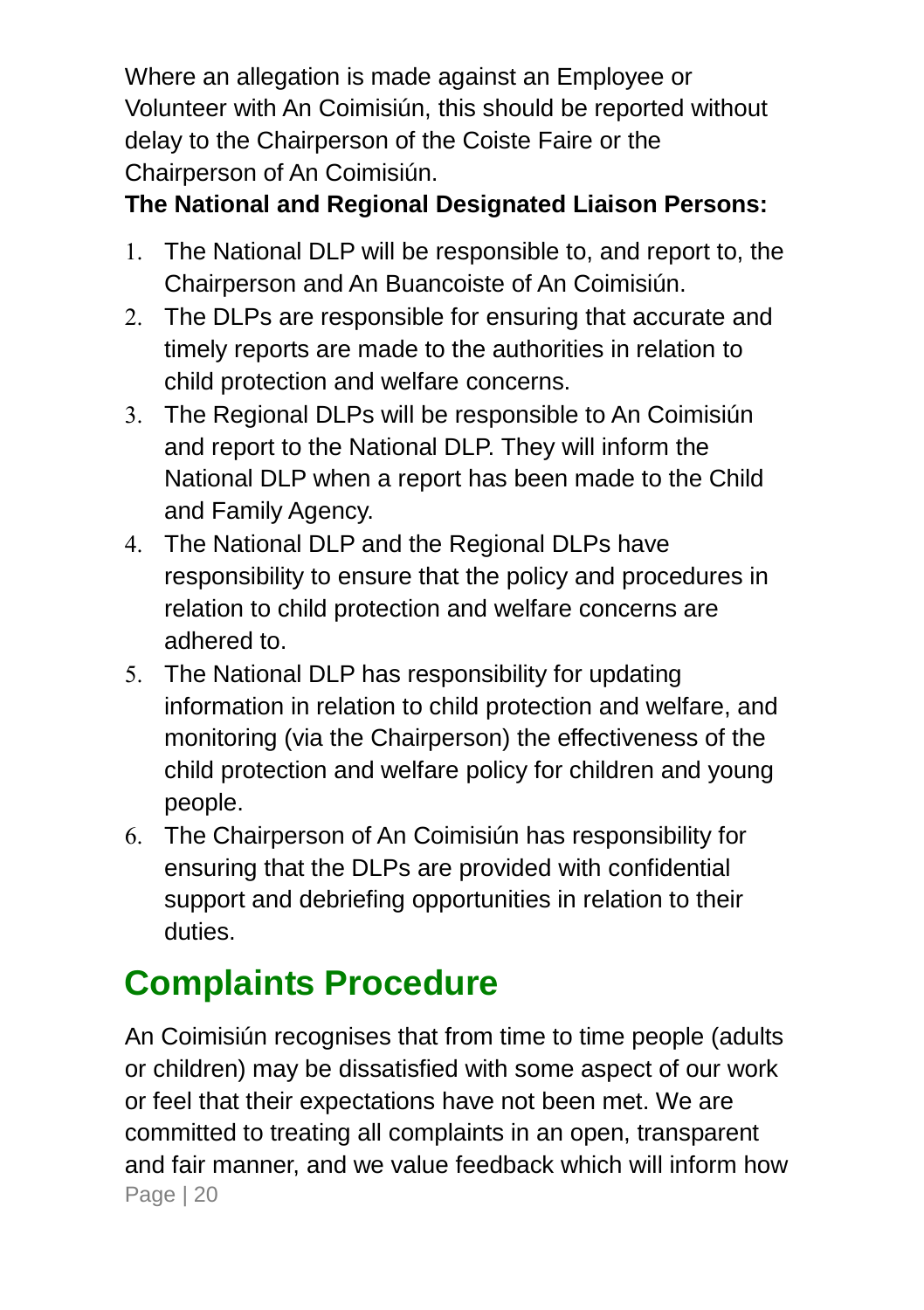Where an allegation is made against an Employee or Volunteer with An Coimisiún, this should be reported without delay to the Chairperson of the Coiste Faire or the Chairperson of An Coimisiún.

### **The National and Regional Designated Liaison Persons:**

- 1. The National DLP will be responsible to, and report to, the Chairperson and An Buancoiste of An Coimisiún.
- 2. The DLPs are responsible for ensuring that accurate and timely reports are made to the authorities in relation to child protection and welfare concerns.
- The Regional DLPs will be responsible to An Coimisiún and report to the National DLP. They will inform the National DLP when a report has been made to the Child and Family Agency.
- The National DLP and the Regional DLPs have responsibility to ensure that the policy and procedures in relation to child protection and welfare concerns are adhered to.
- 5. The National DLP has responsibility for updating information in relation to child protection and welfare, and monitoring (via the Chairperson) the effectiveness of the child protection and welfare policy for children and young people.
- The Chairperson of An Coimisiún has responsibility for ensuring that the DLPs are provided with confidential support and debriefing opportunities in relation to their duties.

## <span id="page-23-0"></span>**Complaints Procedure**

Page | 20 An Coimisiún recognises that from time to time people (adults or children) may be dissatisfied with some aspect of our work or feel that their expectations have not been met. We are committed to treating all complaints in an open, transparent and fair manner, and we value feedback which will inform how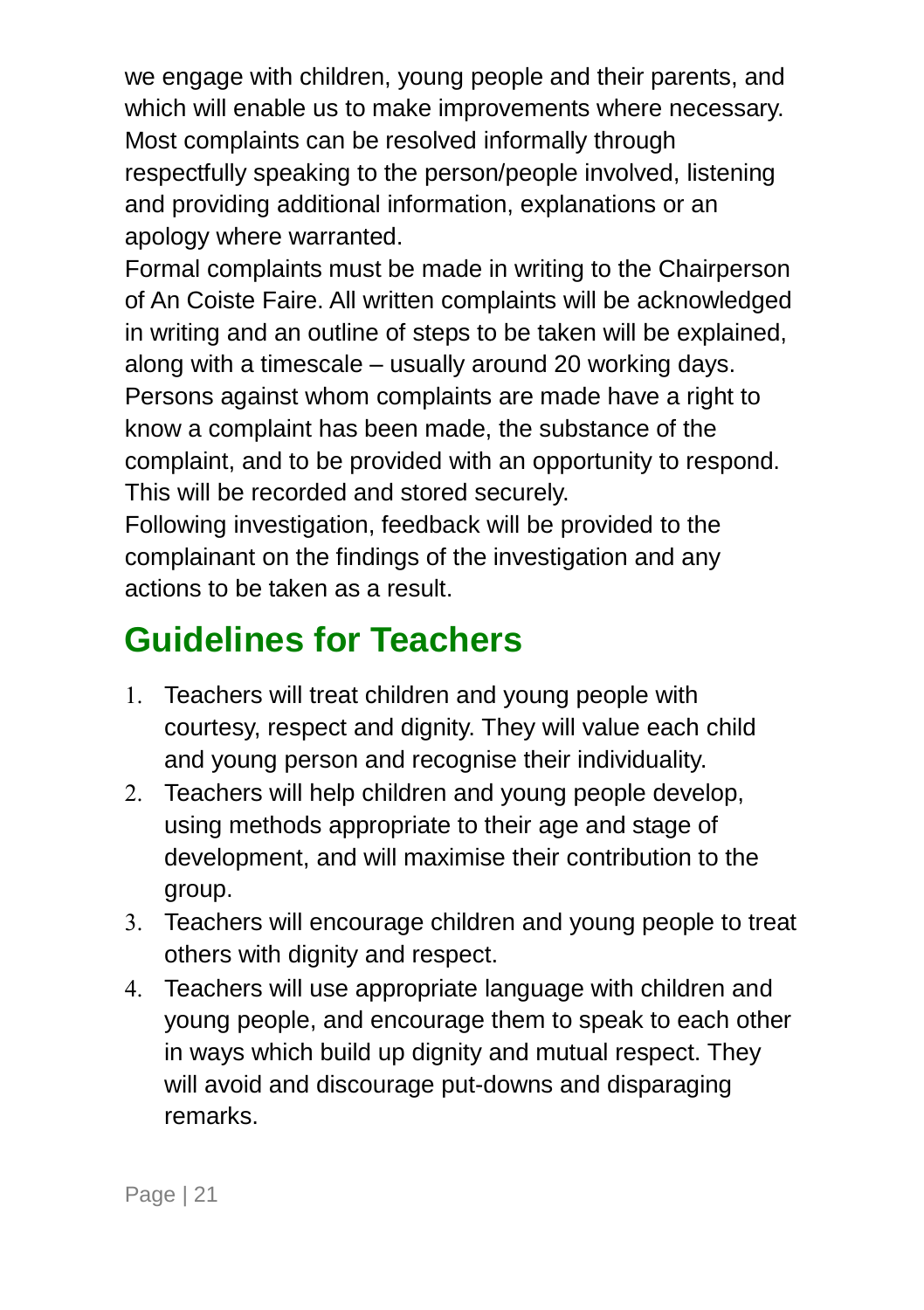we engage with children, young people and their parents, and which will enable us to make improvements where necessary. Most complaints can be resolved informally through respectfully speaking to the person/people involved, listening and providing additional information, explanations or an apology where warranted.

Formal complaints must be made in writing to the Chairperson of An Coiste Faire. All written complaints will be acknowledged in writing and an outline of steps to be taken will be explained, along with a timescale – usually around 20 working days. Persons against whom complaints are made have a right to know a complaint has been made, the substance of the complaint, and to be provided with an opportunity to respond. This will be recorded and stored securely.

Following investigation, feedback will be provided to the complainant on the findings of the investigation and any actions to be taken as a result.

### <span id="page-24-0"></span>**Guidelines for Teachers**

- 1. Teachers will treat children and young people with courtesy, respect and dignity. They will value each child and young person and recognise their individuality.
- 2. Teachers will help children and young people develop. using methods appropriate to their age and stage of development, and will maximise their contribution to the group.
- Teachers will encourage children and young people to treat others with dignity and respect.
- Teachers will use appropriate language with children and young people, and encourage them to speak to each other in ways which build up dignity and mutual respect. They will avoid and discourage put-downs and disparaging remarks.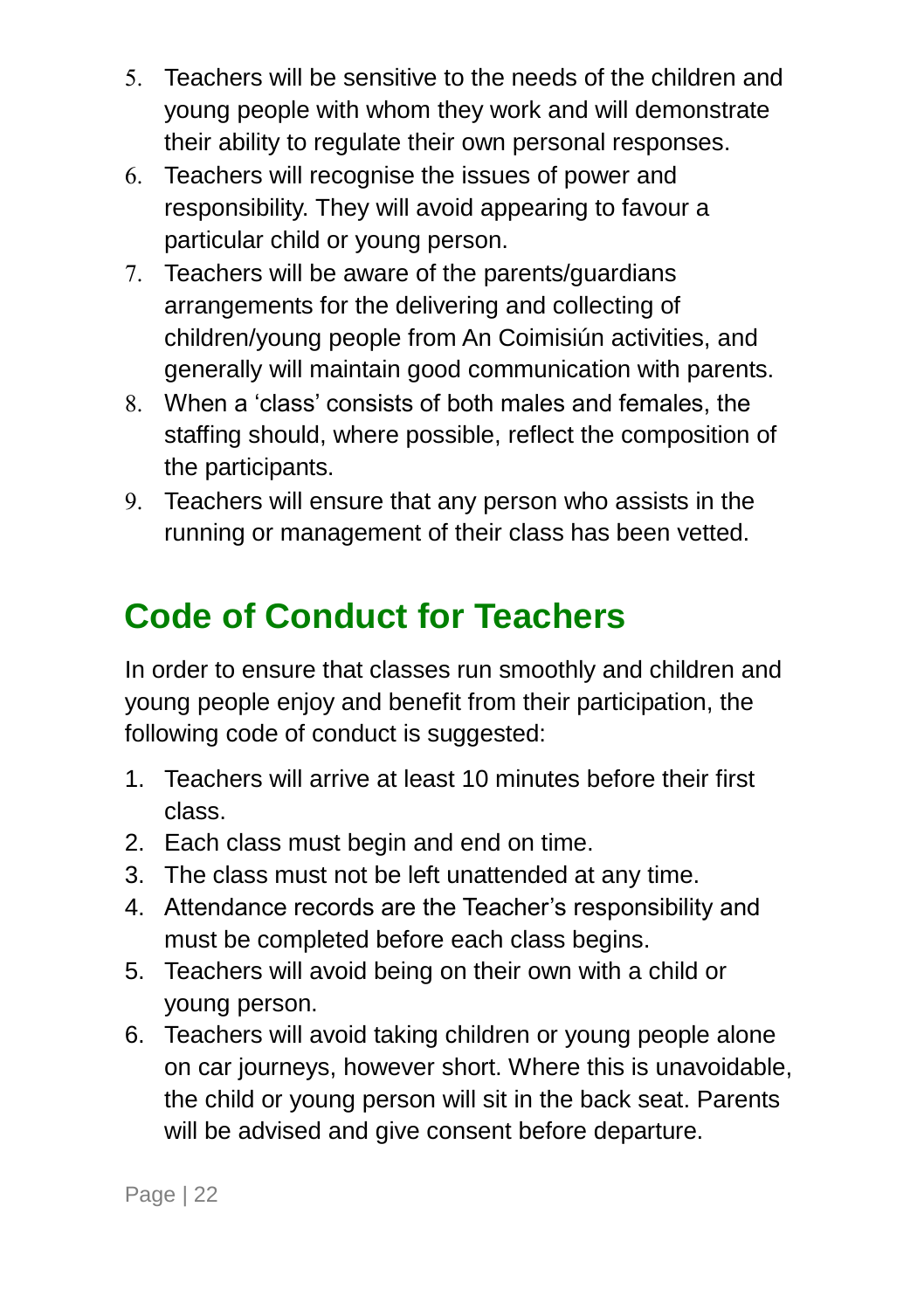- Teachers will be sensitive to the needs of the children and young people with whom they work and will demonstrate their ability to regulate their own personal responses.
- Teachers will recognise the issues of power and responsibility. They will avoid appearing to favour a particular child or young person.
- Teachers will be aware of the parents/guardians arrangements for the delivering and collecting of children/young people from An Coimisiún activities, and generally will maintain good communication with parents.
- When a 'class' consists of both males and females, the staffing should, where possible, reflect the composition of the participants.
- Teachers will ensure that any person who assists in the running or management of their class has been vetted.

### <span id="page-25-0"></span>**Code of Conduct for Teachers**

In order to ensure that classes run smoothly and children and young people enjoy and benefit from their participation, the following code of conduct is suggested:

- 1. Teachers will arrive at least 10 minutes before their first class.
- 2. Each class must begin and end on time.
- 3. The class must not be left unattended at any time.
- 4. Attendance records are the Teacher's responsibility and must be completed before each class begins.
- 5. Teachers will avoid being on their own with a child or young person.
- 6. Teachers will avoid taking children or young people alone on car journeys, however short. Where this is unavoidable, the child or young person will sit in the back seat. Parents will be advised and give consent before departure.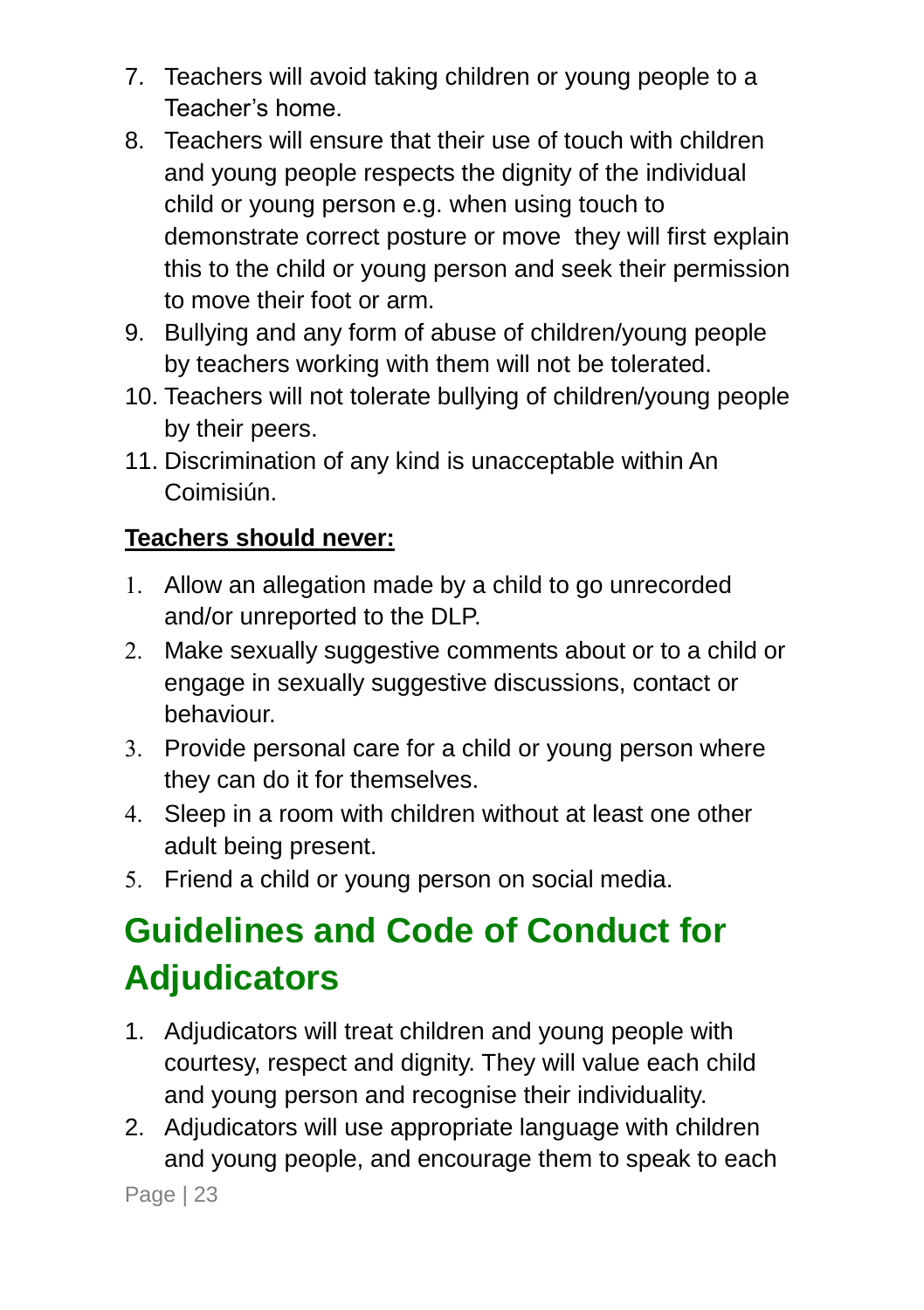- 7. Teachers will avoid taking children or young people to a Teacher's home.
- 8. Teachers will ensure that their use of touch with children and young people respects the dignity of the individual child or young person e.g. when using touch to demonstrate correct posture or move they will first explain this to the child or young person and seek their permission to move their foot or arm.
- 9. Bullying and any form of abuse of children/young people by teachers working with them will not be tolerated.
- 10. Teachers will not tolerate bullying of children/young people by their peers.
- 11. Discrimination of any kind is unacceptable within An Coimisiún.

### **Teachers should never:**

- 1. Allow an allegation made by a child to go unrecorded and/or unreported to the DLP.
- 2. Make sexually suggestive comments about or to a child or engage in sexually suggestive discussions, contact or behaviour.
- Provide personal care for a child or young person where they can do it for themselves.
- Sleep in a room with children without at least one other adult being present.
- 5. Friend a child or young person on social media.

### <span id="page-26-0"></span>**Guidelines and Code of Conduct for Adjudicators**

- 1. Adjudicators will treat children and young people with courtesy, respect and dignity. They will value each child and young person and recognise their individuality.
- 2. Adjudicators will use appropriate language with children and young people, and encourage them to speak to each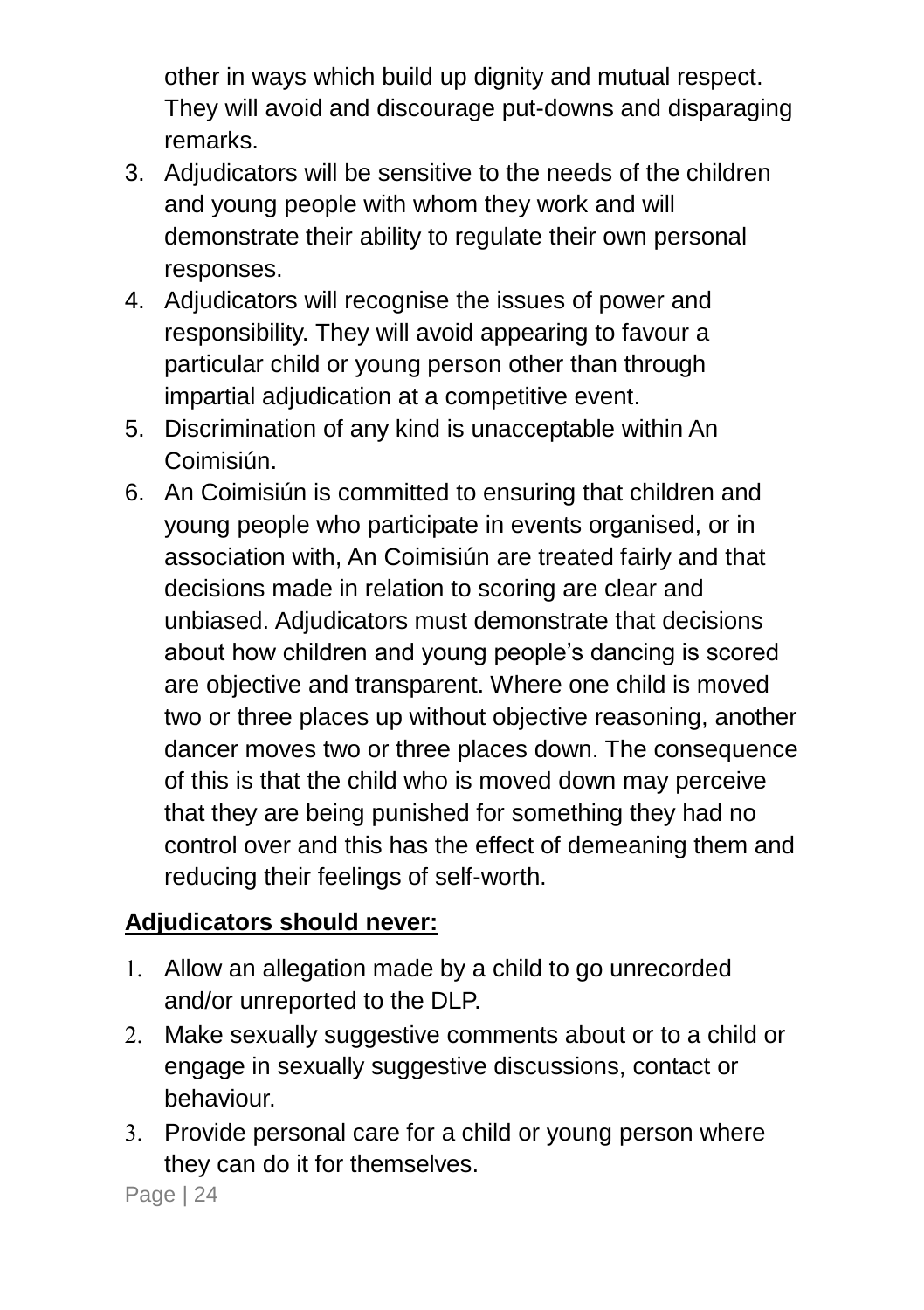other in ways which build up dignity and mutual respect. They will avoid and discourage put-downs and disparaging remarks.

- 3. Adjudicators will be sensitive to the needs of the children and young people with whom they work and will demonstrate their ability to regulate their own personal responses.
- 4. Adjudicators will recognise the issues of power and responsibility. They will avoid appearing to favour a particular child or young person other than through impartial adjudication at a competitive event.
- 5. Discrimination of any kind is unacceptable within An Coimisiún.
- 6. An Coimisiún is committed to ensuring that children and young people who participate in events organised, or in association with, An Coimisiún are treated fairly and that decisions made in relation to scoring are clear and unbiased. Adjudicators must demonstrate that decisions about how children and young people's dancing is scored are objective and transparent. Where one child is moved two or three places up without objective reasoning, another dancer moves two or three places down. The consequence of this is that the child who is moved down may perceive that they are being punished for something they had no control over and this has the effect of demeaning them and reducing their feelings of self-worth.

#### **Adjudicators should never:**

- 1. Allow an allegation made by a child to go unrecorded and/or unreported to the DLP.
- 2. Make sexually suggestive comments about or to a child or engage in sexually suggestive discussions, contact or behaviour.
- Provide personal care for a child or young person where they can do it for themselves.

Page | 24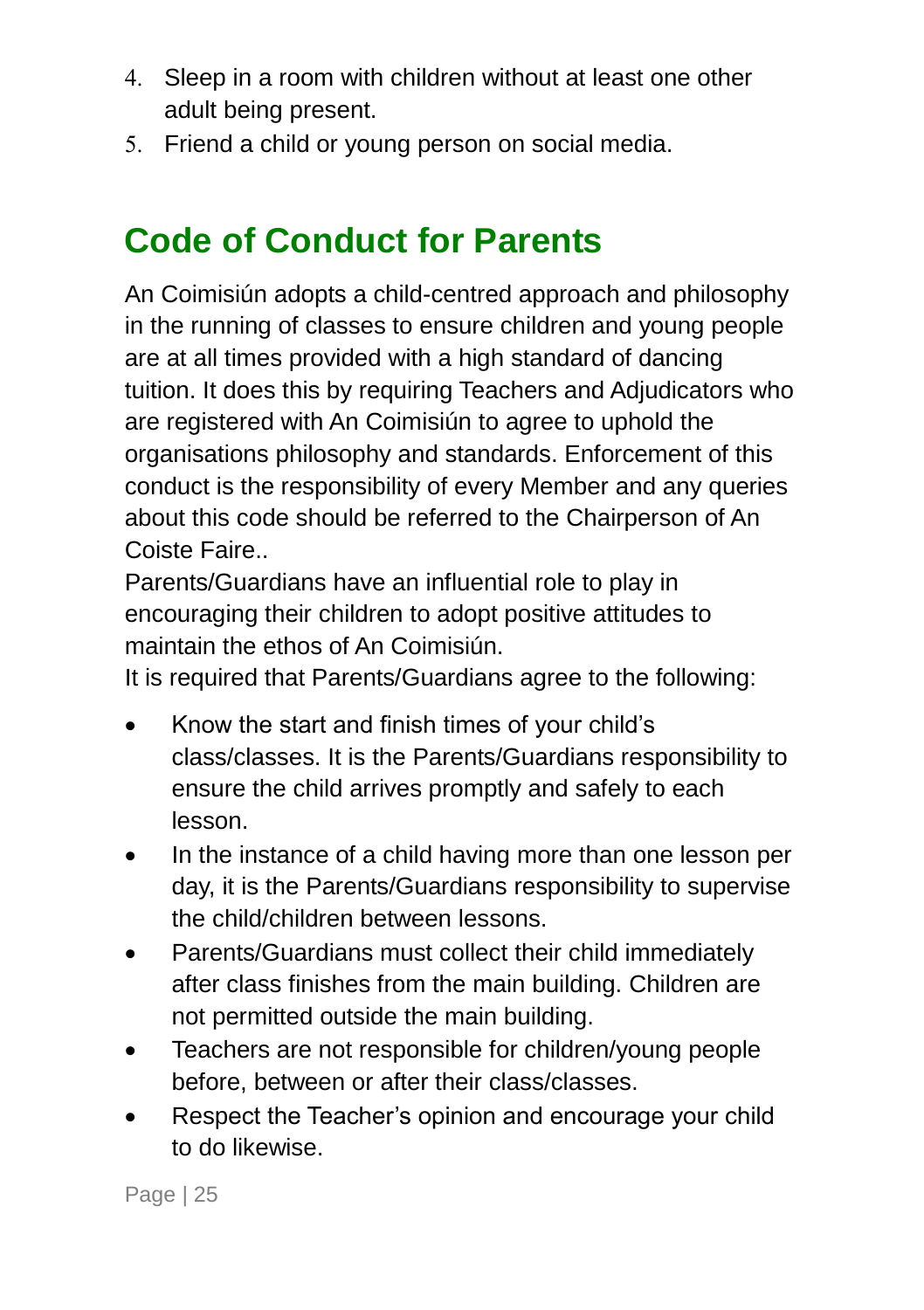- Sleep in a room with children without at least one other adult being present.
- 5. Friend a child or young person on social media.

### <span id="page-28-0"></span>**Code of Conduct for Parents**

An Coimisiún adopts a child-centred approach and philosophy in the running of classes to ensure children and young people are at all times provided with a high standard of dancing tuition. It does this by requiring Teachers and Adjudicators who are registered with An Coimisiún to agree to uphold the organisations philosophy and standards. Enforcement of this conduct is the responsibility of every Member and any queries about this code should be referred to the Chairperson of An Coiste Faire..

Parents/Guardians have an influential role to play in encouraging their children to adopt positive attitudes to maintain the ethos of An Coimisiún.

It is required that Parents/Guardians agree to the following:

- Know the start and finish times of your child's class/classes. It is the Parents/Guardians responsibility to ensure the child arrives promptly and safely to each lesson.
- In the instance of a child having more than one lesson per day, it is the Parents/Guardians responsibility to supervise the child/children between lessons.
- Parents/Guardians must collect their child immediately after class finishes from the main building. Children are not permitted outside the main building.
- Teachers are not responsible for children/young people before, between or after their class/classes.
- Respect the Teacher's opinion and encourage your child to do likewise.

Page | 25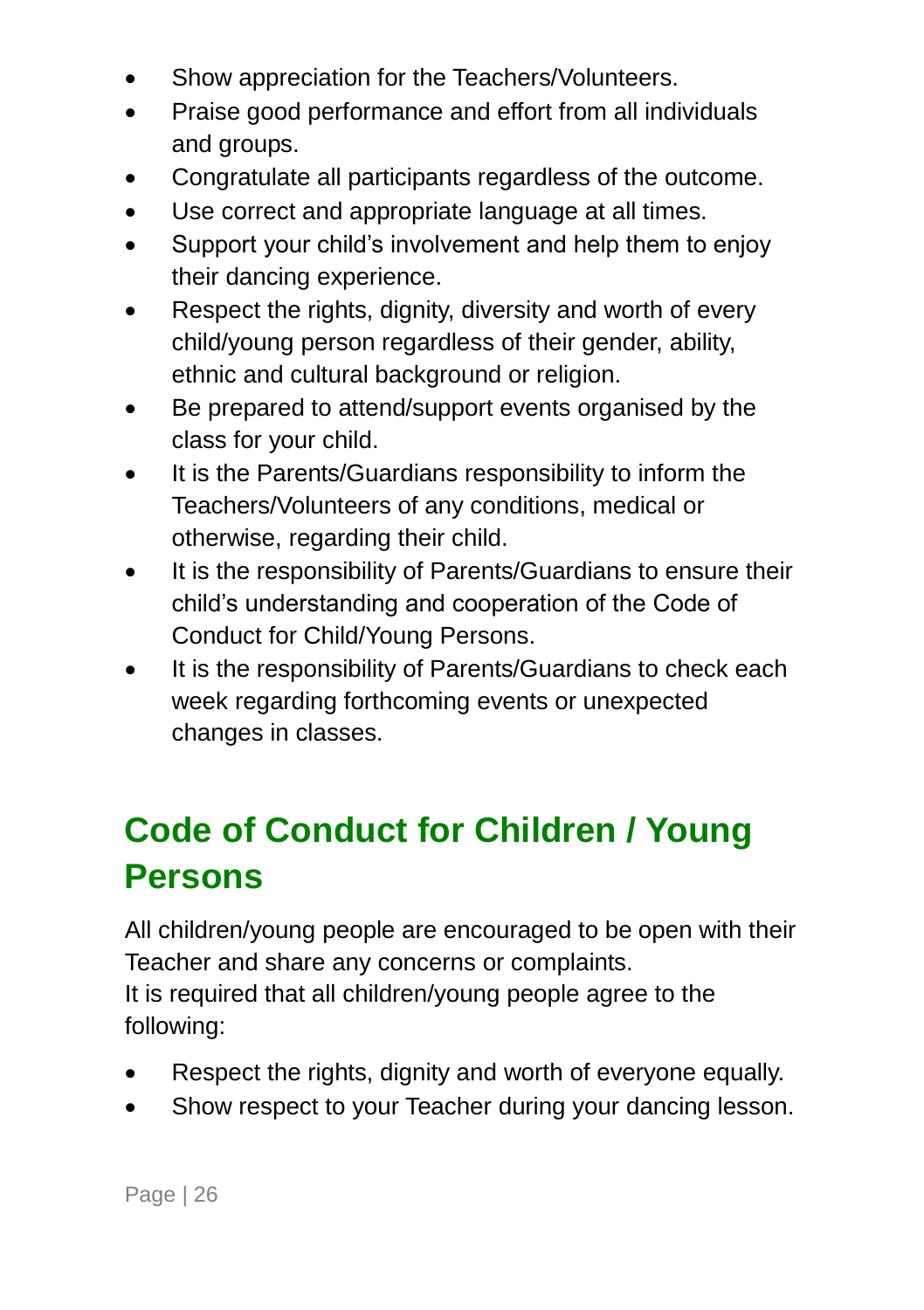- Show appreciation for the Teachers/Volunteers.
- Praise good performance and effort from all individuals and groups.
- Congratulate all participants regardless of the outcome.
- Use correct and appropriate language at all times.
- Support your child's involvement and help them to enjoy their dancing experience.
- Respect the rights, dignity, diversity and worth of every child/young person regardless of their gender, ability, ethnic and cultural background or religion.
- Be prepared to attend/support events organised by the class for your child.
- It is the Parents/Guardians responsibility to inform the Teachers/Volunteers of any conditions, medical or otherwise, regarding their child.
- It is the responsibility of Parents/Guardians to ensure their child's understanding and cooperation of the Code of Conduct for Child/Young Persons.
- It is the responsibility of Parents/Guardians to check each week regarding forthcoming events or unexpected changes in classes.

### <span id="page-29-0"></span>**Code of Conduct for Children / Young Persons**

All children/young people are encouraged to be open with their Teacher and share any concerns or complaints.

It is required that all children/young people agree to the following:

- Respect the rights, dignity and worth of everyone equally.
- Show respect to your Teacher during your dancing lesson.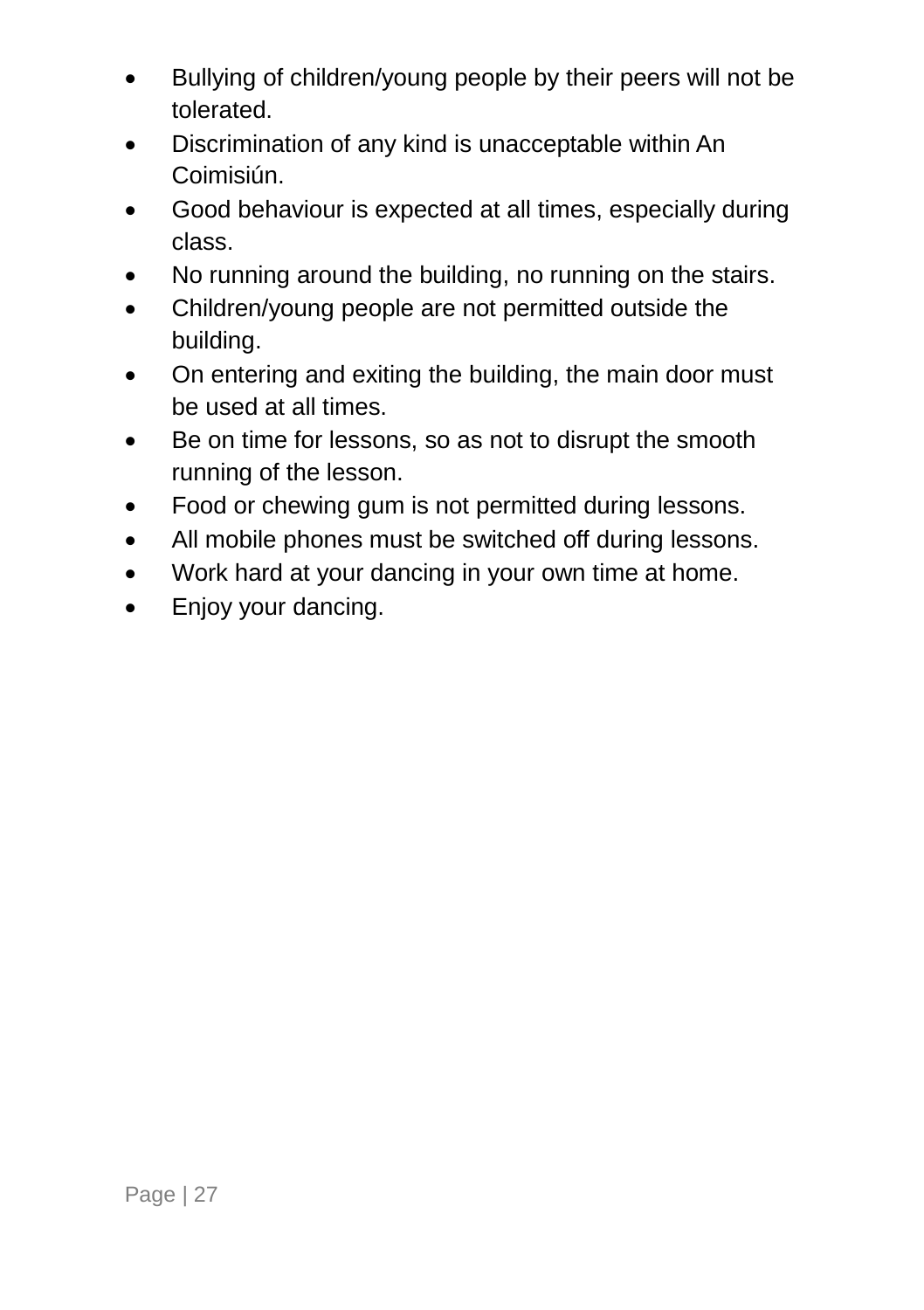- Bullying of children/young people by their peers will not be tolerated.
- Discrimination of any kind is unacceptable within An Coimisiún.
- Good behaviour is expected at all times, especially during class.
- No running around the building, no running on the stairs.
- Children/young people are not permitted outside the building.
- On entering and exiting the building, the main door must be used at all times.
- Be on time for lessons, so as not to disrupt the smooth running of the lesson.
- Food or chewing gum is not permitted during lessons.
- All mobile phones must be switched off during lessons.
- Work hard at your dancing in your own time at home.
- <span id="page-30-0"></span>• Enjoy your dancing.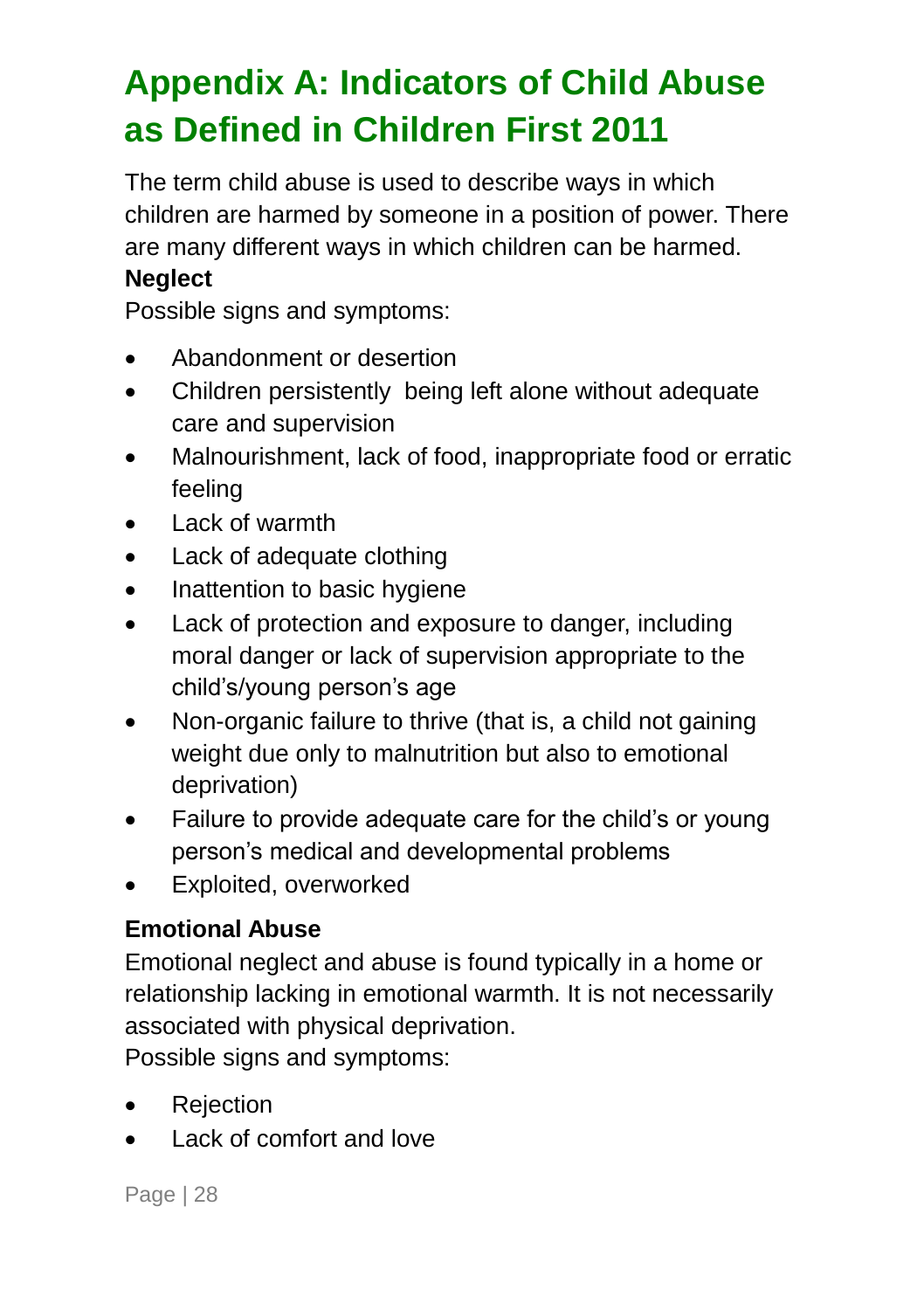## <span id="page-31-0"></span>**Appendix A: Indicators of Child Abuse as Defined in Children First 2011**

The term child abuse is used to describe ways in which children are harmed by someone in a position of power. There are many different ways in which children can be harmed.

### **Neglect**

Possible signs and symptoms:

- Abandonment or desertion
- Children persistently being left alone without adequate care and supervision
- Malnourishment, lack of food, inappropriate food or erratic feeling
- Lack of warmth
- Lack of adequate clothing
- Inattention to basic hygiene
- Lack of protection and exposure to danger, including moral danger or lack of supervision appropriate to the child's/young person's age
- Non-organic failure to thrive (that is, a child not gaining weight due only to malnutrition but also to emotional deprivation)
- Failure to provide adequate care for the child's or young person's medical and developmental problems
- Exploited, overworked

#### **Emotional Abuse**

Emotional neglect and abuse is found typically in a home or relationship lacking in emotional warmth. It is not necessarily associated with physical deprivation.

Possible signs and symptoms:

- Rejection
- Lack of comfort and love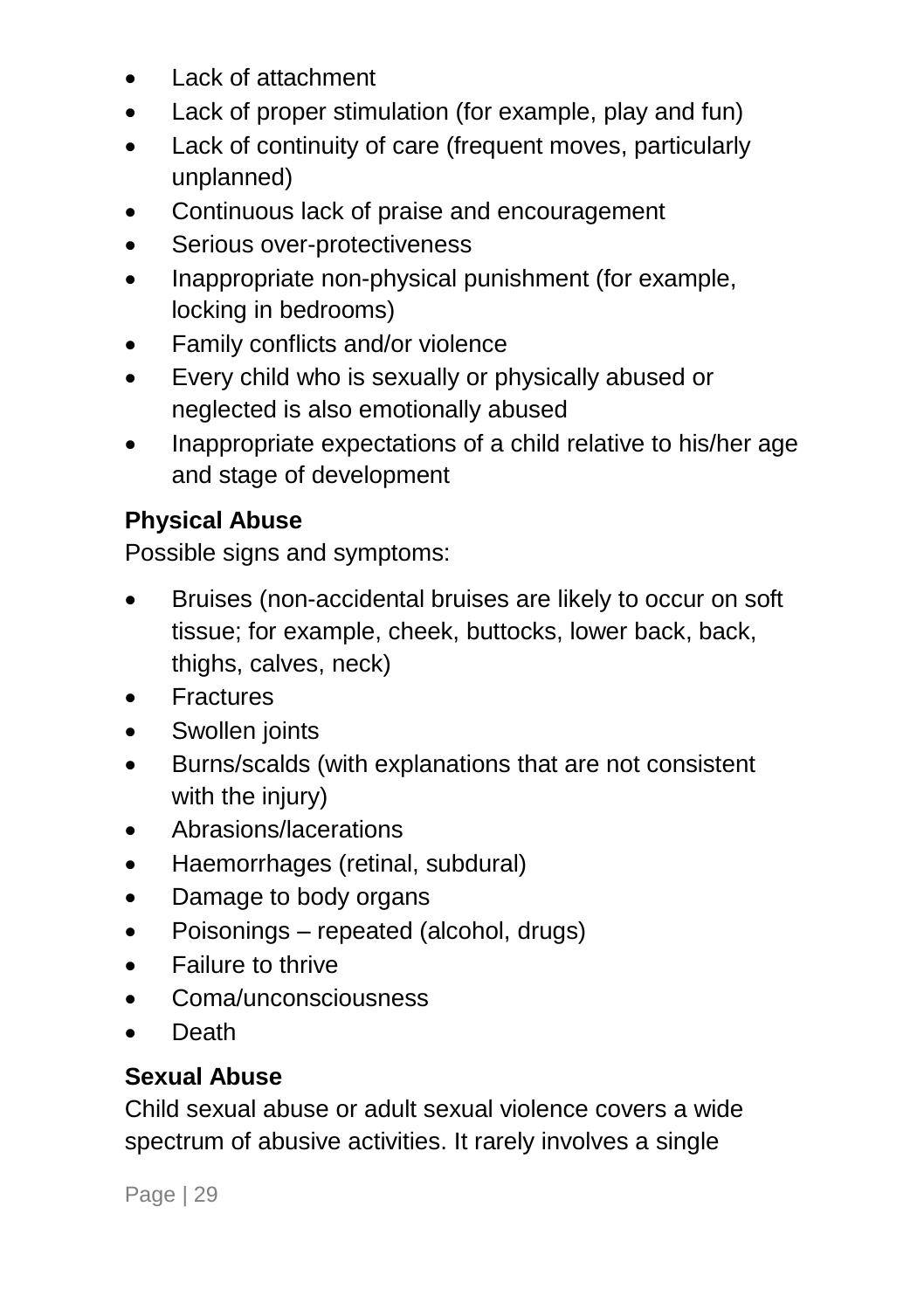- Lack of attachment
- Lack of proper stimulation (for example, play and fun)
- Lack of continuity of care (frequent moves, particularly unplanned)
- Continuous lack of praise and encouragement
- Serious over-protectiveness
- Inappropriate non-physical punishment (for example, locking in bedrooms)
- Family conflicts and/or violence
- Every child who is sexually or physically abused or neglected is also emotionally abused
- Inappropriate expectations of a child relative to his/her age and stage of development

#### **Physical Abuse**

Possible signs and symptoms:

- Bruises (non-accidental bruises are likely to occur on soft tissue; for example, cheek, buttocks, lower back, back, thighs, calves, neck)
- Fractures
- Swollen joints
- Burns/scalds (with explanations that are not consistent with the injury)
- Abrasions/lacerations
- Haemorrhages (retinal, subdural)
- Damage to body organs
- Poisonings repeated (alcohol, drugs)
- Failure to thrive
- Coma/unconsciousness
- Death

### **Sexual Abuse**

Child sexual abuse or adult sexual violence covers a wide spectrum of abusive activities. It rarely involves a single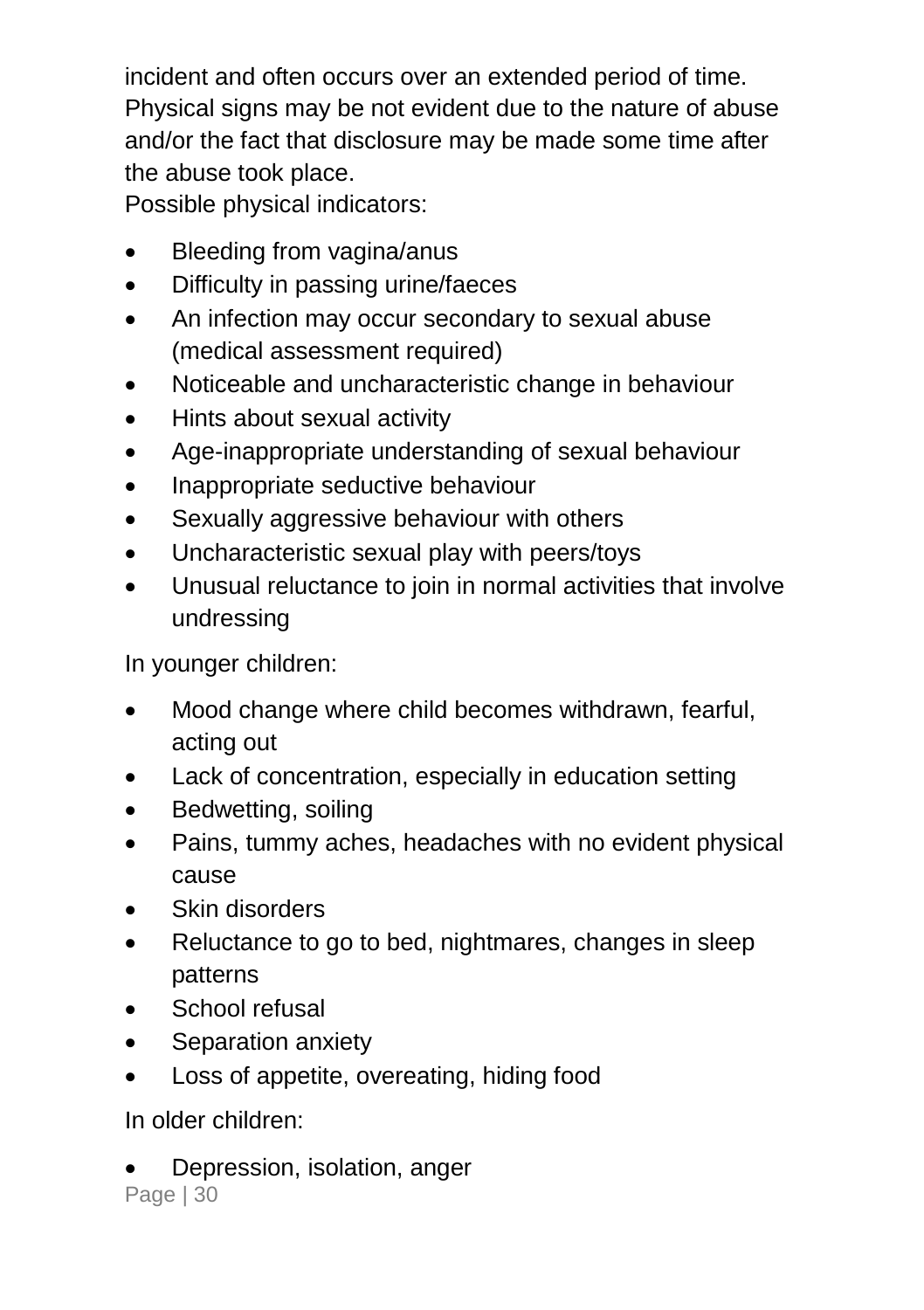incident and often occurs over an extended period of time. Physical signs may be not evident due to the nature of abuse and/or the fact that disclosure may be made some time after the abuse took place.

Possible physical indicators:

- Bleeding from vagina/anus
- Difficulty in passing urine/faeces
- An infection may occur secondary to sexual abuse (medical assessment required)
- Noticeable and uncharacteristic change in behaviour
- Hints about sexual activity
- Age-inappropriate understanding of sexual behaviour
- Inappropriate seductive behaviour
- Sexually aggressive behaviour with others
- Uncharacteristic sexual play with peers/toys
- Unusual reluctance to join in normal activities that involve undressing

In younger children:

- Mood change where child becomes withdrawn, fearful, acting out
- Lack of concentration, especially in education setting
- Bedwetting, soiling
- Pains, tummy aches, headaches with no evident physical cause
- Skin disorders
- Reluctance to go to bed, nightmares, changes in sleep patterns
- School refusal
- Separation anxiety
- Loss of appetite, overeating, hiding food

In older children:

Depression, isolation, anger

Page | 30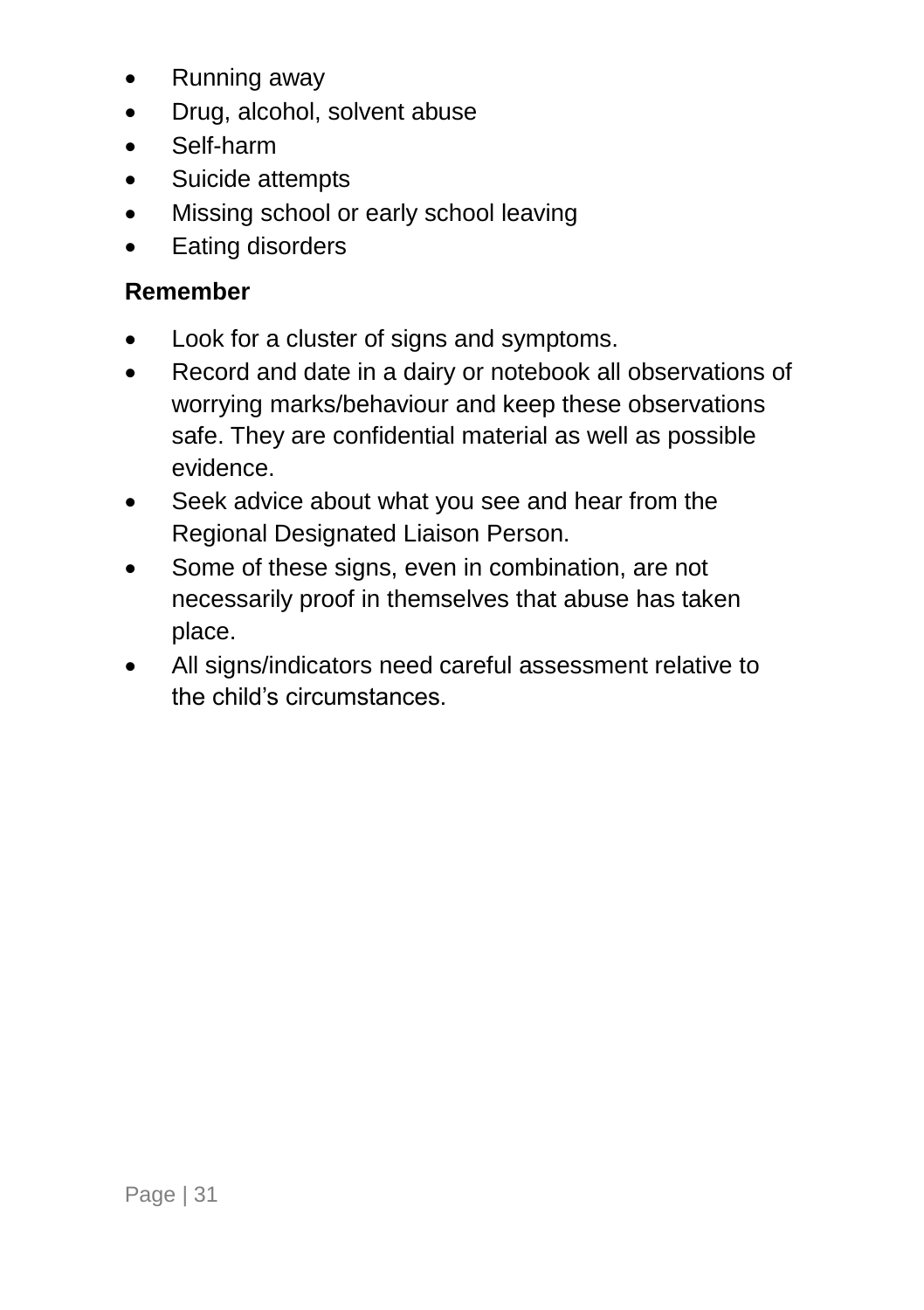- Running away
- Drug, alcohol, solvent abuse
- Self-harm
- Suicide attempts
- Missing school or early school leaving
- Eating disorders

#### **Remember**

- Look for a cluster of signs and symptoms.
- Record and date in a dairy or notebook all observations of worrying marks/behaviour and keep these observations safe. They are confidential material as well as possible evidence.
- Seek advice about what you see and hear from the Regional Designated Liaison Person.
- Some of these signs, even in combination, are not necessarily proof in themselves that abuse has taken place.
- All signs/indicators need careful assessment relative to the child's circumstances.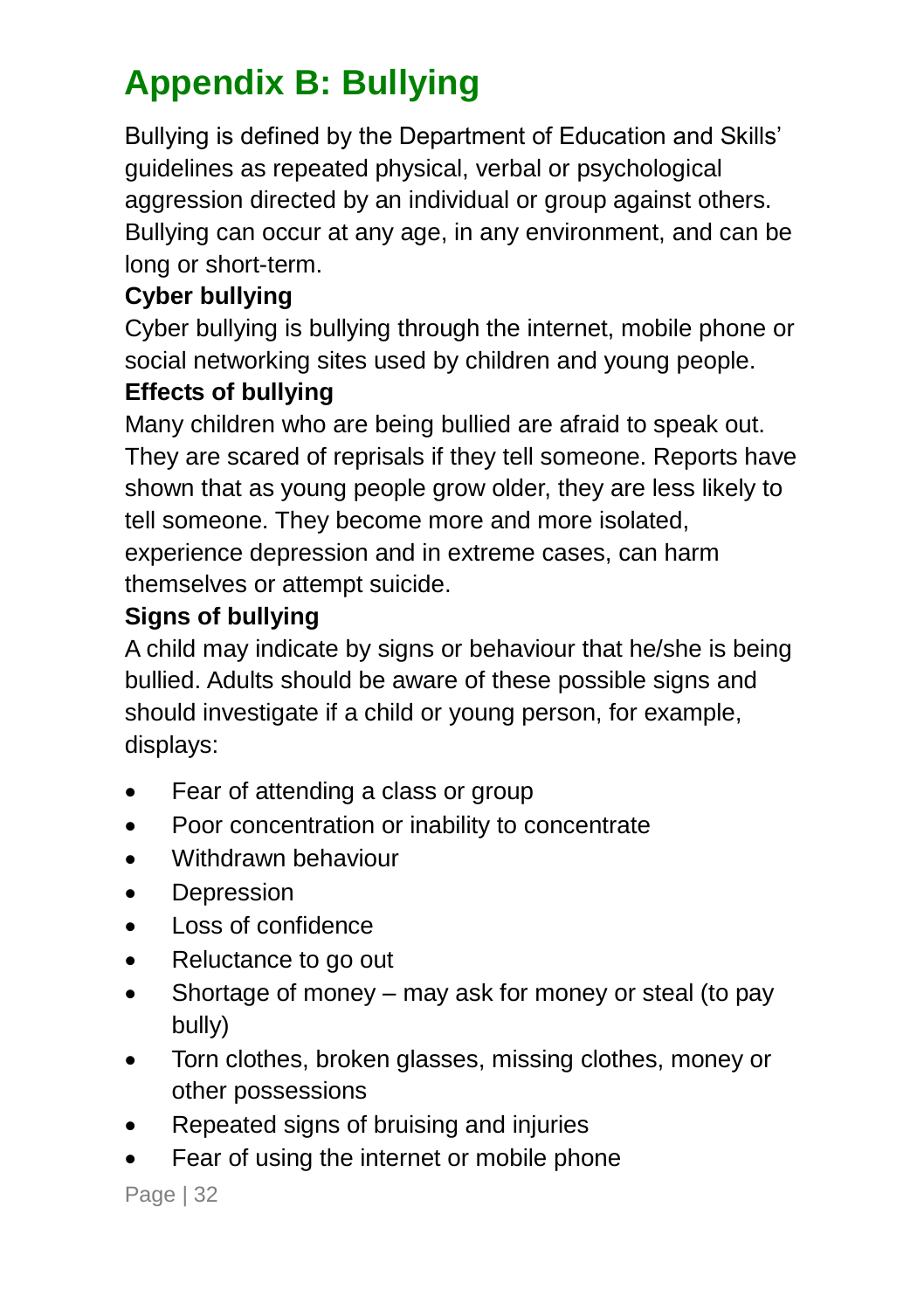### <span id="page-35-0"></span>**Appendix B: Bullying**

Bullying is defined by the Department of Education and Skills' guidelines as repeated physical, verbal or psychological aggression directed by an individual or group against others. Bullying can occur at any age, in any environment, and can be long or short-term.

#### **Cyber bullying**

Cyber bullying is bullying through the internet, mobile phone or social networking sites used by children and young people.

#### **Effects of bullying**

Many children who are being bullied are afraid to speak out. They are scared of reprisals if they tell someone. Reports have shown that as young people grow older, they are less likely to tell someone. They become more and more isolated, experience depression and in extreme cases, can harm themselves or attempt suicide.

#### **Signs of bullying**

A child may indicate by signs or behaviour that he/she is being bullied. Adults should be aware of these possible signs and should investigate if a child or young person, for example, displays:

- Fear of attending a class or group
- Poor concentration or inability to concentrate
- Withdrawn behaviour
- Depression
- Loss of confidence
- Reluctance to go out
- Shortage of money may ask for money or steal (to pay bully)
- Torn clothes, broken glasses, missing clothes, money or other possessions
- Repeated signs of bruising and injuries
- Fear of using the internet or mobile phone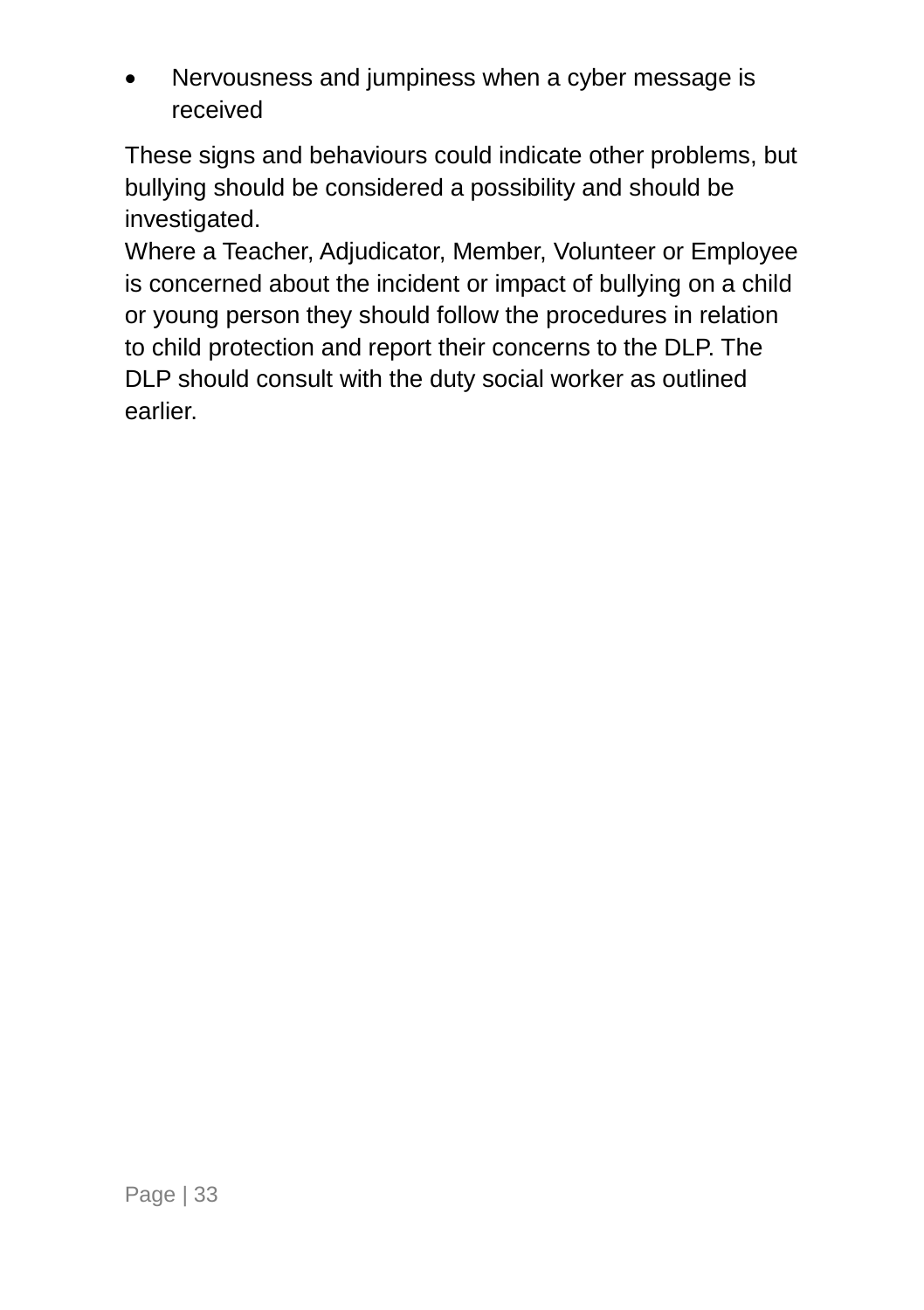Nervousness and jumpiness when a cyber message is received

These signs and behaviours could indicate other problems, but bullying should be considered a possibility and should be investigated.

Where a Teacher, Adjudicator, Member, Volunteer or Employee is concerned about the incident or impact of bullying on a child or young person they should follow the procedures in relation to child protection and report their concerns to the DLP. The DLP should consult with the duty social worker as outlined earlier.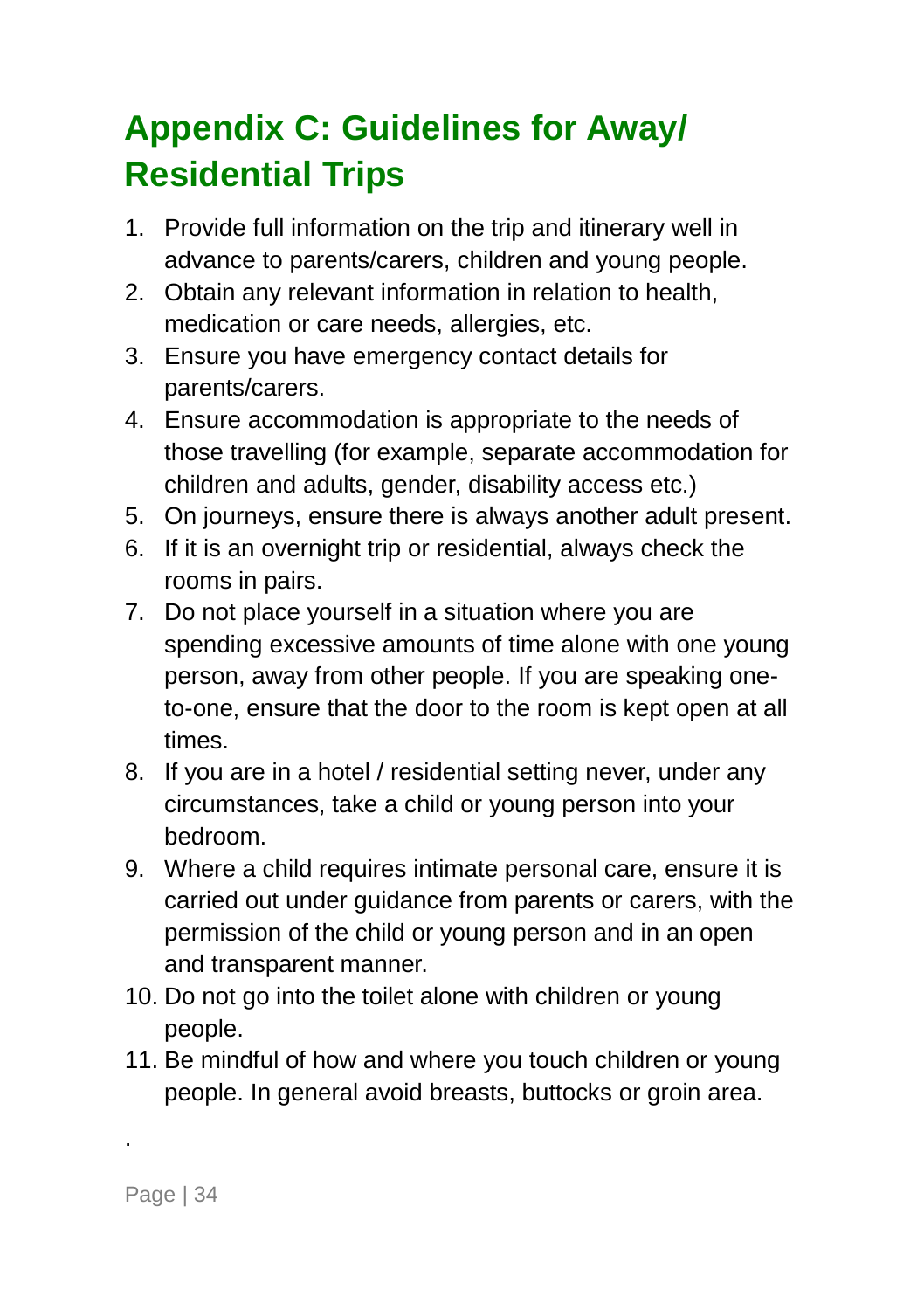### <span id="page-37-0"></span>**Appendix C: Guidelines for Away/ Residential Trips**

- 1. Provide full information on the trip and itinerary well in advance to parents/carers, children and young people.
- 2. Obtain any relevant information in relation to health, medication or care needs, allergies, etc.
- 3. Ensure you have emergency contact details for parents/carers.
- 4. Ensure accommodation is appropriate to the needs of those travelling (for example, separate accommodation for children and adults, gender, disability access etc.)
- 5. On journeys, ensure there is always another adult present.
- 6. If it is an overnight trip or residential, always check the rooms in pairs.
- 7. Do not place yourself in a situation where you are spending excessive amounts of time alone with one young person, away from other people. If you are speaking oneto-one, ensure that the door to the room is kept open at all times.
- 8. If you are in a hotel / residential setting never, under any circumstances, take a child or young person into your bedroom.
- 9. Where a child requires intimate personal care, ensure it is carried out under guidance from parents or carers, with the permission of the child or young person and in an open and transparent manner.
- 10. Do not go into the toilet alone with children or young people.
- 11. Be mindful of how and where you touch children or young people. In general avoid breasts, buttocks or groin area.

.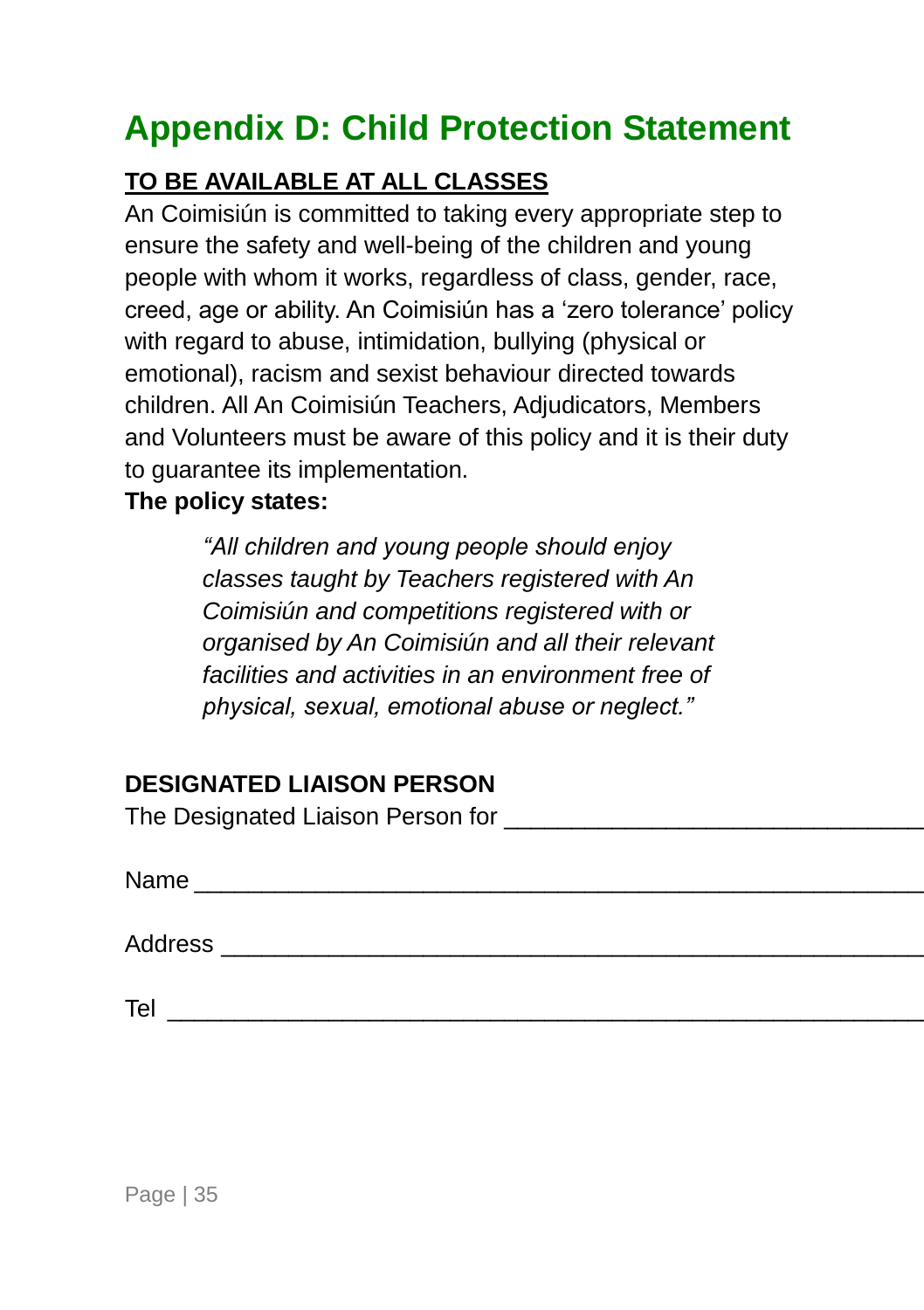### <span id="page-38-0"></span>**Appendix D: Child Protection Statement**

#### **TO BE AVAILABLE AT ALL CLASSES**

An Coimisiún is committed to taking every appropriate step to ensure the safety and well-being of the children and young people with whom it works, regardless of class, gender, race, creed, age or ability. An Coimisiún has a 'zero tolerance' policy with regard to abuse, intimidation, bullying (physical or emotional), racism and sexist behaviour directed towards children. All An Coimisiún Teachers, Adjudicators, Members and Volunteers must be aware of this policy and it is their duty to guarantee its implementation.

#### **The policy states:**

*"All children and young people should enjoy classes taught by Teachers registered with An Coimisiún and competitions registered with or organised by An Coimisiún and all their relevant facilities and activities in an environment free of physical, sexual, emotional abuse or neglect."*

### **DESIGNATED LIAISON PERSON**

The Designated Liaison Person for **The Designated** 

| N۵<br>$-$<br>. |  |  |
|----------------|--|--|
|                |  |  |

Address \_\_\_\_\_\_\_\_\_\_\_\_\_\_\_\_\_\_\_\_\_\_\_\_\_\_\_\_\_\_\_\_\_\_\_\_\_\_\_\_\_\_\_\_\_\_\_\_\_\_\_\_\_\_\_\_\_\_\_\_

Tel \_\_\_\_\_\_\_\_\_\_\_\_\_\_\_\_\_\_\_\_\_\_\_\_\_\_\_\_\_\_\_\_\_\_\_\_\_\_\_\_\_\_\_\_\_\_\_\_\_\_\_\_\_\_\_\_\_\_\_\_\_\_\_\_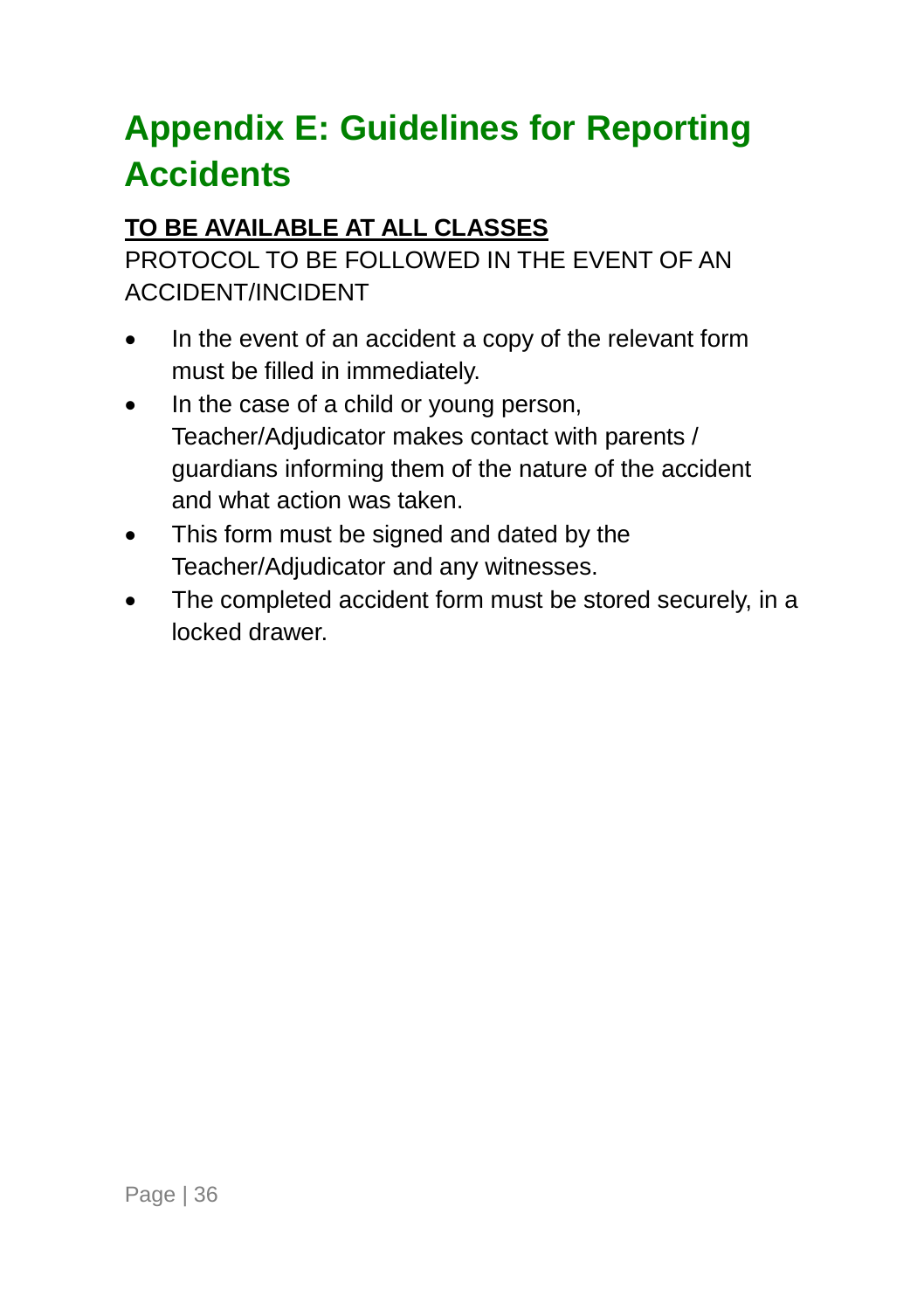### <span id="page-39-0"></span>**Appendix E: Guidelines for Reporting Accidents**

### **TO BE AVAILABLE AT ALL CLASSES**

PROTOCOL TO BE FOLLOWED IN THE EVENT OF AN ACCIDENT/INCIDENT

- In the event of an accident a copy of the relevant form must be filled in immediately.
- In the case of a child or young person, Teacher/Adjudicator makes contact with parents / guardians informing them of the nature of the accident and what action was taken.
- This form must be signed and dated by the Teacher/Adjudicator and any witnesses.
- The completed accident form must be stored securely, in a locked drawer.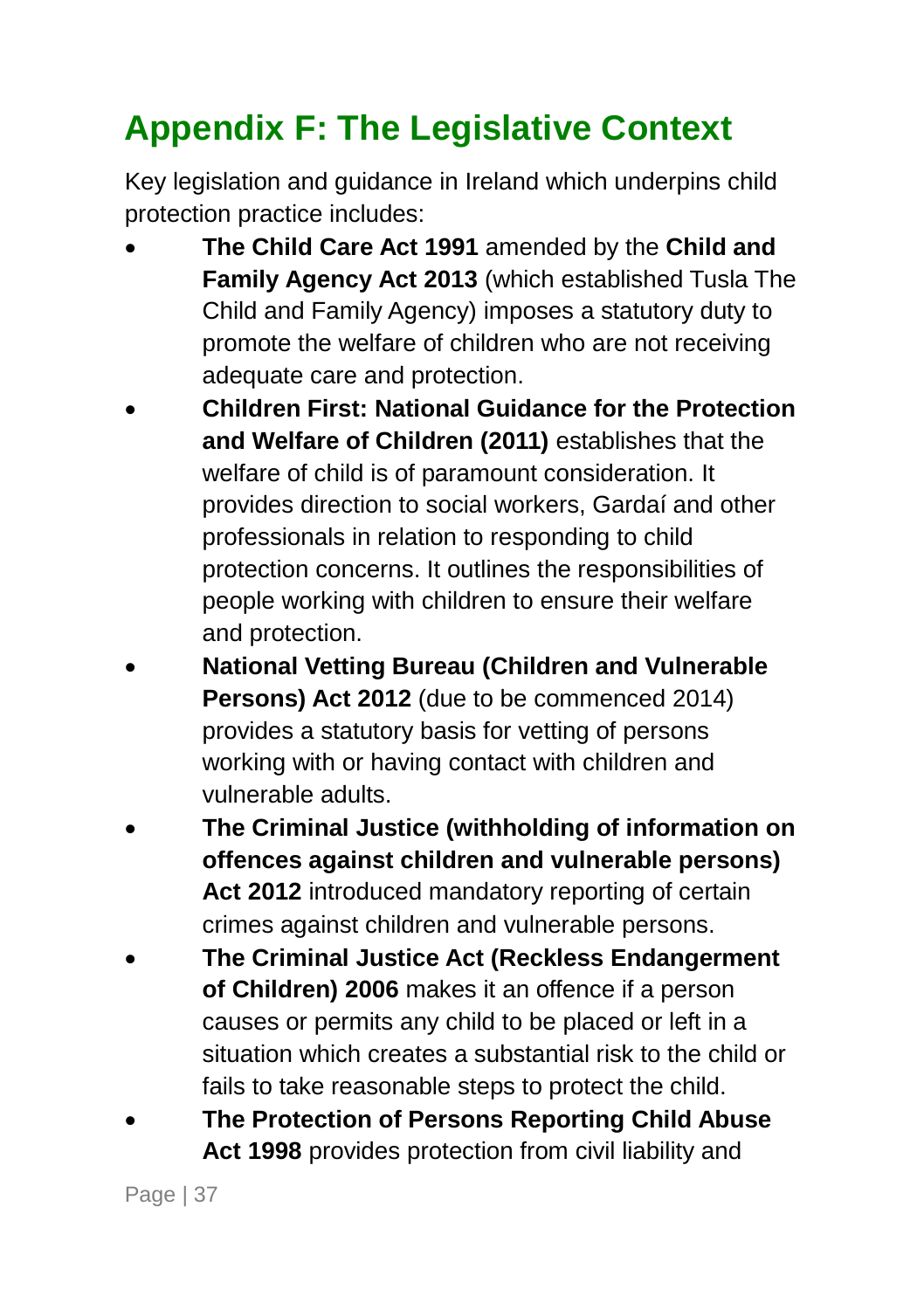## <span id="page-40-0"></span>**Appendix F: The Legislative Context**

Key legislation and guidance in Ireland which underpins child protection practice includes:

- **The Child Care Act 1991** amended by the **Child and Family Agency Act 2013** (which established Tusla The Child and Family Agency) imposes a statutory duty to promote the welfare of children who are not receiving adequate care and protection.
- **Children First: National Guidance for the Protection and Welfare of Children (2011)** establishes that the welfare of child is of paramount consideration. It provides direction to social workers, Gardaí and other professionals in relation to responding to child protection concerns. It outlines the responsibilities of people working with children to ensure their welfare and protection.
- **National Vetting Bureau (Children and Vulnerable Persons) Act 2012** (due to be commenced 2014) provides a statutory basis for vetting of persons working with or having contact with children and vulnerable adults.
- **The Criminal Justice (withholding of information on offences against children and vulnerable persons)**  Act 2012 introduced mandatory reporting of certain crimes against children and vulnerable persons.
- **The Criminal Justice Act (Reckless Endangerment of Children) 2006** makes it an offence if a person causes or permits any child to be placed or left in a situation which creates a substantial risk to the child or fails to take reasonable steps to protect the child.
- **The Protection of Persons Reporting Child Abuse Act 1998** provides protection from civil liability and

Page | 37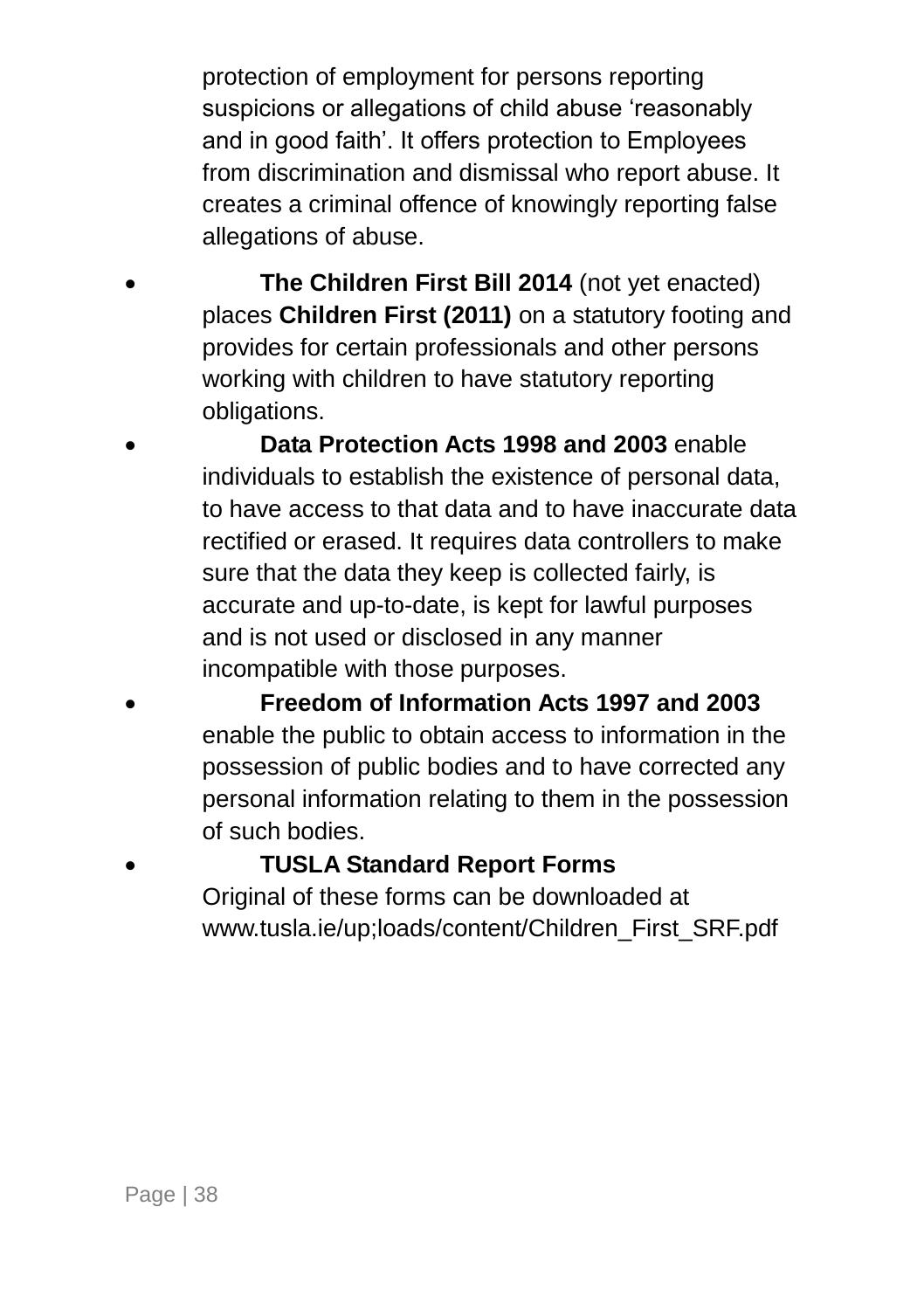protection of employment for persons reporting suspicions or allegations of child abuse 'reasonably and in good faith'. It offers protection to Employees from discrimination and dismissal who report abuse. It creates a criminal offence of knowingly reporting false allegations of abuse.

- **The Children First Bill 2014** (not yet enacted) places **Children First (2011)** on a statutory footing and provides for certain professionals and other persons working with children to have statutory reporting obligations.
	- **Data Protection Acts 1998 and 2003** enable individuals to establish the existence of personal data, to have access to that data and to have inaccurate data rectified or erased. It requires data controllers to make sure that the data they keep is collected fairly, is accurate and up-to-date, is kept for lawful purposes and is not used or disclosed in any manner incompatible with those purposes.
- **Freedom of Information Acts 1997 and 2003** enable the public to obtain access to information in the possession of public bodies and to have corrected any personal information relating to them in the possession of such bodies.

**TUSLA Standard Report Forms**

Original of these forms can be downloaded at [www.tusla.ie/up;loads/content/Children\\_First\\_SRF.pdf](http://www.tusla.ie/up;loads/content/Children_First_SRF.pdf)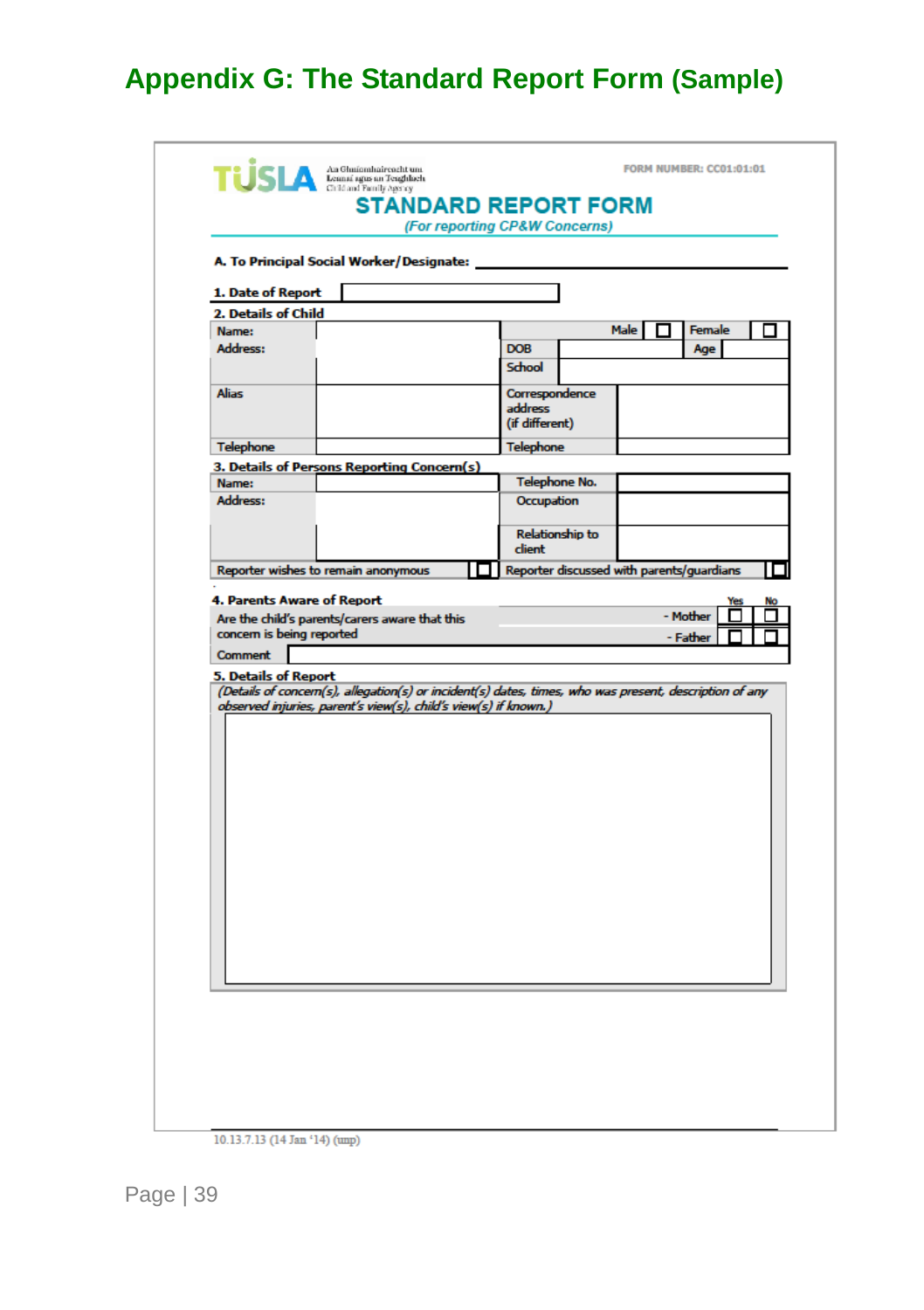### <span id="page-42-0"></span>**Appendix G: The Standard Report Form (Sample)**

| 1. Date of Report    | A. To Principal Social Worker/Designate:                        |                                                                                                        |
|----------------------|-----------------------------------------------------------------|--------------------------------------------------------------------------------------------------------|
| 2. Details of Child  |                                                                 |                                                                                                        |
| Name:                |                                                                 | <b>Male</b><br>Female                                                                                  |
| Address:             |                                                                 | <b>DOB</b><br>Age<br>School                                                                            |
| <b>Alias</b>         |                                                                 | Correspondence<br>address<br>(if different)                                                            |
| <b>Telephone</b>     |                                                                 | <b>Telephone</b>                                                                                       |
|                      | 3. Details of Persons Reporting Concern(s)                      |                                                                                                        |
| Name:<br>Address:    |                                                                 | <b>Telephone No.</b>                                                                                   |
|                      |                                                                 | Occupation<br><b>Relationship to</b>                                                                   |
|                      |                                                                 | client                                                                                                 |
|                      | Reporter wishes to remain anonymous                             | Reporter discussed with parents/guardians                                                              |
|                      | observed injuries, parent's view(s), child's view(s) if known.) | (Details of concern(s), allegation(s) or incident(s) dates, times, who was present, description of any |
| 5. Details of Report |                                                                 |                                                                                                        |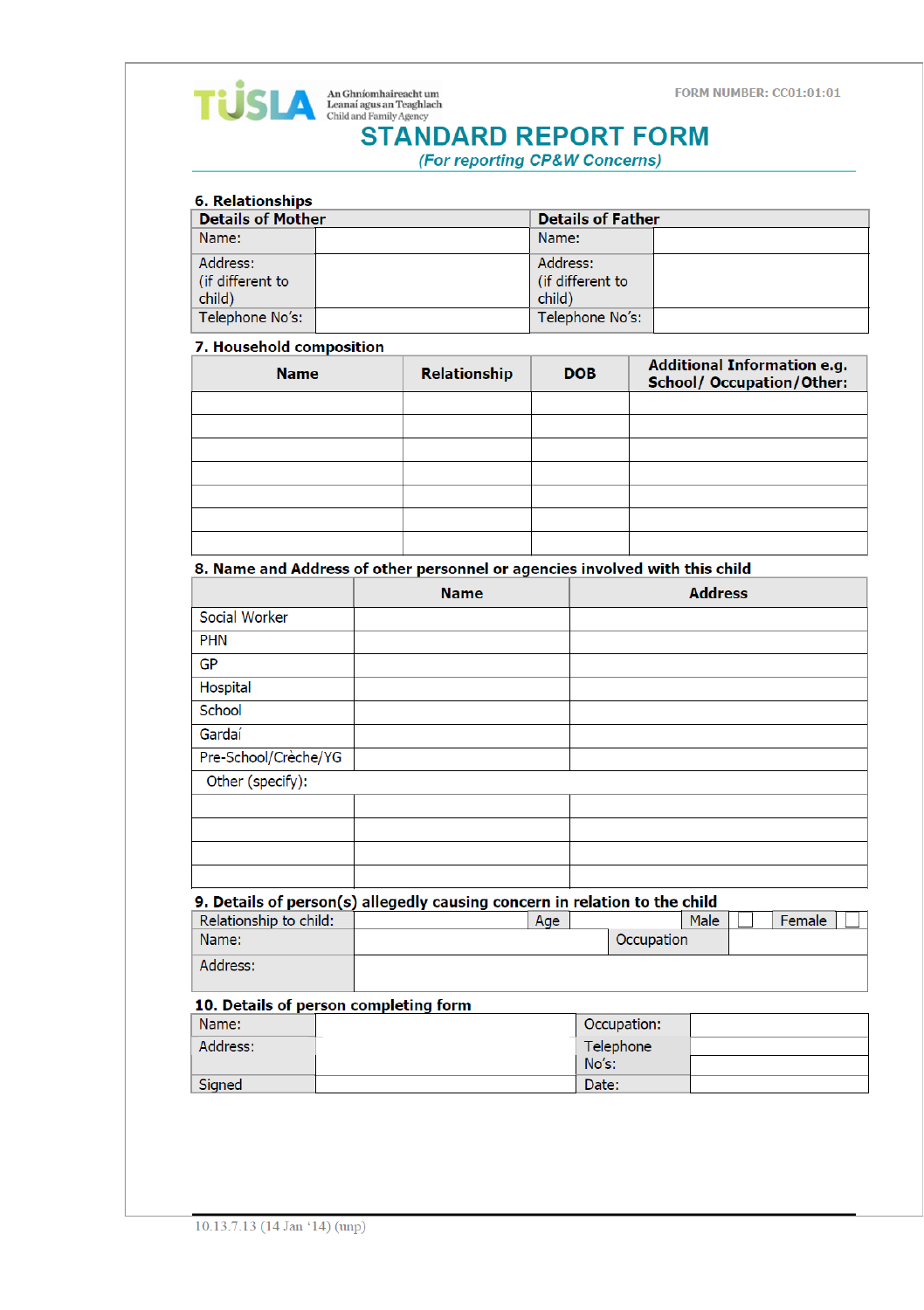### **TUS** An Ghníomhaireacht um<br>
child and Family Agency **STANDARD REPORT FORM**

(For reporting CP&W Concerns)

#### **6. Relationships**

| <b>Details of Mother</b> | <b>Details of Father</b> |  |
|--------------------------|--------------------------|--|
| Name:                    | Name:                    |  |
| Address:                 | Address:                 |  |
| l (if different to       | (if different to         |  |
| child)                   | child)                   |  |
| Telephone No's:          | Telephone No's:          |  |

#### 7. Household composition

| <b>Name</b> | <b>Relationship</b> | <b>DOB</b> | <b>Additional Information e.g.</b><br><b>School/ Occupation/Other:</b> |
|-------------|---------------------|------------|------------------------------------------------------------------------|
|             |                     |            |                                                                        |
|             |                     |            |                                                                        |
|             |                     |            |                                                                        |
|             |                     |            |                                                                        |
|             |                     |            |                                                                        |
|             |                     |            |                                                                        |
|             |                     |            |                                                                        |

#### 8. Name and Address of other personnel or agencies involved with this child

|                      | <b>Name</b> | <b>Address</b> |
|----------------------|-------------|----------------|
| Social Worker        |             |                |
| <b>PHN</b>           |             |                |
| <b>GP</b>            |             |                |
| Hospital             |             |                |
| School               |             |                |
| Gardaí               |             |                |
| Pre-School/Crèche/YG |             |                |
| Other (specify):     |             |                |
|                      |             |                |
|                      |             |                |
|                      |             |                |
|                      |             |                |

#### 9. Details of person(s) allegedly causing concern in relation to the child

| Relationship to child: | Age | Male       | Female |
|------------------------|-----|------------|--------|
| Name:                  |     | Occupation |        |
| Address:               |     |            |        |

#### 10. Details of person completing form

| Name:    | Occupation: |  |
|----------|-------------|--|
| Address: | Telephone   |  |
|          | No's:       |  |
| Signed   | Date:       |  |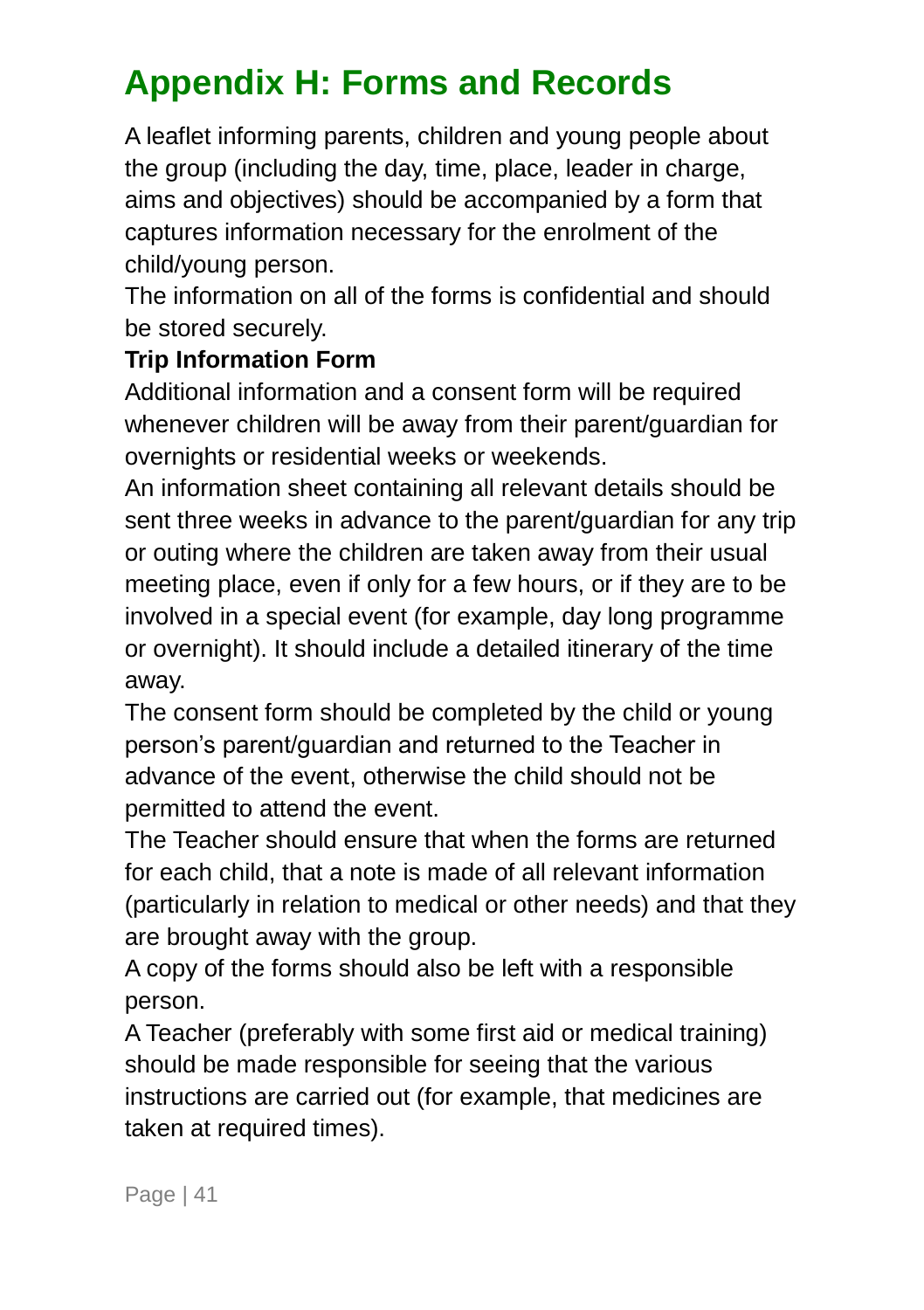### <span id="page-44-0"></span>**Appendix H: Forms and Records**

A leaflet informing parents, children and young people about the group (including the day, time, place, leader in charge, aims and objectives) should be accompanied by a form that captures information necessary for the enrolment of the child/young person.

The information on all of the forms is confidential and should be stored securely.

#### **Trip Information Form**

Additional information and a consent form will be required whenever children will be away from their parent/guardian for overnights or residential weeks or weekends.

An information sheet containing all relevant details should be sent three weeks in advance to the parent/guardian for any trip or outing where the children are taken away from their usual meeting place, even if only for a few hours, or if they are to be involved in a special event (for example, day long programme or overnight). It should include a detailed itinerary of the time away.

The consent form should be completed by the child or young person's parent/guardian and returned to the Teacher in advance of the event, otherwise the child should not be permitted to attend the event.

The Teacher should ensure that when the forms are returned for each child, that a note is made of all relevant information (particularly in relation to medical or other needs) and that they are brought away with the group.

A copy of the forms should also be left with a responsible person.

A Teacher (preferably with some first aid or medical training) should be made responsible for seeing that the various instructions are carried out (for example, that medicines are taken at required times).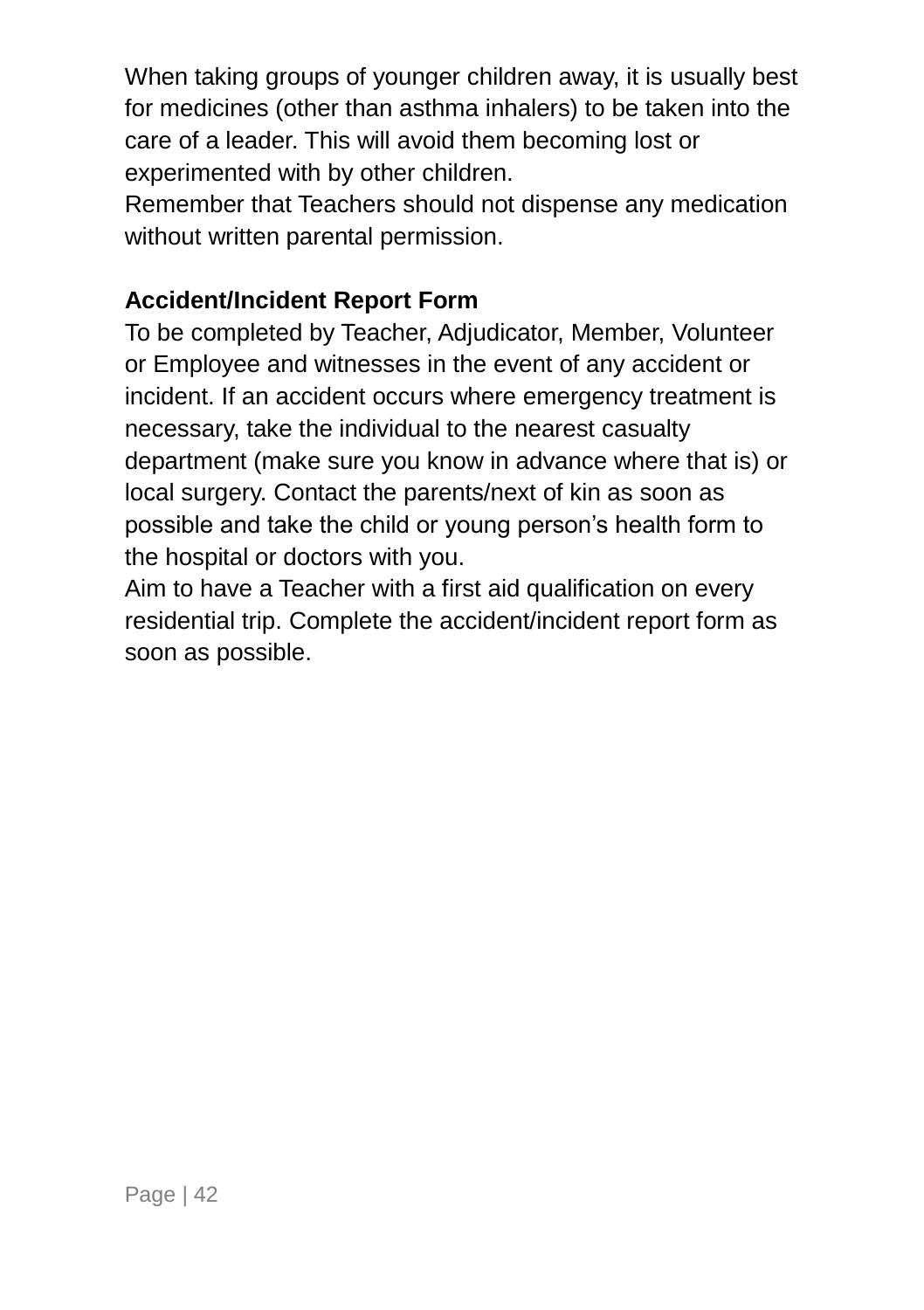When taking groups of younger children away, it is usually best for medicines (other than asthma inhalers) to be taken into the care of a leader. This will avoid them becoming lost or experimented with by other children.

Remember that Teachers should not dispense any medication without written parental permission.

#### **Accident/Incident Report Form**

To be completed by Teacher, Adjudicator, Member, Volunteer or Employee and witnesses in the event of any accident or incident. If an accident occurs where emergency treatment is necessary, take the individual to the nearest casualty department (make sure you know in advance where that is) or local surgery. Contact the parents/next of kin as soon as possible and take the child or young person's health form to the hospital or doctors with you.

Aim to have a Teacher with a first aid qualification on every residential trip. Complete the accident/incident report form as soon as possible.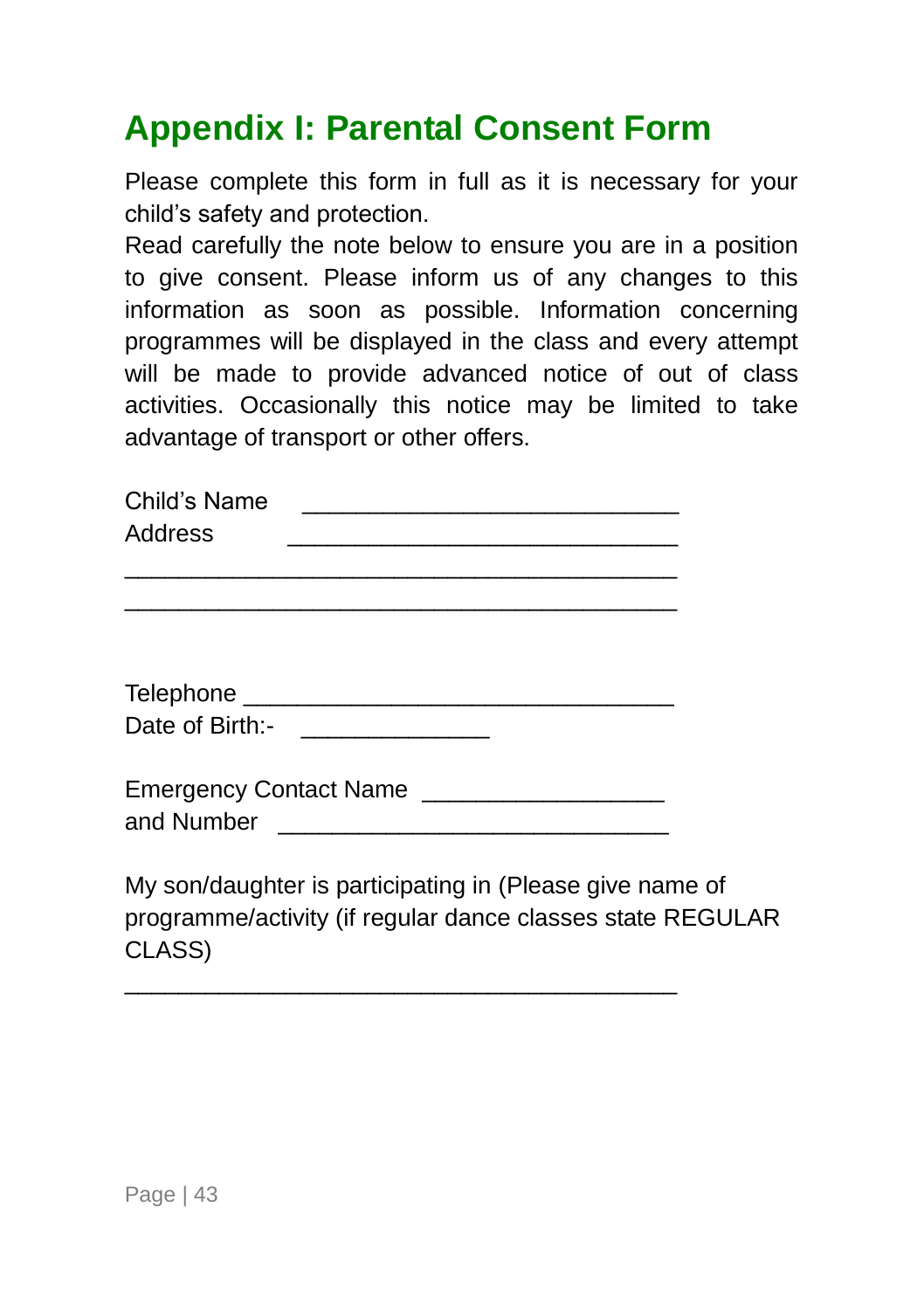### <span id="page-46-0"></span>**Appendix I: Parental Consent Form**

Please complete this form in full as it is necessary for your child's safety and protection.

Read carefully the note below to ensure you are in a position to give consent. Please inform us of any changes to this information as soon as possible. Information concerning programmes will be displayed in the class and every attempt will be made to provide advanced notice of out of class activities. Occasionally this notice may be limited to take advantage of transport or other offers.

| Child's Name   |  |  |  |  |  |
|----------------|--|--|--|--|--|
| <b>Address</b> |  |  |  |  |  |
|                |  |  |  |  |  |

\_\_\_\_\_\_\_\_\_\_\_\_\_\_\_\_\_\_\_\_\_\_\_\_\_\_\_\_\_\_\_\_\_\_\_\_\_\_\_\_\_

| Telephone       |  |
|-----------------|--|
| Date of Birth:- |  |

| <b>Emergency Contact Name</b> |  |
|-------------------------------|--|
| and Number                    |  |

\_\_\_\_\_\_\_\_\_\_\_\_\_\_\_\_\_\_\_\_\_\_\_\_\_\_\_\_\_\_\_\_\_\_\_\_\_\_\_\_\_

My son/daughter is participating in (Please give name of programme/activity (if regular dance classes state REGULAR CLASS)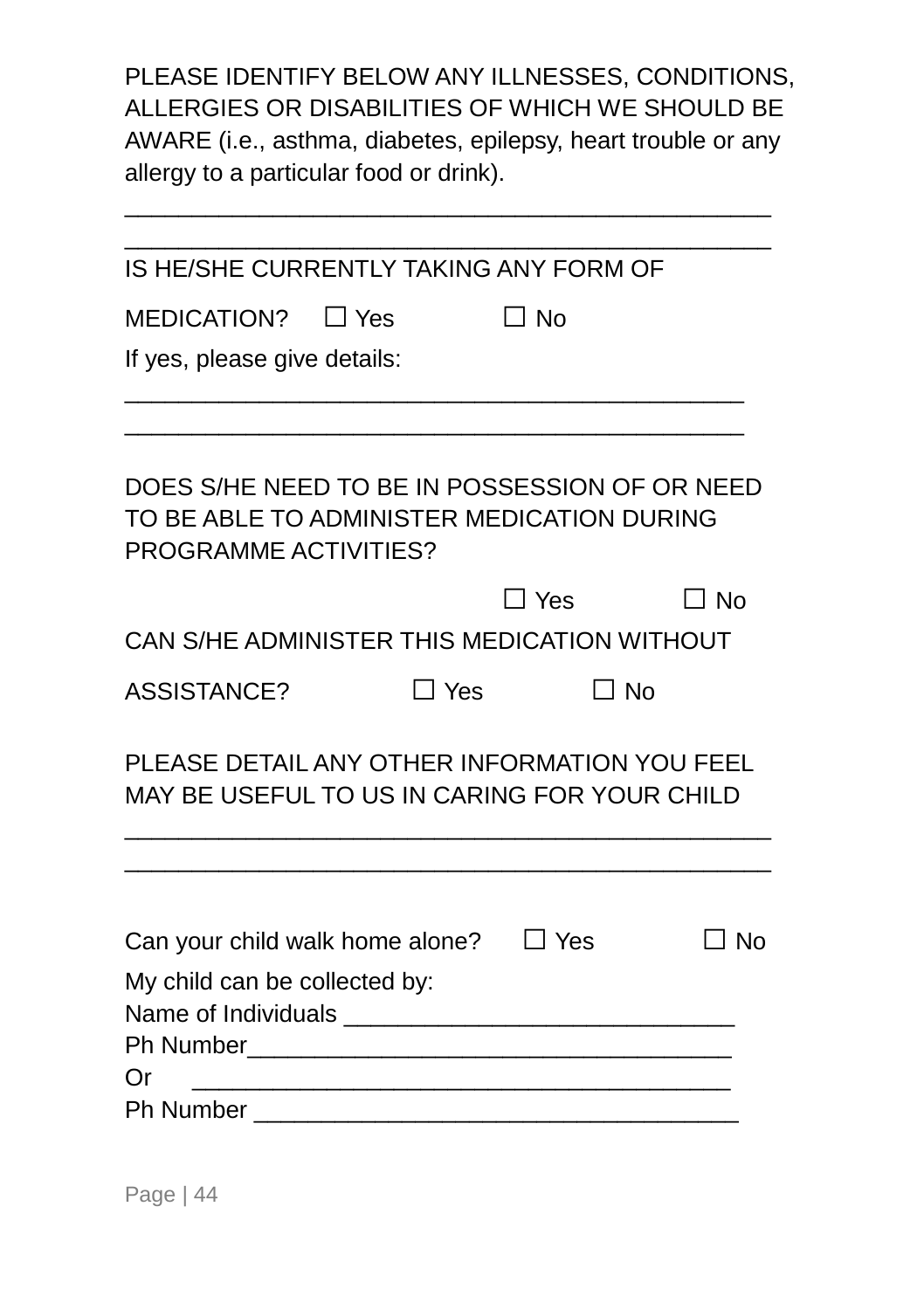PLEASE IDENTIFY BELOW ANY ILLNESSES, CONDITIONS, ALLERGIES OR DISABILITIES OF WHICH WE SHOULD BE AWARE (i.e., asthma, diabetes, epilepsy, heart trouble or any allergy to a particular food or drink).

\_\_\_\_\_\_\_\_\_\_\_\_\_\_\_\_\_\_\_\_\_\_\_\_\_\_\_\_\_\_\_\_\_\_\_\_\_\_\_\_\_\_\_\_\_\_\_\_

| IS HE/SHE CURRENTLY TAKING ANY FORM OF                                                                               |           |            |           |
|----------------------------------------------------------------------------------------------------------------------|-----------|------------|-----------|
| $MEDICATION?$ $\Box$ Yes                                                                                             | $\Box$ No |            |           |
| If yes, please give details:                                                                                         |           |            |           |
| DOES S/HE NEED TO BE IN POSSESSION OF OR NEED<br>TO BE ABLE TO ADMINISTER MEDICATION DURING<br>PROGRAMME ACTIVITIES? |           |            |           |
|                                                                                                                      |           | $\Box$ Yes | $\Box$ No |
| CAN S/HE ADMINISTER THIS MEDICATION WITHOUT                                                                          |           |            |           |
| <b>ASSISTANCE?</b>                                                                                                   | ר Yes     | ∩ No       |           |
| PLEASE DETAIL ANY OTHER INFORMATION YOU FEEL<br>MAY BE USEFUL TO US IN CARING FOR YOUR CHILD                         |           |            |           |
| Can your child walk home alone?<br>My child can be collected by:                                                     |           | $\Box$ Yes | ∃ No      |
| Or.                                                                                                                  |           |            |           |
| Ph Number 2008 2009 2009 2010 2020 2020 2021 2021 2022 2021 2021 2021 2022 2022 2022 2022 2023 2024 2022 2023        |           |            |           |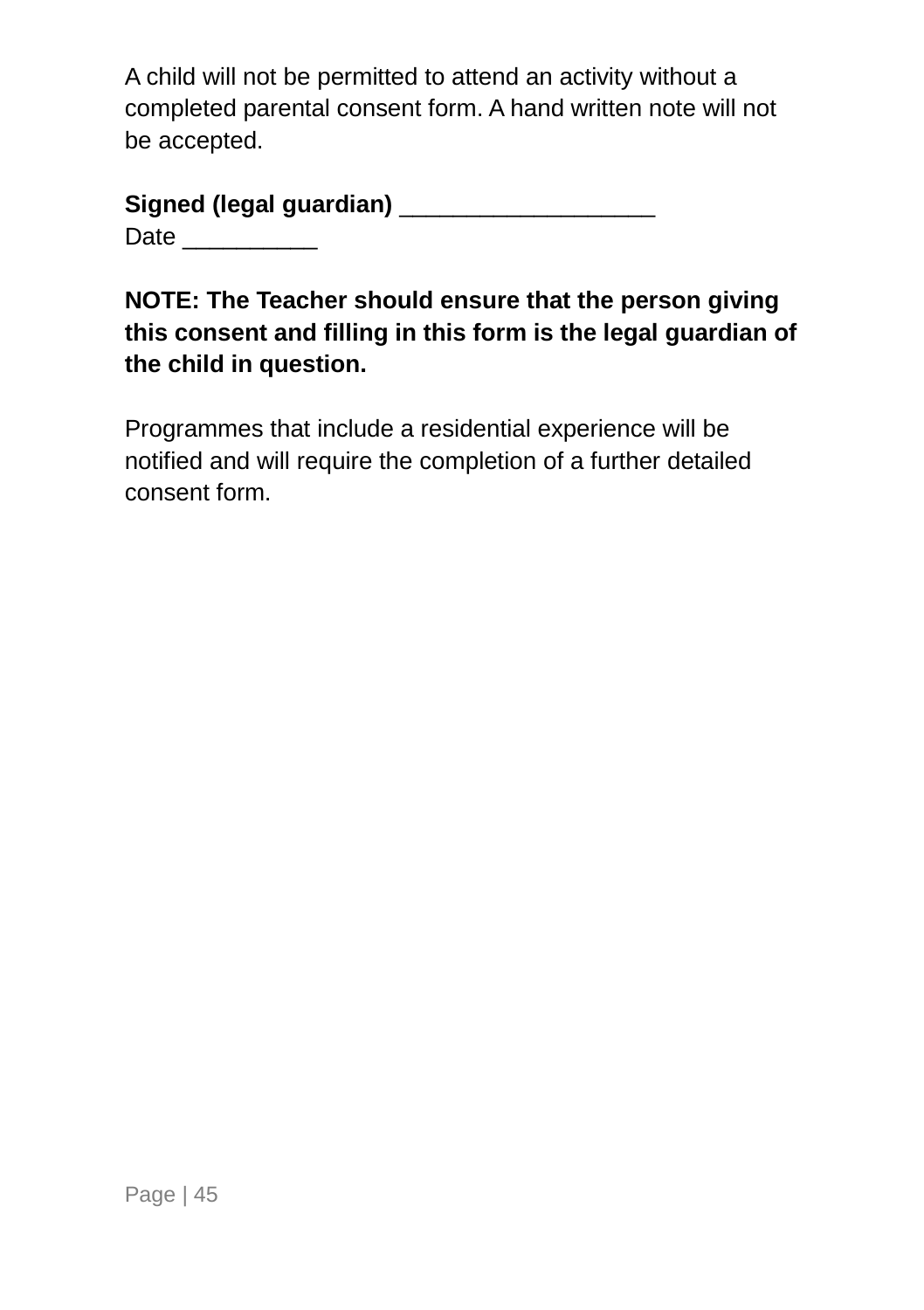A child will not be permitted to attend an activity without a completed parental consent form. A hand written note will not be accepted.

| Signed (legal guardian) |  |
|-------------------------|--|
| Date                    |  |

**NOTE: The Teacher should ensure that the person giving this consent and filling in this form is the legal guardian of the child in question.** 

Programmes that include a residential experience will be notified and will require the completion of a further detailed consent form.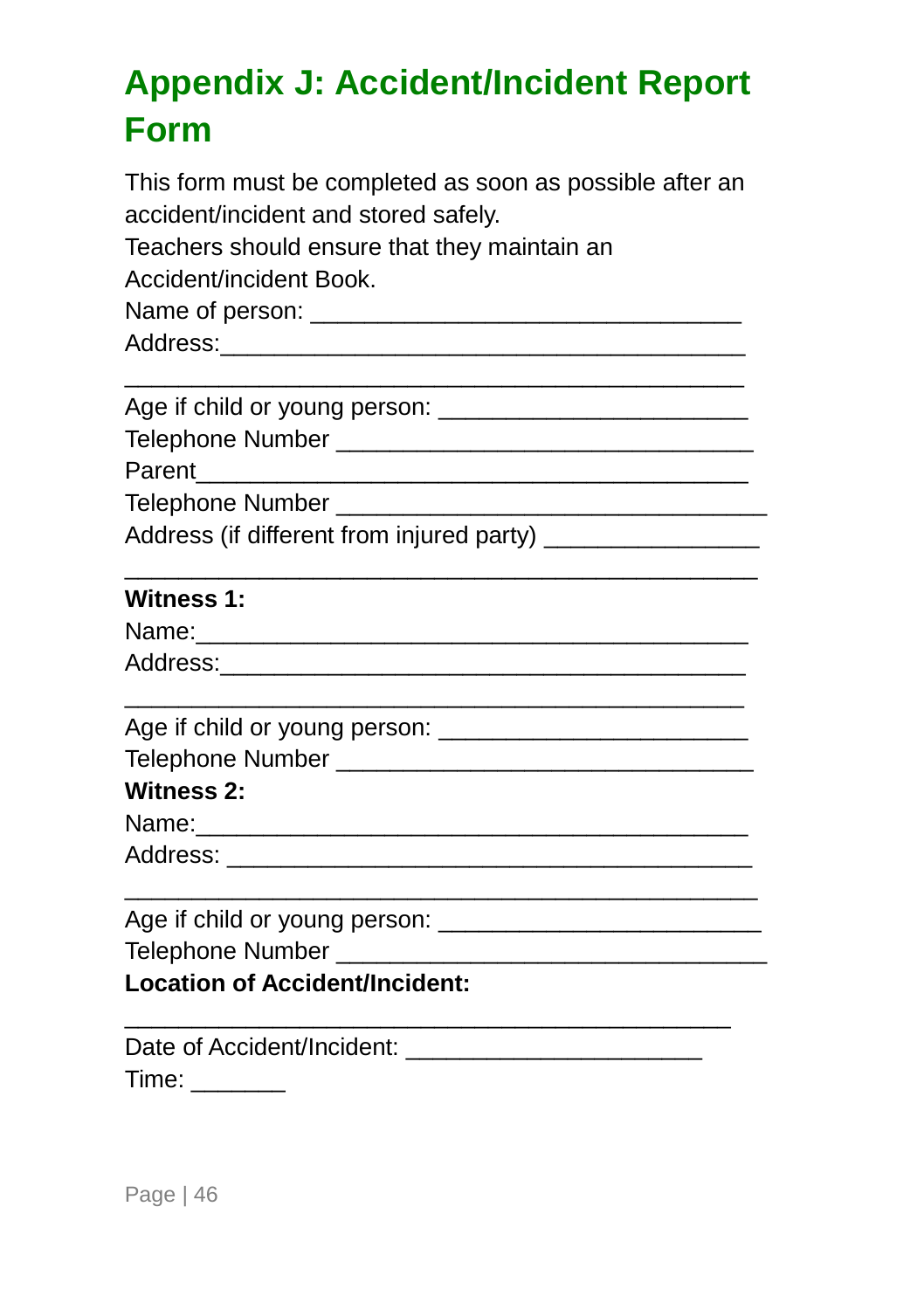### <span id="page-49-0"></span>**Appendix J: Accident/Incident Report Form**

| This form must be completed as soon as possible after an<br>accident/incident and stored safely.<br>Teachers should ensure that they maintain an |  |  |  |  |  |                         |  |  |  |  |
|--------------------------------------------------------------------------------------------------------------------------------------------------|--|--|--|--|--|-------------------------|--|--|--|--|
|                                                                                                                                                  |  |  |  |  |  | Accident/incident Book. |  |  |  |  |
|                                                                                                                                                  |  |  |  |  |  |                         |  |  |  |  |
|                                                                                                                                                  |  |  |  |  |  |                         |  |  |  |  |
|                                                                                                                                                  |  |  |  |  |  |                         |  |  |  |  |
|                                                                                                                                                  |  |  |  |  |  |                         |  |  |  |  |
| Parent<br><u> 2000 - 2000 - 2000 - 2000 - 2000 - 2000 - 2000 - 2000 - 2000 - 2000 - 2000 - 2000 - 2000 - 2000 - 2000 - 200</u>                   |  |  |  |  |  |                         |  |  |  |  |
|                                                                                                                                                  |  |  |  |  |  |                         |  |  |  |  |
| Address (if different from injured party) __________________                                                                                     |  |  |  |  |  |                         |  |  |  |  |
| <b>Witness 1:</b>                                                                                                                                |  |  |  |  |  |                         |  |  |  |  |
|                                                                                                                                                  |  |  |  |  |  |                         |  |  |  |  |
|                                                                                                                                                  |  |  |  |  |  |                         |  |  |  |  |
|                                                                                                                                                  |  |  |  |  |  |                         |  |  |  |  |
|                                                                                                                                                  |  |  |  |  |  |                         |  |  |  |  |
| <b>Witness 2:</b>                                                                                                                                |  |  |  |  |  |                         |  |  |  |  |
|                                                                                                                                                  |  |  |  |  |  |                         |  |  |  |  |
|                                                                                                                                                  |  |  |  |  |  |                         |  |  |  |  |
|                                                                                                                                                  |  |  |  |  |  |                         |  |  |  |  |
|                                                                                                                                                  |  |  |  |  |  |                         |  |  |  |  |
| <b>Location of Accident/Incident:</b>                                                                                                            |  |  |  |  |  |                         |  |  |  |  |
|                                                                                                                                                  |  |  |  |  |  |                         |  |  |  |  |
|                                                                                                                                                  |  |  |  |  |  |                         |  |  |  |  |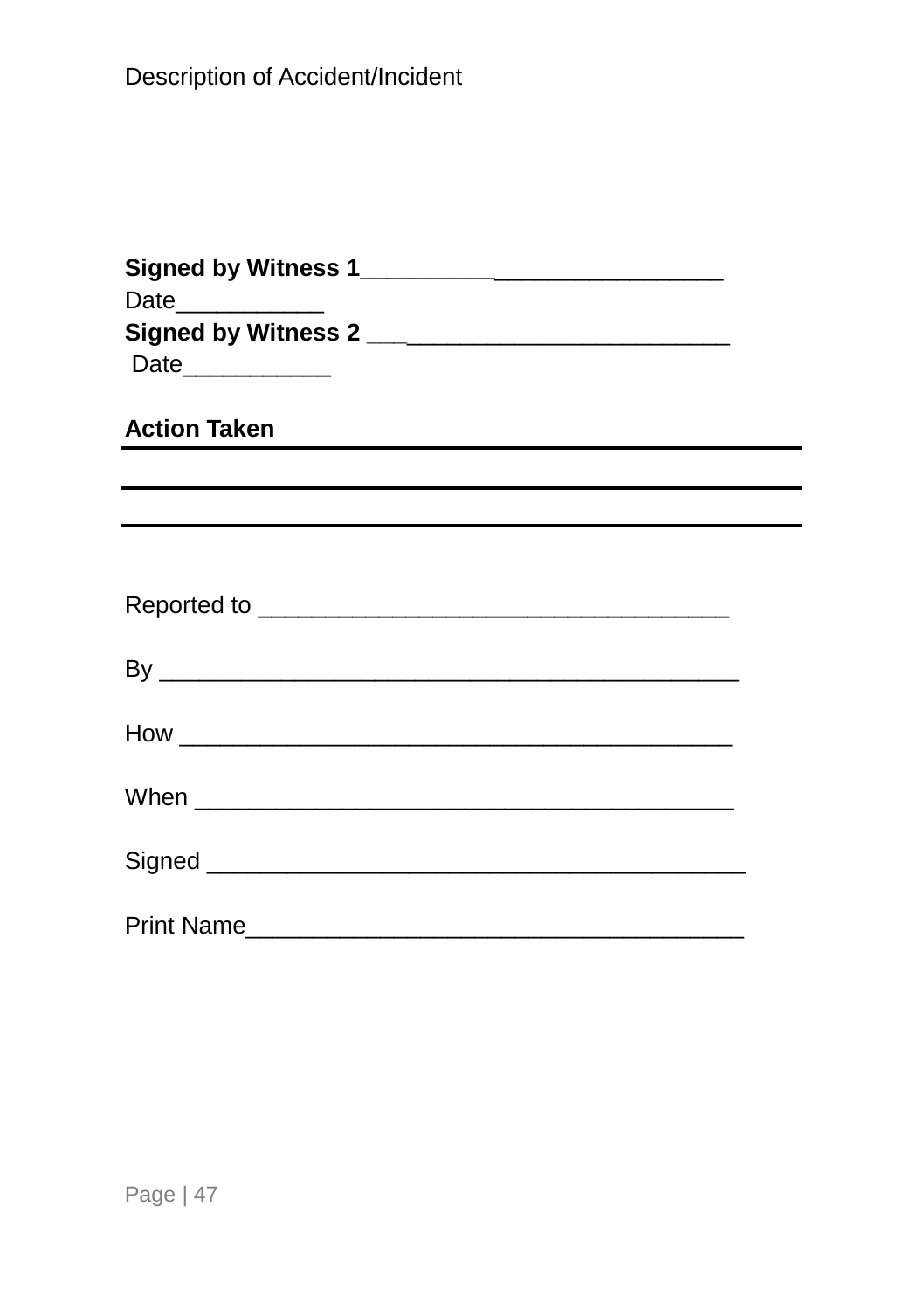| Date____________<br>Date____________                                             |  |  |  |  |
|----------------------------------------------------------------------------------|--|--|--|--|
| Action Taken                                                                     |  |  |  |  |
| ,我们也不会有什么。""我们的人,我们也不会有什么?""我们的人,我们也不会有什么?""我们的人,我们也不会有什么?""我们的人,我们也不会有什么?""我们的人 |  |  |  |  |
| ,我们也不会有什么。""我们的人,我们也不会有什么?""我们的人,我们也不会有什么?""我们的人,我们也不会有什么?""我们的人,我们也不会有什么?""我们的人 |  |  |  |  |
|                                                                                  |  |  |  |  |
|                                                                                  |  |  |  |  |
|                                                                                  |  |  |  |  |
|                                                                                  |  |  |  |  |
|                                                                                  |  |  |  |  |
|                                                                                  |  |  |  |  |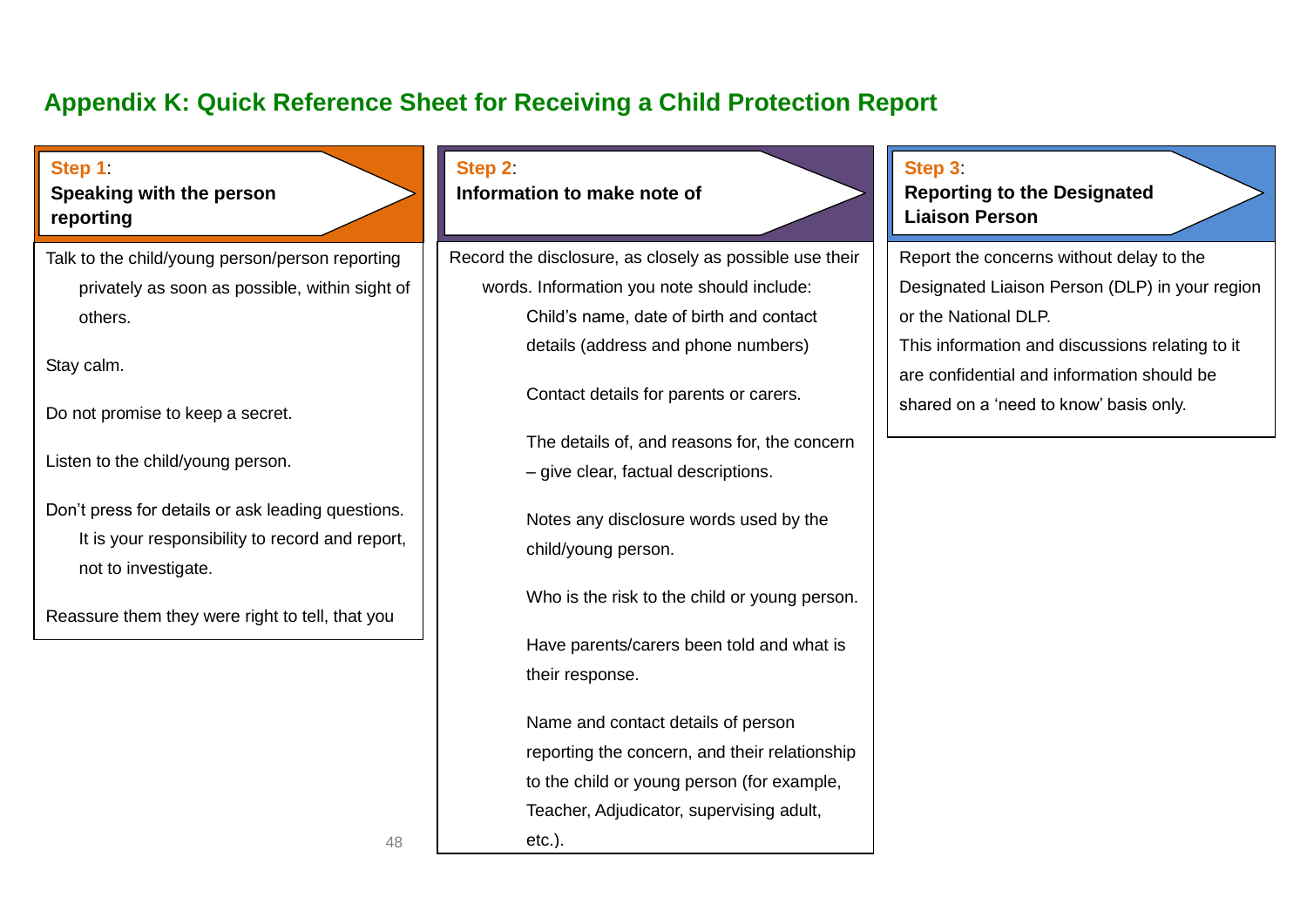## <span id="page-51-0"></span>**Appendix K: Quick Reference Sheet for Receiving a Child Protection Report**

| Step 1<br>Speaking with the person<br>reporting                                                                             | Step 2:<br>Information to make note of                        | Step 3<br><b>Reporting to the Designated</b><br><b>Liaison Person</b>                |
|-----------------------------------------------------------------------------------------------------------------------------|---------------------------------------------------------------|--------------------------------------------------------------------------------------|
| Talk to the child/young person/person reporting                                                                             | Record the disclosure, as closely as possible use their       | Report the concerns without delay to the                                             |
| privately as soon as possible, within sight of                                                                              | words. Information you note should include:                   | Designated Liaison Person (DLP) in your region                                       |
| others.                                                                                                                     | Child's name, date of birth and contact                       | or the National DLP.                                                                 |
|                                                                                                                             | details (address and phone numbers)                           | This information and discussions relating to it                                      |
| Stay calm.<br>Do not promise to keep a secret.                                                                              | Contact details for parents or carers.                        | are confidential and information should be<br>shared on a 'need to know' basis only. |
|                                                                                                                             | The details of, and reasons for, the concern                  |                                                                                      |
| Listen to the child/young person.                                                                                           | - give clear, factual descriptions.                           |                                                                                      |
| Don't press for details or ask leading questions.<br>It is your responsibility to record and report,<br>not to investigate. | Notes any disclosure words used by the<br>child/young person. |                                                                                      |
| Reassure them they were right to tell, that you                                                                             | Who is the risk to the child or young person.                 |                                                                                      |
|                                                                                                                             | Have parents/carers been told and what is<br>their response.  |                                                                                      |
|                                                                                                                             | Name and contact details of person                            |                                                                                      |
|                                                                                                                             | reporting the concern, and their relationship                 |                                                                                      |
|                                                                                                                             | to the child or young person (for example,                    |                                                                                      |
|                                                                                                                             | Teacher, Adjudicator, supervising adult,                      |                                                                                      |
| 48                                                                                                                          | $etc.$ ).                                                     |                                                                                      |